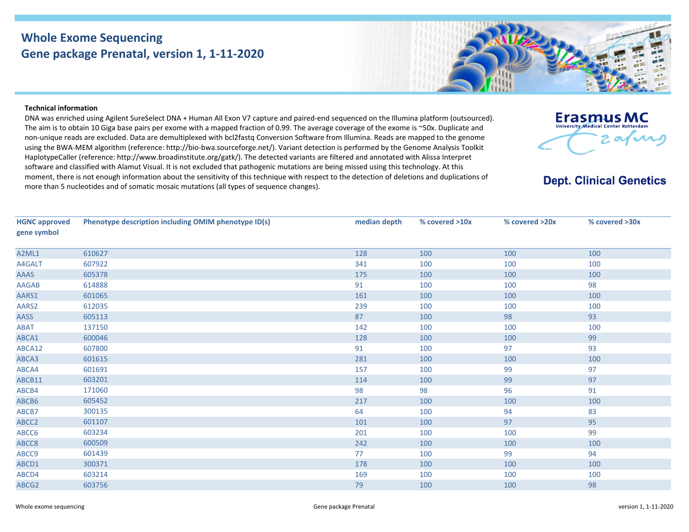## **Whole Exome Sequencing Gene package Prenatal, version 1, 1‐11‐2020**



DNA was enriched using Agilent SureSelect DNA <sup>+</sup> Human All Exon V7 capture and paired‐end sequenced on the Illumina platform (outsourced). The aim is to obtain 10 Giga base pairs per exome with <sup>a</sup> mapped fraction of 0.99. The average coverage of the exome is ~50x. Duplicate and non‐unique reads are excluded. Data are demultiplexed with bcl2fastq Conversion Software from Illumina. Reads are mapped to the genome using the BWA‐MEM algorithm (reference: http://bio‐bwa.sourceforge.net/). Variant detection is performed by the Genome Analysis Toolkit HaplotypeCaller (reference: http://www.broadinstitute.org/gatk/). The detected variants are filtered and annotated with Alissa Interpret software and classified with Alamut Visual. It is not excluded that pathogenic mutations are being missed using this technology. At this moment, there is not enough information about the sensitivity of this technique with respect to the detection of deletions and duplications of more than 5 nucleotides and of somatic mosaic mutations (all types of sequence changes).



## **Dept. Clinical Genetics**

| <b>HGNC approved</b><br>gene symbol | Phenotype description including OMIM phenotype ID(s) | median depth | % covered >10x | % covered >20x | % covered >30x |
|-------------------------------------|------------------------------------------------------|--------------|----------------|----------------|----------------|
| A2ML1                               | 610627                                               | 128          | 100            | 100            | 100            |
| A4GALT                              | 607922                                               | 341          | 100            | 100            | 100            |
| <b>AAAS</b>                         | 605378                                               | 175          | 100            | 100            | 100            |
| AAGAB                               | 614888                                               | 91           | 100            | 100            | 98             |
| AARS1                               | 601065                                               | 161          | 100            | 100            | 100            |
| AARS2                               | 612035                                               | 239          | 100            | 100            | 100            |
| <b>AASS</b>                         | 605113                                               | 87           | 100            | 98             | 93             |
| ABAT                                | 137150                                               | 142          | 100            | 100            | 100            |
| ABCA1                               | 600046                                               | 128          | 100            | 100            | 99             |
| ABCA12                              | 607800                                               | 91           | 100            | 97             | 93             |
| ABCA3                               | 601615                                               | 281          | 100            | 100            | 100            |
| ABCA4                               | 601691                                               | 157          | 100            | 99             | 97             |
| ABCB11                              | 603201                                               | 114          | 100            | 99             | 97             |
| ABCB4                               | 171060                                               | 98           | 98             | 96             | 91             |
| ABCB6                               | 605452                                               | 217          | 100            | 100            | 100            |
| ABCB7                               | 300135                                               | 64           | 100            | 94             | 83             |
| ABCC2                               | 601107                                               | 101          | 100            | 97             | 95             |
| ABCC6                               | 603234                                               | 201          | 100            | 100            | 99             |
| ABCC8                               | 600509                                               | 242          | 100            | 100            | 100            |
| ABCC9                               | 601439                                               | 77           | 100            | 99             | 94             |
| ABCD1                               | 300371                                               | 178          | 100            | 100            | 100            |
| ABCD4                               | 603214                                               | 169          | 100            | 100            | 100            |
| ABCG2                               | 603756                                               | 79           | 100            | 100            | 98             |
|                                     |                                                      |              |                |                |                |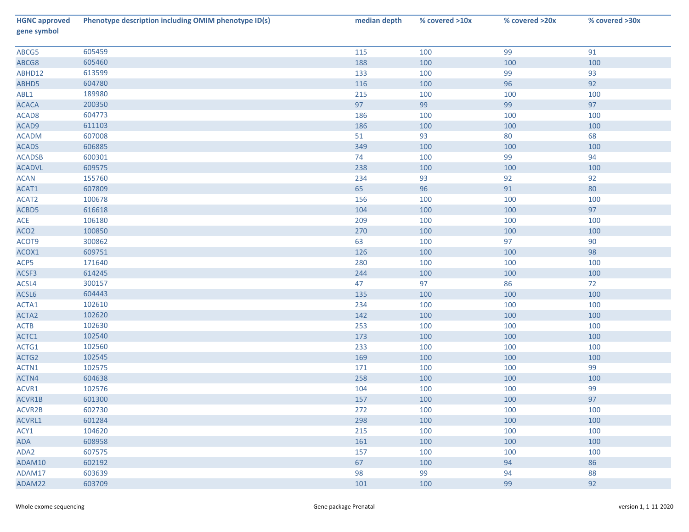| <b>HGNC approved</b><br>gene symbol | Phenotype description including OMIM phenotype ID(s) | median depth | % covered >10x | % covered >20x | % covered >30x |
|-------------------------------------|------------------------------------------------------|--------------|----------------|----------------|----------------|
| ABCG5                               | 605459                                               | 115          | 100            | 99             | 91             |
| ABCG8                               | 605460                                               | 188          | 100            | 100            | 100            |
| ABHD12                              | 613599                                               | 133          | 100            | 99             | 93             |
| ABHD5                               | 604780                                               | 116          | 100            | 96             | 92             |
| ABL1                                | 189980                                               | 215          | 100            | 100            | 100            |
| <b>ACACA</b>                        | 200350                                               | 97           | 99             | 99             | 97             |
| ACAD <sub>8</sub>                   | 604773                                               | 186          | 100            | 100            | 100            |
| ACAD9                               | 611103                                               | 186          | 100            | 100            | 100            |
| <b>ACADM</b>                        | 607008                                               | 51           | 93             | 80             | 68             |
| <b>ACADS</b>                        | 606885                                               | 349          | 100            | 100            | 100            |
| <b>ACADSB</b>                       | 600301                                               | 74           | 100            | 99             | 94             |
| <b>ACADVL</b>                       | 609575                                               | 238          | 100            | 100            | 100            |
| <b>ACAN</b>                         | 155760                                               | 234          | 93             | 92             | 92             |
| ACAT1                               | 607809                                               | 65           | 96             | 91             | 80             |
| ACAT2                               | 100678                                               | 156          | 100            | 100            | 100            |
| ACBD5                               | 616618                                               | 104          | 100            | 100            | 97             |
| ACE                                 | 106180                                               | 209          | 100            | 100            | 100            |
| ACO <sub>2</sub>                    | 100850                                               | 270          | 100            | 100            | 100            |
| ACOT9                               | 300862                                               | 63           | 100            | 97             | 90             |
| ACOX1                               | 609751                                               | 126          | 100            | 100            | 98             |
| ACP5                                | 171640                                               | 280          | 100            | 100            | 100            |
| ACSF3                               | 614245                                               | 244          | 100            | 100            | 100            |
| ACSL4                               | 300157                                               | 47           | 97             | 86             | 72             |
| ACSL6                               | 604443                                               | 135          | 100            | 100            | 100            |
| ACTA1                               | 102610                                               | 234          | 100            | 100            | 100            |
| ACTA2                               | 102620                                               | 142          | 100            | 100            | 100            |
| <b>ACTB</b>                         | 102630                                               | 253          | 100            | 100            | 100            |
| ACTC1                               | 102540                                               | 173          | 100            | 100            | 100            |
| ACTG1                               | 102560                                               | 233          | 100            | 100            | 100            |
| ACTG2                               | 102545                                               | 169          | 100            | 100            | 100            |
| ACTN1                               | 102575                                               | 171          | 100            | 100            | 99             |
| ACTN4                               | 604638                                               | 258          | 100            | 100            | 100            |
| ACVR1                               | 102576                                               | 104          | 100            | 100            | 99             |
| ACVR1B                              | 601300                                               | 157          | 100            | 100            | 97             |
| ACVR2B                              | 602730                                               | 272          | 100            | 100            | 100            |
| ACVRL1                              | 601284                                               | 298          | 100            | 100            | 100            |
| ACY1                                | 104620                                               | 215          | 100            | 100            | 100            |
| ADA                                 | 608958                                               | 161          | 100            | 100            | 100            |
| ADA2                                | 607575                                               | 157          | 100            | 100            | 100            |
| ADAM10                              | 602192                                               | 67           | 100            | 94             | 86             |
| ADAM17                              | 603639                                               | 98           | 99             | 94             | 88             |
| ADAM22                              | 603709                                               | 101          | 100            | 99             | 92             |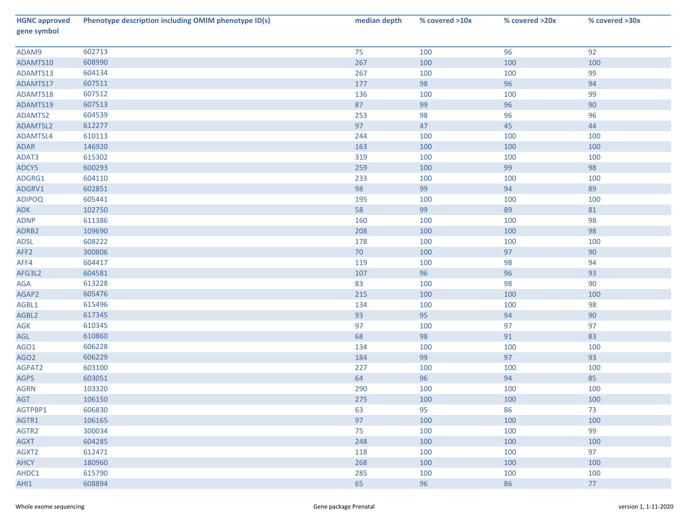| <b>HGNC approved</b><br>gene symbol | Phenotype description including OMIM phenotype ID(s) | median depth | % covered >10x | % covered >20x | % covered >30x |
|-------------------------------------|------------------------------------------------------|--------------|----------------|----------------|----------------|
| ADAM9                               | 602713                                               | 75           | 100            | 96             | 92             |
| ADAMTS10                            | 608990                                               | 267          | 100            | 100            | 100            |
| ADAMTS13                            | 604134                                               | 267          | 100            | 100            | 99             |
| ADAMTS17                            | 607511                                               | 177          | 98             | 96             | 94             |
| ADAMTS18                            | 607512                                               | 136          | 100            | 100            | 99             |
| ADAMTS19                            | 607513                                               | 87           | 99             | 96             | 90             |
| ADAMTS2                             | 604539                                               | 253          | 98             | 96             | 96             |
| ADAMTSL2                            | 612277                                               | 97           | 47             | 45             | 44             |
| ADAMTSL4                            | 610113                                               | 244          | 100            | 100            | 100            |
| ADAR                                | 146920                                               | 163          | 100            | 100            | 100            |
| ADAT3                               | 615302                                               | 319          | 100            | 100            | 100            |
| ADCY5                               | 600293                                               | 259          | 100            | 99             | 98             |
| ADGRG1                              | 604110                                               | 233          | 100            | 100            | 100            |
| ADGRV1                              | 602851                                               | 98           | 99             | 94             | 89             |
| <b>ADIPOQ</b>                       | 605441                                               | 195          | 100            | 100            | 100            |
| ADK                                 | 102750                                               | 58           | 99             | 89             | 81             |
| <b>ADNP</b>                         | 611386                                               | 160          | 100            | 100            | 98             |
| ADRB2                               | 109690                                               | 208          | 100            | 100            | 98             |
| <b>ADSL</b>                         | 608222                                               | 178          | 100            | 100            | 100            |
| AFF <sub>2</sub>                    | 300806                                               | 70           | 100            | 97             | $90\,$         |
| AFF4                                | 604417                                               | 119          | 100            | 98             | 94             |
| AFG3L2                              | 604581                                               | 107          | 96             | 96             | 93             |
| AGA                                 | 613228                                               | 83           | 100            | 98             | 90             |
| AGAP2                               | 605476                                               | 215          | 100            | 100            | 100            |
| AGBL1                               | 615496                                               | 134          | 100            | 100            | 98             |
| AGBL2                               | 617345                                               | 93           | 95             | 94             | $90\,$         |
| AGK                                 | 610345                                               | 97           | 100            | 97             | 97             |
| AGL                                 | 610860                                               | 68           | 98             | 91             | 83             |
| AGO1                                | 606228                                               | 134          | 100            | 100            | 100            |
| AGO <sub>2</sub>                    | 606229                                               | 184          | 99             | 97             | 93             |
| AGPAT2                              | 603100                                               | 227          | 100            | 100            | 100            |
| <b>AGPS</b>                         | 603051                                               | 64           | 96             | 94             | 85             |
| <b>AGRN</b>                         | 103320                                               | 290          | 100            | 100            | 100            |
| AGT                                 | 106150                                               | 275          | 100            | 100            | 100            |
| AGTPBP1                             | 606830                                               | 63           | 95             | 86             | 73             |
| AGTR1                               | 106165                                               | 97           | 100            | 100            | 100            |
| AGTR2                               | 300034                                               | 75           | 100            | 100            | 99             |
| AGXT                                | 604285                                               | 248          | 100            | 100            | 100            |
| AGXT2                               | 612471                                               | 118          | 100            | 100            | 97             |
| AHCY                                | 180960                                               | 268          | 100            | 100            | 100            |
| AHDC1                               | 615790                                               | 285          | 100            | 100            | 100            |
| AHI1                                | 608894                                               | 65           | 96             | 86             | 77             |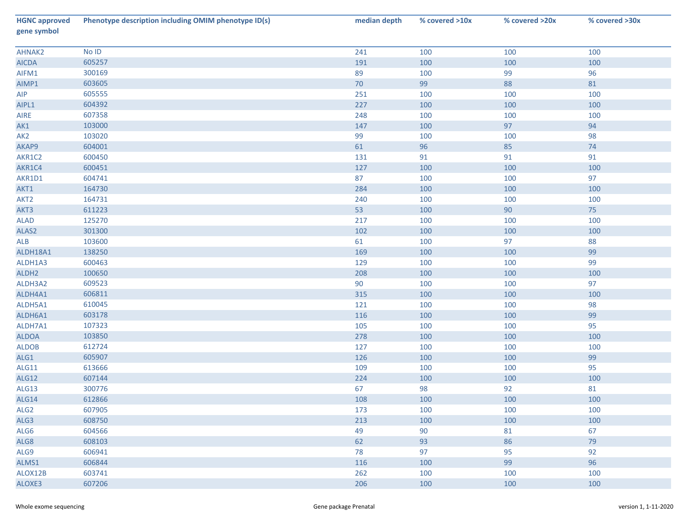| <b>HGNC approved</b><br>gene symbol | Phenotype description including OMIM phenotype ID(s) | median depth | % covered >10x | % covered >20x | % covered >30x |
|-------------------------------------|------------------------------------------------------|--------------|----------------|----------------|----------------|
| AHNAK2                              | No ID                                                | 241          | 100            | 100            | 100            |
| <b>AICDA</b>                        | 605257                                               | 191          | 100            | 100            | 100            |
| AIFM1                               | 300169                                               | 89           | 100            | 99             | 96             |
| AIMP1                               | 603605                                               | 70           | 99             | 88             | 81             |
| AIP                                 | 605555                                               | 251          | 100            | 100            | 100            |
| AIPL1                               | 604392                                               | 227          | 100            | 100            | 100            |
| AIRE                                | 607358                                               | 248          | 100            | 100            | 100            |
| AK1                                 | 103000                                               | 147          | 100            | 97             | 94             |
| AK <sub>2</sub>                     | 103020                                               | 99           | 100            | 100            | 98             |
| AKAP9                               | 604001                                               | 61           | 96             | 85             | $74$           |
| AKR1C2                              | 600450                                               | 131          | 91             | 91             | 91             |
| AKR1C4                              | 600451                                               | 127          | 100            | 100            | 100            |
| AKR1D1                              | 604741                                               | 87           | 100            | 100            | 97             |
| AKT1                                | 164730                                               | 284          | 100            | 100            | 100            |
| AKT <sub>2</sub>                    | 164731                                               | 240          | 100            | 100            | 100            |
| AKT3                                | 611223                                               | 53           | 100            | 90             | 75             |
| <b>ALAD</b>                         | 125270                                               | 217          | 100            | 100            | 100            |
| ALAS2                               | 301300                                               | 102          | 100            | 100            | 100            |
| ALB                                 | 103600                                               | 61           | 100            | 97             | 88             |
| ALDH18A1                            | 138250                                               | 169          | 100            | 100            | 99             |
| ALDH1A3                             | 600463                                               | 129          | 100            | 100            | 99             |
| ALDH <sub>2</sub>                   | 100650                                               | 208          | 100            | 100            | 100            |
| ALDH3A2                             | 609523                                               | 90           | 100            | 100            | 97             |
| ALDH4A1                             | 606811                                               | 315          | 100            | 100            | 100            |
| ALDH5A1                             | 610045                                               | 121          | 100            | 100            | 98             |
| ALDH6A1                             | 603178                                               | 116          | 100            | 100            | 99             |
| ALDH7A1                             | 107323                                               | 105          | 100            | 100            | 95             |
| <b>ALDOA</b>                        | 103850                                               | 278          | 100            | 100            | 100            |
| <b>ALDOB</b>                        | 612724                                               | 127          | 100            | 100            | 100            |
| ALG1                                | 605907                                               | 126          | 100            | 100            | 99             |
| ALG11                               | 613666                                               | 109          | 100            | 100            | 95             |
| <b>ALG12</b>                        | 607144                                               | 224          | 100            | 100            | 100            |
| <b>ALG13</b>                        | 300776                                               | 67           | 98             | 92             | 81             |
| ALG14                               | 612866                                               | 108          | 100            | 100            | 100            |
| ALG <sub>2</sub>                    | 607905                                               | 173          | 100            | 100            | 100            |
| ALG3                                | 608750                                               | 213          | 100            | 100            | 100            |
| ALG6                                | 604566                                               | 49           | 90             | 81             | 67             |
| ALG8                                | 608103                                               | 62           | 93             | 86             | 79             |
| ALG9                                | 606941                                               | 78           | 97             | 95             | 92             |
| ALMS1                               | 606844                                               | 116          | 100            | 99             | 96             |
| ALOX12B                             | 603741                                               | 262          | 100            | 100            | 100            |
| ALOXE3                              | 607206                                               | 206          | 100            | 100            | 100            |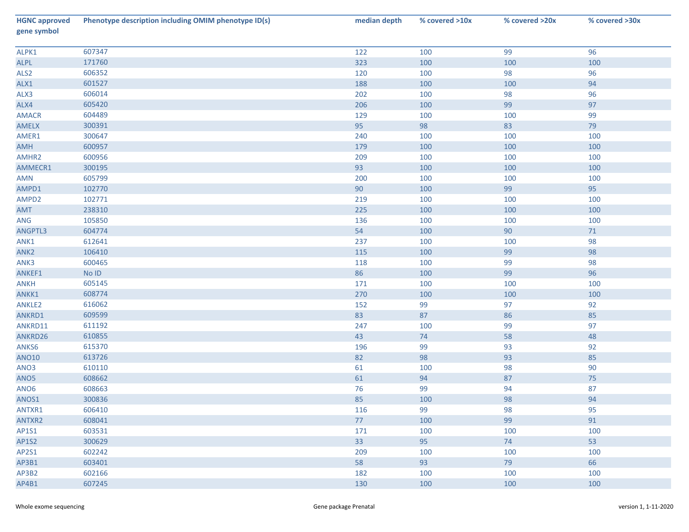| <b>HGNC approved</b><br>gene symbol | Phenotype description including OMIM phenotype ID(s) | median depth | % covered >10x | % covered >20x | % covered >30x |
|-------------------------------------|------------------------------------------------------|--------------|----------------|----------------|----------------|
| ALPK1                               | 607347                                               | 122          | 100            | 99             | 96             |
| ALPL                                | 171760                                               | 323          | 100            | 100            | 100            |
| ALS <sub>2</sub>                    | 606352                                               | 120          | 100            | 98             | 96             |
| ALX1                                | 601527                                               | 188          | 100            | 100            | 94             |
| ALX3                                | 606014                                               | 202          | 100            | 98             | 96             |
| ALX4                                | 605420                                               | 206          | 100            | 99             | 97             |
| <b>AMACR</b>                        | 604489                                               | 129          | 100            | 100            | 99             |
| AMELX                               | 300391                                               | 95           | 98             | 83             | 79             |
| AMER1                               | 300647                                               | 240          | 100            | 100            | 100            |
| AMH                                 | 600957                                               | 179          | 100            | 100            | 100            |
| AMHR2                               | 600956                                               | 209          | 100            | 100            | 100            |
| AMMECR1                             | 300195                                               | 93           | 100            | 100            | 100            |
| AMN                                 | 605799                                               | 200          | 100            | 100            | 100            |
| AMPD1                               | 102770                                               | 90           | 100            | 99             | 95             |
| AMPD2                               | 102771                                               | 219          | 100            | 100            | 100            |
| AMT                                 | 238310                                               | 225          | 100            | 100            | 100            |
| ANG                                 | 105850                                               | 136          | 100            | 100            | 100            |
| ANGPTL3                             | 604774                                               | 54           | 100            | 90             | $71\,$         |
| ANK1                                | 612641                                               | 237          | 100            | 100            | 98             |
| ANK <sub>2</sub>                    | 106410                                               | 115          | 100            | 99             | 98             |
| ANK3                                | 600465                                               | 118          | 100            | 99             | 98             |
| ANKEF1                              | $\operatorname{\sf No}\nolimits$ ID                  | 86           | 100            | 99             | 96             |
| <b>ANKH</b>                         | 605145                                               | 171          | 100            | 100            | 100            |
| ANKK1                               | 608774                                               | 270          | 100            | 100            | 100            |
| ANKLE2                              | 616062                                               | 152          | 99             | 97             | 92             |
| ANKRD1                              | 609599                                               | 83           | 87             | 86             | 85             |
| ANKRD11                             | 611192                                               | 247          | 100            | 99             | 97             |
| ANKRD26                             | 610855                                               | 43           | $74$           | 58             | 48             |
| ANKS6                               | 615370                                               | 196          | 99             | 93             | 92             |
| <b>ANO10</b>                        | 613726                                               | 82           | 98             | 93             | 85             |
| ANO3                                | 610110                                               | 61           | 100            | 98             | 90             |
| ANO <sub>5</sub>                    | 608662                                               | 61           | 94             | 87             | 75             |
| ANO <sub>6</sub>                    | 608663                                               | 76           | 99             | 94             | 87             |
| ANOS1                               | 300836                                               | 85           | 100            | 98             | 94             |
| ANTXR1                              | 606410                                               | 116          | 99             | 98             | 95             |
| ANTXR2                              | 608041                                               | 77           | 100            | 99             | 91             |
| AP1S1                               | 603531                                               | 171          | 100            | 100            | 100            |
| AP1S2                               | 300629                                               | 33           | 95             | 74             | 53             |
| AP2S1                               | 602242                                               | 209          | 100            | 100            | 100            |
| AP3B1                               | 603401                                               | 58           | 93             | 79             | 66             |
| AP3B2                               | 602166                                               | 182          | 100            | 100            | 100            |
| AP4B1                               | 607245                                               | 130          | 100            | 100            | 100            |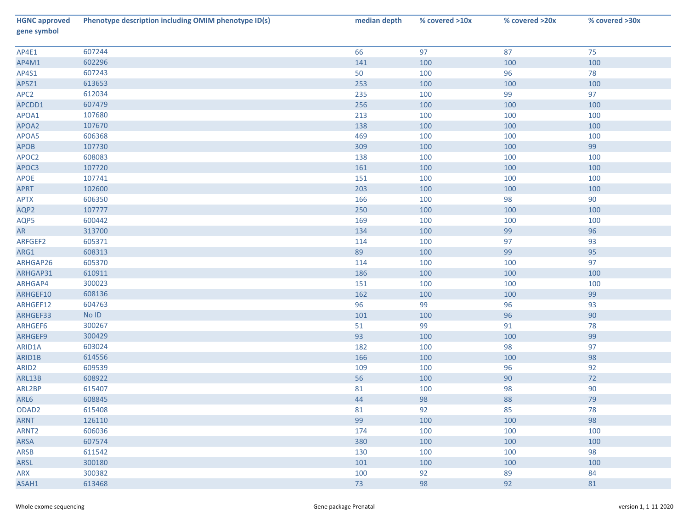| <b>HGNC approved</b><br>gene symbol | Phenotype description including OMIM phenotype ID(s) | median depth | % covered >10x | % covered >20x | % covered >30x |
|-------------------------------------|------------------------------------------------------|--------------|----------------|----------------|----------------|
| AP4E1                               | 607244                                               | 66           | 97             | 87             | 75             |
| AP4M1                               | 602296                                               | 141          | 100            | 100            | 100            |
| AP4S1                               | 607243                                               | 50           | 100            | 96             | 78             |
| AP5Z1                               | 613653                                               | 253          | 100            | 100            | 100            |
| APC <sub>2</sub>                    | 612034                                               | 235          | 100            | 99             | 97             |
| APCDD1                              | 607479                                               | 256          | 100            | 100            | 100            |
| APOA1                               | 107680                                               | 213          | 100            | 100            | 100            |
| APOA2                               | 107670                                               | 138          | 100            | 100            | 100            |
| APOA5                               | 606368                                               | 469          | 100            | 100            | 100            |
| APOB                                | 107730                                               | 309          | 100            | 100            | 99             |
| APOC2                               | 608083                                               | 138          | 100            | 100            | 100            |
| APOC3                               | 107720                                               | 161          | 100            | 100            | 100            |
| <b>APOE</b>                         | 107741                                               | 151          | 100            | 100            | 100            |
| <b>APRT</b>                         | 102600                                               | 203          | 100            | 100            | 100            |
| <b>APTX</b>                         | 606350                                               | 166          | 100            | 98             | 90             |
| AQP2                                | 107777                                               | 250          | 100            | 100            | 100            |
| AQP5                                | 600442                                               | 169          | 100            | 100            | 100            |
| ${\sf AR}$                          | 313700                                               | 134          | 100            | 99             | 96             |
| ARFGEF2                             | 605371                                               | 114          | 100            | 97             | 93             |
| ARG1                                | 608313                                               | 89           | 100            | 99             | 95             |
| ARHGAP26                            | 605370                                               | 114          | 100            | 100            | 97             |
| ARHGAP31                            | 610911                                               | 186          | 100            | 100            | 100            |
| ARHGAP4                             | 300023                                               | 151          | 100            | 100            | 100            |
| ARHGEF10                            | 608136                                               | 162          | 100            | 100            | 99             |
| ARHGEF12                            | 604763                                               | 96           | 99             | 96             | 93             |
| ARHGEF33                            | $No$ $ID$                                            | 101          | 100            | 96             | 90             |
| ARHGEF6                             | 300267                                               | 51           | 99             | 91             | 78             |
| ARHGEF9                             | 300429                                               | 93           | 100            | 100            | 99             |
| ARID1A                              | 603024                                               | 182          | 100            | 98             | 97             |
| ARID1B                              | 614556                                               | 166          | 100            | 100            | 98             |
| ARID <sub>2</sub>                   | 609539                                               | 109          | 100            | 96             | 92             |
| ARL13B                              | 608922                                               | 56           | 100            | 90             | 72             |
| ARL2BP                              | 615407                                               | 81           | 100            | 98             | $90\,$         |
| ARL6                                | 608845                                               | 44           | 98             | 88             | 79             |
| ODAD <sub>2</sub>                   | 615408                                               | 81           | 92             | 85             | 78             |
| <b>ARNT</b>                         | 126110                                               | 99           | 100            | 100            | 98             |
| ARNT <sub>2</sub>                   | 606036                                               | 174          | 100            | 100            | 100            |
| ARSA                                | 607574                                               | 380          | 100            | 100            | 100            |
| ARSB                                | 611542                                               | 130          | 100            | 100            | 98             |
| <b>ARSL</b>                         | 300180                                               | 101          | 100            | 100            | 100            |
| ARX                                 | 300382                                               | 100          | 92             | 89             | 84             |
| ASAH1                               | 613468                                               | 73           | 98             | 92             | 81             |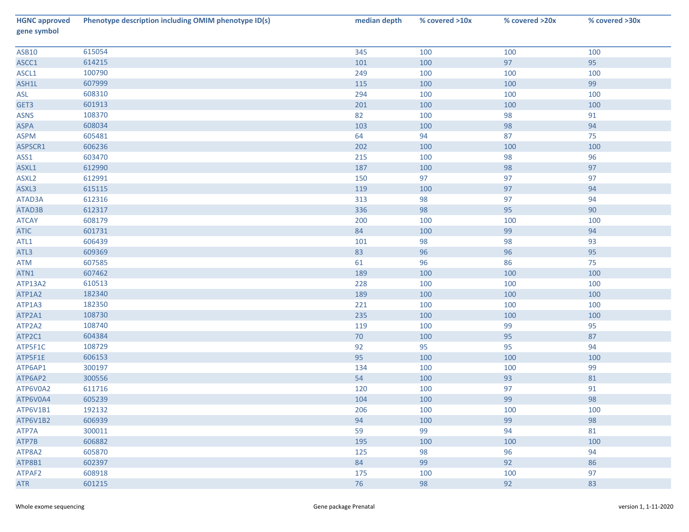| <b>HGNC approved</b><br>gene symbol | Phenotype description including OMIM phenotype ID(s) | median depth | % covered >10x | % covered >20x | % covered >30x |
|-------------------------------------|------------------------------------------------------|--------------|----------------|----------------|----------------|
| <b>ASB10</b>                        | 615054                                               | 345          | 100            | 100            | 100            |
| ASCC1                               | 614215                                               | 101          | 100            | 97             | 95             |
| ASCL1                               | 100790                                               | 249          | 100            | 100            | 100            |
| ASH1L                               | 607999                                               | 115          | 100            | 100            | 99             |
| ASL                                 | 608310                                               | 294          | 100            | 100            | 100            |
| GET3                                | 601913                                               | 201          | 100            | 100            | 100            |
| <b>ASNS</b>                         | 108370                                               | 82           | 100            | 98             | 91             |
| ASPA                                | 608034                                               | 103          | 100            | 98             | 94             |
| <b>ASPM</b>                         | 605481                                               | 64           | 94             | 87             | 75             |
| ASPSCR1                             | 606236                                               | 202          | 100            | 100            | 100            |
| ASS1                                | 603470                                               | 215          | 100            | 98             | 96             |
| ASXL1                               | 612990                                               | 187          | 100            | 98             | 97             |
| ASXL <sub>2</sub>                   | 612991                                               | 150          | 97             | 97             | 97             |
| ASXL3                               | 615115                                               | 119          | 100            | 97             | 94             |
| ATAD3A                              | 612316                                               | 313          | 98             | 97             | 94             |
| ATAD3B                              | 612317                                               | 336          | 98             | 95             | 90             |
| <b>ATCAY</b>                        | 608179                                               | 200          | 100            | 100            | 100            |
| <b>ATIC</b>                         | 601731                                               | 84           | 100            | 99             | 94             |
| ATL1                                | 606439                                               | 101          | 98             | 98             | 93             |
| ATL3                                | 609369                                               | 83           | 96             | 96             | 95             |
| ATM                                 | 607585                                               | 61           | 96             | 86             | 75             |
| ATN1                                | 607462                                               | 189          | 100            | 100            | 100            |
| ATP13A2                             | 610513                                               | 228          | 100            | 100            | 100            |
| ATP1A2                              | 182340                                               | 189          | 100            | 100            | 100            |
| ATP1A3                              | 182350                                               | 221          | 100            | 100            | 100            |
| ATP2A1                              | 108730                                               | 235          | 100            | 100            | 100            |
| ATP2A2                              | 108740                                               | 119          | 100            | 99             | 95             |
| ATP2C1                              | 604384                                               | 70           | 100            | 95             | 87             |
| ATP5F1C                             | 108729                                               | 92           | 95             | 95             | 94             |
| ATP5F1E                             | 606153                                               | 95           | 100            | 100            | 100            |
| ATP6AP1                             | 300197                                               | 134          | 100            | 100            | 99             |
| ATP6AP2                             | 300556                                               | 54           | 100            | 93             | 81             |
| ATP6V0A2                            | 611716                                               | 120          | 100            | 97             | 91             |
| ATP6V0A4                            | 605239                                               | 104          | 100            | 99             | 98             |
| ATP6V1B1                            | 192132                                               | 206          | 100            | 100            | 100            |
| ATP6V1B2                            | 606939                                               | 94           | 100            | 99             | 98             |
| ATP7A                               | 300011                                               | 59           | 99             | 94             | 81             |
| ATP7B                               | 606882                                               | 195          | 100            | 100            | 100            |
| ATP8A2                              | 605870                                               | 125          | 98             | 96             | 94             |
| ATP8B1                              | 602397                                               | 84           | 99             | 92             | 86             |
| ATPAF2                              | 608918                                               | 175          | 100            | 100            | 97             |
| <b>ATR</b>                          | 601215                                               | 76           | 98             | 92             | 83             |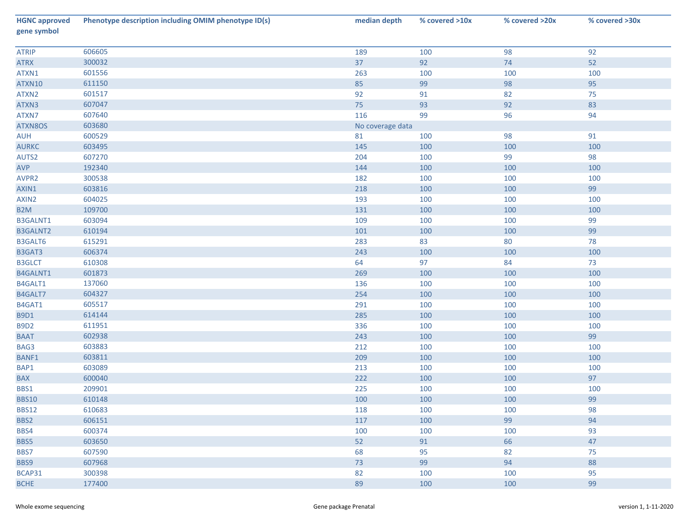| <b>HGNC approved</b><br>gene symbol | Phenotype description including OMIM phenotype ID(s) | median depth     | % covered >10x | % covered >20x | % covered >30x |
|-------------------------------------|------------------------------------------------------|------------------|----------------|----------------|----------------|
| <b>ATRIP</b>                        | 606605                                               | 189              | 100            | 98             | 92             |
| <b>ATRX</b>                         | 300032                                               | 37               | 92             | 74             | 52             |
| ATXN1                               | 601556                                               | 263              | 100            | 100            | 100            |
| ATXN10                              | 611150                                               | 85               | 99             | 98             | 95             |
| ATXN2                               | 601517                                               | 92               | 91             | 82             | 75             |
| ATXN3                               | 607047                                               | 75               | 93             | 92             | 83             |
| ATXN7                               | 607640                                               | 116              | 99             | 96             | 94             |
| ATXN8OS                             | 603680                                               | No coverage data |                |                |                |
| AUH                                 | 600529                                               | 81               | 100            | 98             | 91             |
| <b>AURKC</b>                        | 603495                                               | 145              | 100            | 100            | 100            |
| AUTS2                               | 607270                                               | 204              | 100            | 99             | 98             |
| AVP                                 | 192340                                               | 144              | 100            | 100            | 100            |
| AVPR2                               | 300538                                               | 182              | 100            | 100            | 100            |
| AXIN1                               | 603816                                               | 218              | 100            | 100            | 99             |
| AXIN2                               | 604025                                               | 193              | 100            | 100            | 100            |
| B <sub>2</sub> M                    | 109700                                               | 131              | 100            | 100            | 100            |
| B3GALNT1                            | 603094                                               | 109              | 100            | 100            | 99             |
| B3GALNT2                            | 610194                                               | 101              | 100            | 100            | 99             |
| B3GALT6                             | 615291                                               | 283              | 83             | 80             | 78             |
| B3GAT3                              | 606374                                               | 243              | 100            | 100            | 100            |
| <b>B3GLCT</b>                       | 610308                                               | 64               | 97             | 84             | 73             |
| B4GALNT1                            | 601873                                               | 269              | 100            | 100            | 100            |
| B4GALT1                             | 137060                                               | 136              | 100            | 100            | 100            |
| B4GALT7                             | 604327                                               | 254              | 100            | 100            | 100            |
| B4GAT1                              | 605517                                               | 291              | 100            | 100            | 100            |
| <b>B9D1</b>                         | 614144                                               | 285              | 100            | 100            | 100            |
| <b>B9D2</b>                         | 611951                                               | 336              | 100            | 100            | 100            |
| <b>BAAT</b>                         | 602938                                               | 243              | 100            | 100            | 99             |
| BAG3                                | 603883                                               | 212              | 100            | 100            | 100            |
| BANF1                               | 603811                                               | 209              | 100            | 100            | 100            |
| BAP1                                | 603089                                               | 213              | 100            | 100            | 100            |
| <b>BAX</b>                          | 600040                                               | 222              | 100            | 100            | 97             |
| BBS1                                | 209901                                               | 225              | 100            | 100            | 100            |
| <b>BBS10</b>                        | 610148                                               | 100              | 100            | 100            | 99             |
| <b>BBS12</b>                        | 610683                                               | 118              | 100            | 100            | 98             |
| BBS2                                | 606151                                               | 117              | 100            | 99             | 94             |
| BBS4                                | 600374                                               | 100              | 100            | 100            | 93             |
| BBS5                                | 603650                                               | 52               | 91             | 66             | 47             |
| BBS7                                | 607590                                               | 68               | 95             | 82             | 75             |
| BBS9                                | 607968                                               | 73               | 99             | 94             | 88             |
| BCAP31                              | 300398                                               | 82               | 100            | 100            | 95             |
| <b>BCHE</b>                         | 177400                                               | 89               | 100            | 100            | 99             |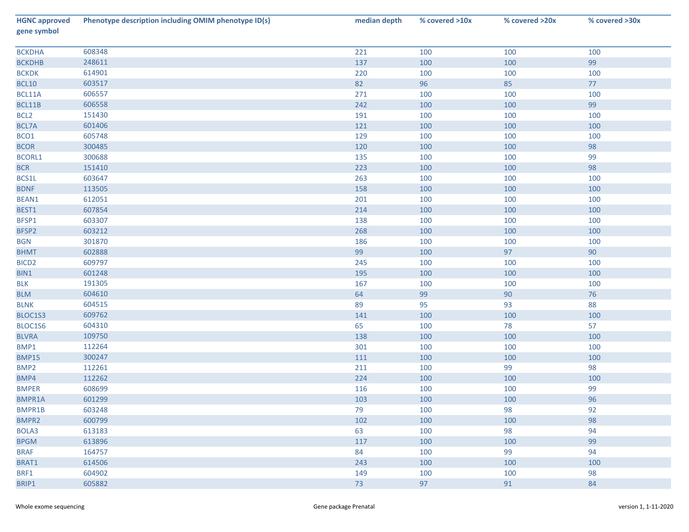| <b>HGNC approved</b><br>gene symbol | Phenotype description including OMIM phenotype ID(s) | median depth | % covered >10x | % covered >20x | % covered >30x |
|-------------------------------------|------------------------------------------------------|--------------|----------------|----------------|----------------|
| <b>BCKDHA</b>                       | 608348                                               | 221          | 100            | 100            | 100            |
| <b>BCKDHB</b>                       | 248611                                               | 137          | 100            | 100            | 99             |
| <b>BCKDK</b>                        | 614901                                               | 220          | 100            | 100            | 100            |
| <b>BCL10</b>                        | 603517                                               | 82           | 96             | 85             | 77             |
| BCL11A                              | 606557                                               | 271          | 100            | 100            | 100            |
| BCL11B                              | 606558                                               | 242          | 100            | 100            | 99             |
| BCL <sub>2</sub>                    | 151430                                               | 191          | 100            | 100            | 100            |
| BCL7A                               | 601406                                               | 121          | 100            | 100            | 100            |
| BCO1                                | 605748                                               | 129          | 100            | 100            | 100            |
| <b>BCOR</b>                         | 300485                                               | 120          | 100            | 100            | 98             |
| <b>BCORL1</b>                       | 300688                                               | 135          | 100            | 100            | 99             |
| <b>BCR</b>                          | 151410                                               | 223          | 100            | 100            | 98             |
| BCS1L                               | 603647                                               | 263          | 100            | 100            | 100            |
| <b>BDNF</b>                         | 113505                                               | 158          | 100            | 100            | 100            |
| BEAN1                               | 612051                                               | 201          | 100            | 100            | 100            |
| BEST1                               | 607854                                               | 214          | 100            | 100            | 100            |
| BFSP1                               | 603307                                               | 138          | 100            | 100            | 100            |
| BFSP2                               | 603212                                               | 268          | 100            | 100            | 100            |
| <b>BGN</b>                          | 301870                                               | 186          | 100            | 100            | 100            |
| <b>BHMT</b>                         | 602888                                               | 99           | 100            | 97             | 90             |
| BICD <sub>2</sub>                   | 609797                                               | 245          | 100            | 100            | 100            |
| BIN1                                | 601248                                               | 195          | 100            | 100            | 100            |
| <b>BLK</b>                          | 191305                                               | 167          | 100            | 100            | 100            |
| <b>BLM</b>                          | 604610                                               | 64           | 99             | 90             | 76             |
| <b>BLNK</b>                         | 604515                                               | 89           | 95             | 93             | 88             |
| BLOC1S3                             | 609762                                               | 141          | 100            | 100            | 100            |
| BLOC1S6                             | 604310                                               | 65           | 100            | 78             | 57             |
| <b>BLVRA</b>                        | 109750                                               | 138          | 100            | 100            | 100            |
| BMP1                                | 112264                                               | 301          | 100            | 100            | 100            |
| <b>BMP15</b>                        | 300247                                               | 111          | 100            | 100            | 100            |
| BMP <sub>2</sub>                    | 112261                                               | 211          | 100            | 99             | 98             |
| BMP4                                | 112262                                               | 224          | 100            | 100            | 100            |
| <b>BMPER</b>                        | 608699                                               | 116          | 100            | 100            | 99             |
| BMPR1A                              | 601299                                               | 103          | 100            | 100            | 96             |
| BMPR1B                              | 603248                                               | 79           | 100            | 98             | 92             |
| BMPR2                               | 600799                                               | 102          | 100            | 100            | 98             |
| BOLA3                               | 613183                                               | 63           | 100            | 98             | 94             |
| <b>BPGM</b>                         | 613896                                               | 117          | 100            | 100            | 99             |
| <b>BRAF</b>                         | 164757                                               | 84           | 100            | 99             | 94             |
| BRAT1                               | 614506                                               | 243          | 100            | 100            | 100            |
| BRF1                                | 604902                                               | 149          | 100            | 100            | 98             |
| BRIP1                               | 605882                                               | 73           | 97             | 91             | 84             |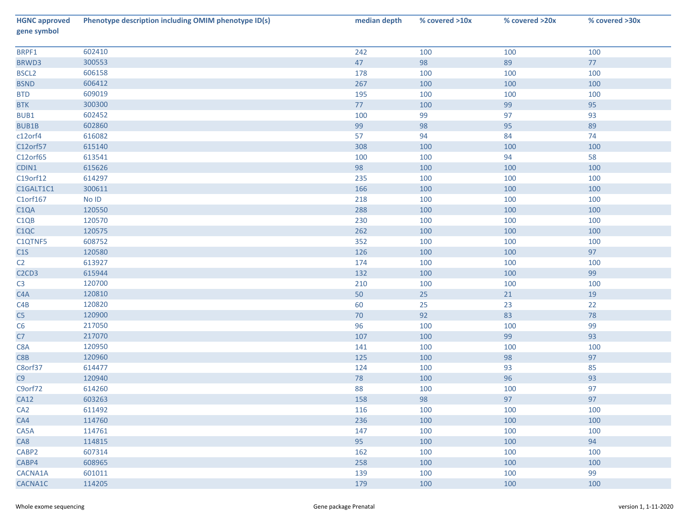| <b>HGNC approved</b><br>gene symbol        | Phenotype description including OMIM phenotype ID(s) | median depth | % covered >10x | % covered >20x | % covered >30x |
|--------------------------------------------|------------------------------------------------------|--------------|----------------|----------------|----------------|
| BRPF1                                      | 602410                                               | 242          | 100            | 100            | 100            |
| BRWD3                                      | 300553                                               | 47           | 98             | 89             | 77             |
| BSCL <sub>2</sub>                          | 606158                                               | 178          | 100            | 100            | 100            |
| <b>BSND</b>                                | 606412                                               | 267          | 100            | 100            | 100            |
| <b>BTD</b>                                 | 609019                                               | 195          | 100            | 100            | 100            |
| <b>BTK</b>                                 | 300300                                               | 77           | 100            | 99             | 95             |
| BUB1                                       | 602452                                               | 100          | 99             | 97             | 93             |
| <b>BUB1B</b>                               | 602860                                               | 99           | 98             | 95             | 89             |
| c12orf4                                    | 616082                                               | 57           | 94             | 84             | 74             |
| C12orf57                                   | 615140                                               | 308          | 100            | 100            | 100            |
| C12orf65                                   | 613541                                               | 100          | 100            | 94             | 58             |
| CDIN1                                      | 615626                                               | 98           | 100            | 100            | 100            |
| C19orf12                                   | 614297                                               | 235          | 100            | 100            | 100            |
| C1GALT1C1                                  | 300611                                               | 166          | 100            | 100            | 100            |
| C1orf167                                   | No ID                                                | 218          | 100            | 100            | 100            |
| C1QA                                       | 120550                                               | 288          | 100            | 100            | 100            |
| C1QB                                       | 120570                                               | 230          | 100            | 100            | 100            |
| C1QC                                       | 120575                                               | 262          | 100            | 100            | 100            |
| C1QTNF5                                    | 608752                                               | 352          | 100            | 100            | 100            |
| C1S                                        | 120580                                               | 126          | 100            | 100            | 97             |
| C <sub>2</sub>                             | 613927                                               | 174          | 100            | 100            | 100            |
| C <sub>2</sub> C <sub>D</sub> <sub>3</sub> | 615944                                               | 132          | 100            | 100            | 99             |
| C <sub>3</sub>                             | 120700                                               | 210          | 100            | 100            | 100            |
| C4A                                        | 120810                                               | 50           | 25             | 21             | $19\,$         |
| C4B                                        | 120820                                               | 60           | 25             | 23             | 22             |
| C5                                         | 120900                                               | 70           | 92             | 83             | 78             |
| C6                                         | 217050                                               | 96           | 100            | 100            | 99             |
| ${\sf C7}$                                 | 217070                                               | 107          | 100            | 99             | 93             |
| C8A                                        | 120950                                               | 141          | 100            | 100            | 100            |
| C8B                                        | 120960                                               | 125          | 100            | 98             | 97             |
| C8orf37                                    | 614477                                               | 124          | 100            | 93             | 85             |
| $C9$                                       | 120940                                               | 78           | 100            | 96             | 93             |
| C9orf72                                    | 614260                                               | 88           | 100            | 100            | 97             |
| <b>CA12</b>                                | 603263                                               | 158          | 98             | 97             | 97             |
| CA <sub>2</sub>                            | 611492                                               | 116          | 100            | 100            | 100            |
| CA4                                        | 114760                                               | 236          | 100            | 100            | 100            |
| CA5A                                       | 114761                                               | 147          | 100            | 100            | 100            |
| CA8                                        | 114815                                               | 95           | 100            | 100            | 94             |
| CABP2                                      | 607314                                               | 162          | 100            | 100            | 100            |
| CABP4                                      | 608965                                               | 258          | 100            | 100            | 100            |
| CACNA1A                                    | 601011                                               | 139          | 100            | 100            | 99             |
| CACNA1C                                    | 114205                                               | 179          | 100            | 100            | 100            |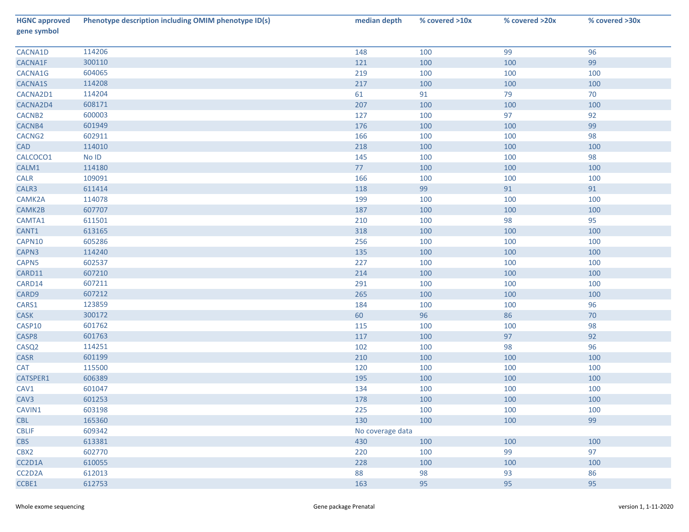| <b>HGNC approved</b><br>gene symbol | Phenotype description including OMIM phenotype ID(s) | median depth     | % covered >10x | % covered >20x | % covered >30x |
|-------------------------------------|------------------------------------------------------|------------------|----------------|----------------|----------------|
| CACNA1D                             | 114206                                               | 148              | 100            | 99             | 96             |
| CACNA1F                             | 300110                                               | 121              | 100            | 100            | 99             |
| CACNA1G                             | 604065                                               | 219              | 100            | 100            | 100            |
| CACNA1S                             | 114208                                               | 217              | 100            | 100            | 100            |
| CACNA2D1                            | 114204                                               | 61               | 91             | 79             | 70             |
| CACNA2D4                            | 608171                                               | 207              | 100            | 100            | 100            |
| CACNB2                              | 600003                                               | 127              | 100            | 97             | 92             |
| CACNB4                              | 601949                                               | 176              | 100            | 100            | 99             |
| CACNG <sub>2</sub>                  | 602911                                               | 166              | 100            | 100            | 98             |
| CAD                                 | 114010                                               | 218              | 100            | 100            | 100            |
| CALCOCO1                            | No ID                                                | 145              | 100            | 100            | 98             |
| CALM1                               | 114180                                               | 77               | 100            | 100            | 100            |
| <b>CALR</b>                         | 109091                                               | 166              | 100            | 100            | 100            |
| CALR3                               | 611414                                               | 118              | 99             | 91             | 91             |
| CAMK2A                              | 114078                                               | 199              | 100            | 100            | 100            |
| CAMK2B                              | 607707                                               | 187              | 100            | 100            | 100            |
| CAMTA1                              | 611501                                               | 210              | 100            | 98             | 95             |
| CANT1                               | 613165                                               | 318              | 100            | 100            | 100            |
| CAPN10                              | 605286                                               | 256              | 100            | 100            | 100            |
| CAPN3                               | 114240                                               | 135              | 100            | 100            | 100            |
| CAPN5                               | 602537                                               | 227              | 100            | 100            | 100            |
| CARD11                              | 607210                                               | 214              | 100            | 100            | 100            |
| CARD14                              | 607211                                               | 291              | 100            | 100            | 100            |
| CARD9                               | 607212                                               | 265              | 100            | 100            | 100            |
| CARS1                               | 123859                                               | 184              | 100            | 100            | 96             |
| <b>CASK</b>                         | 300172                                               | 60               | 96             | 86             | 70             |
| CASP10                              | 601762                                               | 115              | 100            | 100            | 98             |
| CASP8                               | 601763                                               | 117              | 100            | 97             | 92             |
| CASQ <sub>2</sub>                   | 114251                                               | 102              | 100            | 98             | 96             |
| CASR                                | 601199                                               | 210              | 100            | 100            | 100            |
| <b>CAT</b>                          | 115500                                               | 120              | 100            | 100            | 100            |
| CATSPER1                            | 606389                                               | 195              | 100            | 100            | 100            |
| CAV1                                | 601047                                               | 134              | 100            | 100            | 100            |
| CAV <sub>3</sub>                    | 601253                                               | 178              | 100            | 100            | 100            |
| CAVIN1                              | 603198                                               | 225              | 100            | 100            | 100            |
| <b>CBL</b>                          | 165360                                               | 130              | 100            | 100            | 99             |
| <b>CBLIF</b>                        | 609342                                               | No coverage data |                |                |                |
| <b>CBS</b>                          | 613381                                               | 430              | 100            | 100            | 100            |
| CBX2                                | 602770                                               | 220              | 100            | 99             | 97             |
| CC2D1A                              | 610055                                               | 228              | 100            | 100            | 100            |
| CC2D2A                              | 612013                                               | 88               | 98             | 93             | 86             |
| CCBE1                               | 612753                                               | 163              | 95             | 95             | 95             |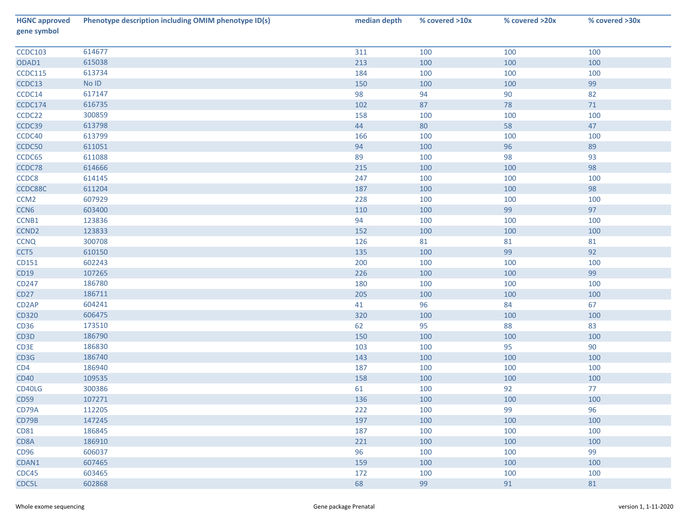| <b>HGNC approved</b><br>gene symbol | Phenotype description including OMIM phenotype ID(s) | median depth | % covered >10x | % covered >20x | % covered >30x |
|-------------------------------------|------------------------------------------------------|--------------|----------------|----------------|----------------|
| CCDC103                             | 614677                                               | 311          | 100            | 100            | 100            |
| ODAD1                               | 615038                                               | 213          | 100            | 100            | 100            |
| CCDC115                             | 613734                                               | 184          | 100            | 100            | 100            |
| CCDC13                              | $\operatorname{\mathsf{No}}$ ID                      | 150          | 100            | 100            | 99             |
| CCDC14                              | 617147                                               | 98           | 94             | 90             | 82             |
| CCDC174                             | 616735                                               | 102          | 87             | 78             | 71             |
| CCDC22                              | 300859                                               | 158          | 100            | 100            | 100            |
| CCDC39                              | 613798                                               | 44           | 80             | 58             | 47             |
| CCDC40                              | 613799                                               | 166          | 100            | 100            | 100            |
| CCDC50                              | 611051                                               | 94           | 100            | 96             | 89             |
| CCDC65                              | 611088                                               | 89           | 100            | 98             | 93             |
| CCDC78                              | 614666                                               | 215          | 100            | 100            | 98             |
| CCDC8                               | 614145                                               | 247          | 100            | 100            | 100            |
| CCDC88C                             | 611204                                               | 187          | 100            | 100            | 98             |
| CCM <sub>2</sub>                    | 607929                                               | 228          | 100            | 100            | 100            |
| CCN <sub>6</sub>                    | 603400                                               | 110          | 100            | 99             | 97             |
| CCNB1                               | 123836                                               | 94           | 100            | 100            | 100            |
| CCND <sub>2</sub>                   | 123833                                               | 152          | 100            | 100            | 100            |
| <b>CCNQ</b>                         | 300708                                               | 126          | 81             | 81             | 81             |
| CCT5                                | 610150                                               | 135          | 100            | 99             | 92             |
| CD151                               | 602243                                               | 200          | 100            | 100            | 100            |
| CD19                                | 107265                                               | 226          | 100            | 100            | 99             |
| CD247                               | 186780                                               | 180          | 100            | 100            | 100            |
| <b>CD27</b>                         | 186711                                               | 205          | 100            | 100            | 100            |
| CD <sub>2</sub> AP                  | 604241                                               | 41           | 96             | 84             | 67             |
| CD320                               | 606475                                               | 320          | 100            | 100            | 100            |
| CD36                                | 173510                                               | 62           | 95             | 88             | 83             |
| CD3D                                | 186790                                               | 150          | 100            | 100            | 100            |
| CD3E                                | 186830                                               | 103          | 100            | 95             | 90             |
| CD3G                                | 186740                                               | 143          | 100            | 100            | 100            |
| CD4                                 | 186940                                               | 187          | 100            | 100            | 100            |
| <b>CD40</b>                         | 109535                                               | 158          | 100            | 100            | 100            |
| CD40LG                              | 300386                                               | 61           | 100            | 92             | 77             |
| <b>CD59</b>                         | 107271                                               | 136          | 100            | 100            | 100            |
| CD79A                               | 112205                                               | 222          | 100            | 99             | 96             |
| CD79B                               | 147245                                               | 197          | 100            | 100            | 100            |
| CD81                                | 186845                                               | 187          | 100            | 100            | 100            |
| CD8A                                | 186910                                               | 221          | 100            | 100            | 100            |
| CD96                                | 606037                                               | 96           | 100            | 100            | 99             |
| CDAN1                               | 607465                                               | 159          | 100            | 100            | 100            |
| CDC45                               | 603465                                               | 172          | 100            | 100            | 100            |
| CDC5L                               | 602868                                               | 68           | 99             | 91             | 81             |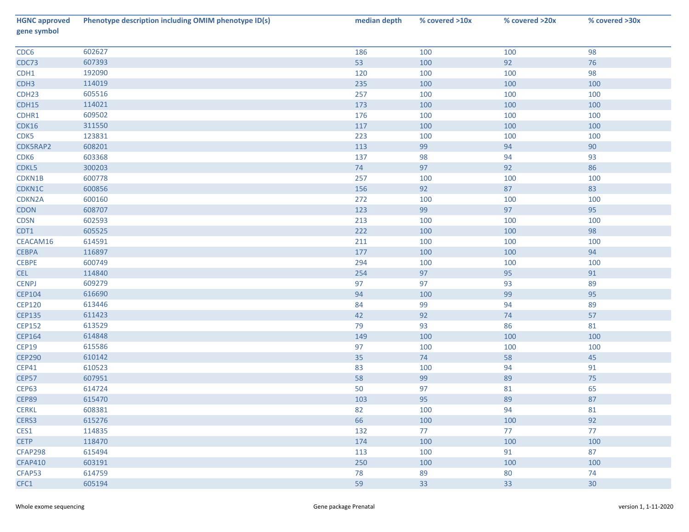| <b>HGNC approved</b><br>gene symbol | Phenotype description including OMIM phenotype ID(s) | median depth | % covered >10x | % covered >20x | % covered >30x |
|-------------------------------------|------------------------------------------------------|--------------|----------------|----------------|----------------|
| CDC6                                | 602627                                               | 186          | 100            | 100            | 98             |
| CDC73                               | 607393                                               | 53           | 100            | 92             | 76             |
| CDH1                                | 192090                                               | 120          | 100            | 100            | 98             |
| CDH <sub>3</sub>                    | 114019                                               | 235          | 100            | 100            | 100            |
| CDH <sub>23</sub>                   | 605516                                               | 257          | 100            | 100            | 100            |
| CDH15                               | 114021                                               | 173          | 100            | 100            | 100            |
| CDHR1                               | 609502                                               | 176          | 100            | 100            | 100            |
| CDK16                               | 311550                                               | $117\,$      | 100            | 100            | 100            |
| CDK5                                | 123831                                               | 223          | 100            | 100            | 100            |
| CDK5RAP2                            | 608201                                               | 113          | 99             | 94             | 90             |
| CDK6                                | 603368                                               | 137          | 98             | 94             | 93             |
| CDKL5                               | 300203                                               | 74           | 97             | 92             | 86             |
| CDKN1B                              | 600778                                               | 257          | 100            | 100            | 100            |
| CDKN1C                              | 600856                                               | 156          | 92             | 87             | 83             |
| CDKN2A                              | 600160                                               | 272          | 100            | 100            | 100            |
| <b>CDON</b>                         | 608707                                               | 123          | 99             | 97             | 95             |
| <b>CDSN</b>                         | 602593                                               | 213          | 100            | 100            | 100            |
| CDT1                                | 605525                                               | 222          | 100            | 100            | 98             |
| CEACAM16                            | 614591                                               | 211          | 100            | 100            | 100            |
| <b>CEBPA</b>                        | 116897                                               | 177          | 100            | 100            | 94             |
| <b>CEBPE</b>                        | 600749                                               | 294          | 100            | 100            | 100            |
| <b>CEL</b>                          | 114840                                               | 254          | 97             | 95             | 91             |
| <b>CENPJ</b>                        | 609279                                               | 97           | 97             | 93             | 89             |
| <b>CEP104</b>                       | 616690                                               | 94           | 100            | 99             | 95             |
| <b>CEP120</b>                       | 613446                                               | 84           | 99             | 94             | 89             |
| <b>CEP135</b>                       | 611423                                               | 42           | 92             | 74             | 57             |
| <b>CEP152</b>                       | 613529                                               | 79           | 93             | 86             | 81             |
| CEP164                              | 614848                                               | 149          | 100            | 100            | 100            |
| <b>CEP19</b>                        | 615586                                               | 97           | 100            | 100            | 100            |
| <b>CEP290</b>                       | 610142                                               | 35           | $74$           | 58             | 45             |
| <b>CEP41</b>                        | 610523                                               | 83           | 100            | 94             | 91             |
| <b>CEP57</b>                        | 607951                                               | 58           | 99             | 89             | 75             |
| <b>CEP63</b>                        | 614724                                               | 50           | 97             | 81             | 65             |
| <b>CEP89</b>                        | 615470                                               | 103          | 95             | 89             | 87             |
| <b>CERKL</b>                        | 608381                                               | 82           | 100            | 94             | 81             |
| CERS3                               | 615276                                               | 66           | 100            | 100            | 92             |
| CES1                                | 114835                                               | 132          | 77             | 77             | 77             |
| <b>CETP</b>                         | 118470                                               | 174          | 100            | 100            | 100            |
| <b>CFAP298</b>                      | 615494                                               | 113          | 100            | 91             | 87             |
| <b>CFAP410</b>                      | 603191                                               | 250          | 100            | 100            | 100            |
| CFAP53                              | 614759                                               | 78           | 89             | 80             | 74             |
| CFC1                                | 605194                                               | 59           | 33             | 33             | 30             |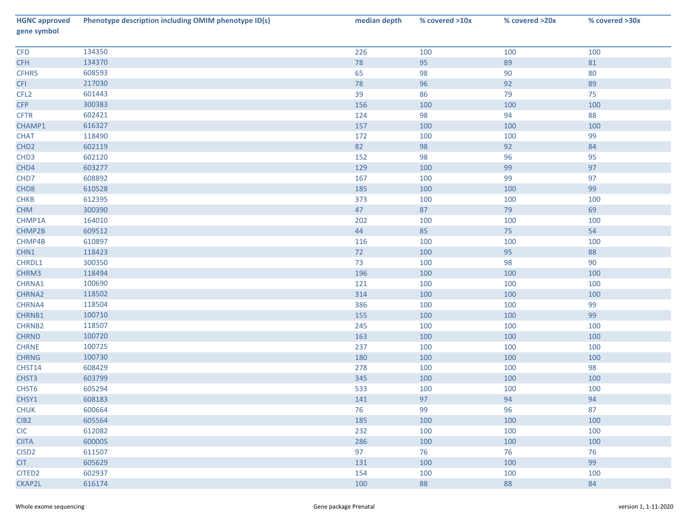| <b>HGNC approved</b><br>gene symbol | Phenotype description including OMIM phenotype ID(s) | median depth | % covered >10x | % covered >20x | % covered >30x |
|-------------------------------------|------------------------------------------------------|--------------|----------------|----------------|----------------|
| CFD                                 | 134350                                               | 226          | 100            | 100            | 100            |
| <b>CFH</b>                          | 134370                                               | 78           | 95             | 89             | 81             |
| CFHR5                               | 608593                                               | 65           | 98             | 90             | 80             |
| <b>CFI</b>                          | 217030                                               | 78           | 96             | 92             | 89             |
| CFL <sub>2</sub>                    | 601443                                               | 39           | 86             | 79             | 75             |
| <b>CFP</b>                          | 300383                                               | 156          | 100            | 100            | 100            |
| <b>CFTR</b>                         | 602421                                               | 124          | 98             | 94             | 88             |
| CHAMP1                              | 616327                                               | 157          | 100            | 100            | 100            |
| <b>CHAT</b>                         | 118490                                               | 172          | 100            | 100            | 99             |
| CHD <sub>2</sub>                    | 602119                                               | 82           | 98             | 92             | 84             |
| CHD <sub>3</sub>                    | 602120                                               | 152          | 98             | 96             | 95             |
| CHD4                                | 603277                                               | 129          | 100            | 99             | 97             |
| CHD7                                | 608892                                               | 167          | 100            | 99             | 97             |
| CHD <sub>8</sub>                    | 610528                                               | 185          | 100            | 100            | 99             |
| CHKB                                | 612395                                               | 373          | 100            | 100            | 100            |
| CHM                                 | 300390                                               | 47           | 87             | 79             | 69             |
| CHMP1A                              | 164010                                               | 202          | 100            | 100            | 100            |
| CHMP2B                              | 609512                                               | 44           | 85             | 75             | 54             |
| CHMP4B                              | 610897                                               | 116          | 100            | 100            | 100            |
| CHN1                                | 118423                                               | 72           | 100            | 95             | 88             |
| CHRDL1                              | 300350                                               | 73           | 100            | 98             | $90\,$         |
| CHRM3                               | 118494                                               | 196          | 100            | 100            | 100            |
| CHRNA1                              | 100690                                               | 121          | 100            | 100            | 100            |
| CHRNA2                              | 118502                                               | 314          | 100            | 100            | 100            |
| CHRNA4                              | 118504                                               | 386          | 100            | 100            | 99             |
| CHRNB1                              | 100710                                               | 155          | 100            | 100            | 99             |
| CHRNB2                              | 118507                                               | 245          | 100            | 100            | 100            |
| <b>CHRND</b>                        | 100720                                               | 163          | 100            | 100            | 100            |
| <b>CHRNE</b>                        | 100725                                               | 237          | 100            | 100            | 100            |
| <b>CHRNG</b>                        | 100730                                               | 180          | 100            | 100            | 100            |
| CHST14                              | 608429                                               | 278          | 100            | 100            | 98             |
| CHST3                               | 603799                                               | 345          | 100            | 100            | 100            |
| CHST6                               | 605294                                               | 533          | 100            | 100            | 100            |
| CHSY1                               | 608183                                               | 141          | 97             | 94             | 94             |
| <b>CHUK</b>                         | 600664                                               | 76           | 99             | 96             | 87             |
| CIB <sub>2</sub>                    | 605564                                               | 185          | 100            | 100            | 100            |
| <b>CIC</b>                          | 612082                                               | 232          | 100            | 100            | 100            |
| <b>CIITA</b>                        | 600005                                               | 286          | 100            | 100            | 100            |
| CISD <sub>2</sub>                   | 611507                                               | 97           | 76             | 76             | 76             |
| <b>CIT</b>                          | 605629                                               | 131          | 100            | 100            | 99             |
| CITED <sub>2</sub>                  | 602937                                               | 154          | 100            | 100            | 100            |
| CKAP2L                              | 616174                                               | 100          | 88             | 88             | 84             |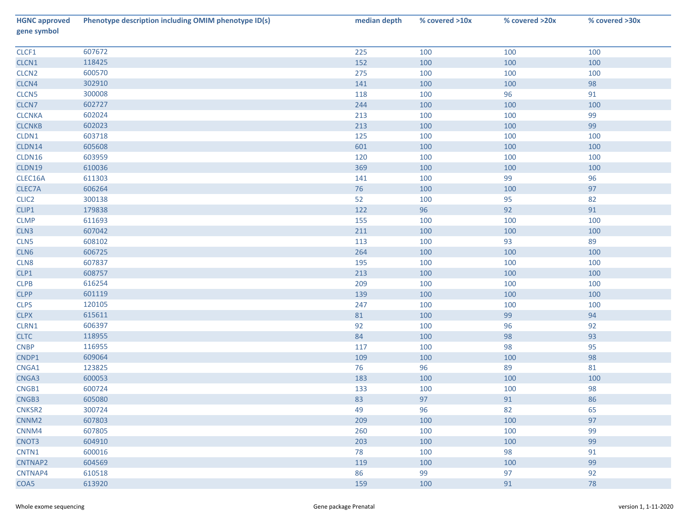| <b>HGNC approved</b><br>gene symbol | Phenotype description including OMIM phenotype ID(s) | median depth | % covered >10x | % covered >20x | % covered >30x |
|-------------------------------------|------------------------------------------------------|--------------|----------------|----------------|----------------|
| CLCF1                               | 607672                                               | 225          | 100            | 100            | 100            |
| CLCN1                               | 118425                                               | 152          | 100            | 100            | 100            |
| CLCN <sub>2</sub>                   | 600570                                               | 275          | 100            | 100            | 100            |
| CLCN4                               | 302910                                               | 141          | 100            | 100            | 98             |
| CLCN <sub>5</sub>                   | 300008                                               | 118          | 100            | 96             | 91             |
| CLCN7                               | 602727                                               | 244          | 100            | 100            | 100            |
| <b>CLCNKA</b>                       | 602024                                               | 213          | 100            | 100            | 99             |
| <b>CLCNKB</b>                       | 602023                                               | 213          | 100            | 100            | 99             |
| CLDN1                               | 603718                                               | 125          | 100            | 100            | 100            |
| CLDN14                              | 605608                                               | 601          | 100            | 100            | 100            |
| CLDN16                              | 603959                                               | 120          | 100            | 100            | 100            |
| CLDN19                              | 610036                                               | 369          | 100            | 100            | 100            |
| CLEC16A                             | 611303                                               | 141          | 100            | 99             | 96             |
| CLEC7A                              | 606264                                               | 76           | 100            | 100            | 97             |
| CLIC <sub>2</sub>                   | 300138                                               | 52           | 100            | 95             | 82             |
| CLIP1                               | 179838                                               | 122          | 96             | 92             | 91             |
| <b>CLMP</b>                         | 611693                                               | 155          | 100            | 100            | 100            |
| CLN3                                | 607042                                               | 211          | 100            | 100            | 100            |
| CLN5                                | 608102                                               | 113          | 100            | 93             | 89             |
| CLN6                                | 606725                                               | 264          | 100            | 100            | 100            |
| CLN8                                | 607837                                               | 195          | 100            | 100            | 100            |
| CLP1                                | 608757                                               | 213          | 100            | 100            | 100            |
| <b>CLPB</b>                         | 616254                                               | 209          | 100            | 100            | 100            |
| <b>CLPP</b>                         | 601119                                               | 139          | 100            | 100            | 100            |
| <b>CLPS</b>                         | 120105                                               | 247          | 100            | 100            | 100            |
| <b>CLPX</b>                         | 615611                                               | $81\,$       | 100            | 99             | 94             |
| CLRN1                               | 606397                                               | 92           | 100            | 96             | 92             |
| <b>CLTC</b>                         | 118955                                               | 84           | 100            | 98             | 93             |
| <b>CNBP</b>                         | 116955                                               | 117          | 100            | 98             | 95             |
| CNDP1                               | 609064                                               | 109          | 100            | 100            | 98             |
| CNGA1                               | 123825                                               | 76           | 96             | 89             | 81             |
| CNGA3                               | 600053                                               | 183          | 100            | 100            | 100            |
| CNGB1                               | 600724                                               | 133          | 100            | 100            | 98             |
| CNGB3                               | 605080                                               | 83           | 97             | 91             | 86             |
| CNKSR2                              | 300724                                               | 49           | 96             | 82             | 65             |
| CNNM <sub>2</sub>                   | 607803                                               | 209          | 100            | 100            | 97             |
| CNNM4                               | 607805                                               | 260          | 100            | 100            | 99             |
| CNOT3                               | 604910                                               | 203          | 100            | 100            | 99             |
| CNTN1                               | 600016                                               | 78           | 100            | 98             | 91             |
| CNTNAP2                             | 604569                                               | 119          | 100            | 100            | 99             |
| CNTNAP4                             | 610518                                               | 86           | 99             | 97             | 92             |
| COA5                                | 613920                                               | 159          | 100            | 91             | 78             |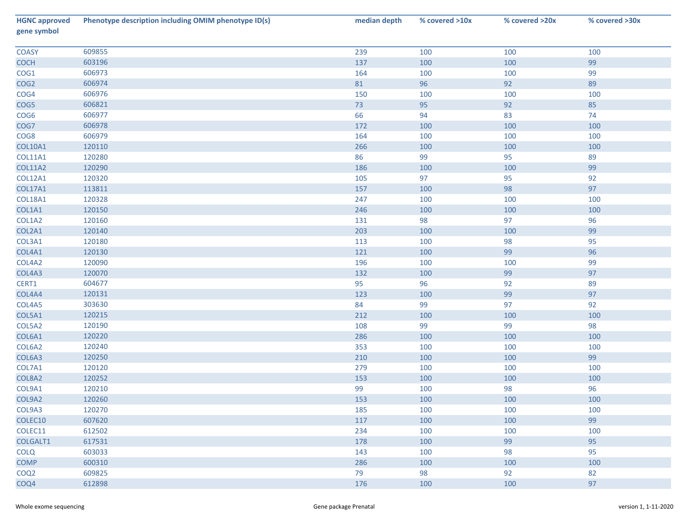| <b>HGNC approved</b><br>gene symbol | Phenotype description including OMIM phenotype ID(s) | median depth | % covered >10x | % covered >20x | % covered >30x |
|-------------------------------------|------------------------------------------------------|--------------|----------------|----------------|----------------|
| <b>COASY</b>                        | 609855                                               | 239          | 100            | 100            | 100            |
| <b>COCH</b>                         | 603196                                               | 137          | 100            | 100            | 99             |
| COG1                                | 606973                                               | 164          | 100            | 100            | 99             |
| COG <sub>2</sub>                    | 606974                                               | 81           | 96             | 92             | 89             |
| COG4                                | 606976                                               | 150          | 100            | 100            | 100            |
| COG5                                | 606821                                               | 73           | 95             | 92             | 85             |
| COG6                                | 606977                                               | 66           | 94             | 83             | 74             |
| COG7                                | 606978                                               | 172          | 100            | 100            | 100            |
| COG8                                | 606979                                               | 164          | 100            | 100            | 100            |
| <b>COL10A1</b>                      | 120110                                               | 266          | 100            | 100            | 100            |
| <b>COL11A1</b>                      | 120280                                               | 86           | 99             | 95             | 89             |
| <b>COL11A2</b>                      | 120290                                               | 186          | 100            | 100            | 99             |
| COL12A1                             | 120320                                               | 105          | 97             | 95             | 92             |
| <b>COL17A1</b>                      | 113811                                               | 157          | 100            | 98             | 97             |
| COL18A1                             | 120328                                               | 247          | 100            | 100            | 100            |
| COL1A1                              | 120150                                               | 246          | 100            | 100            | 100            |
| COL1A2                              | 120160                                               | 131          | 98             | 97             | 96             |
| COL2A1                              | 120140                                               | 203          | 100            | 100            | 99             |
| COL3A1                              | 120180                                               | 113          | 100            | 98             | 95             |
| COL4A1                              | 120130                                               | 121          | 100            | 99             | 96             |
| COL4A2                              | 120090                                               | 196          | 100            | 100            | 99             |
| COL4A3                              | 120070                                               | 132          | 100            | 99             | 97             |
| CERT1                               | 604677                                               | 95           | 96             | 92             | 89             |
| COL4A4                              | 120131                                               | 123          | 100            | 99             | 97             |
| COL4A5                              | 303630                                               | 84           | 99             | 97             | 92             |
| COL5A1                              | 120215                                               | 212          | 100            | 100            | 100            |
| COL5A2                              | 120190                                               | 108          | 99             | 99             | 98             |
| COL6A1                              | 120220                                               | 286          | 100            | 100            | 100            |
| COL6A2                              | 120240                                               | 353          | 100            | 100            | 100            |
| COL6A3                              | 120250                                               | 210          | 100            | 100            | 99             |
| COL7A1                              | 120120                                               | 279          | 100            | 100            | 100            |
| COL8A2                              | 120252                                               | 153          | 100            | 100            | 100            |
| COL9A1                              | 120210                                               | 99           | 100            | 98             | 96             |
| COL9A2                              | 120260                                               | 153          | 100            | 100            | 100            |
| COL9A3                              | 120270                                               | 185          | 100            | 100            | 100            |
| COLEC10                             | 607620                                               | 117          | 100            | 100            | 99             |
| COLEC11                             | 612502                                               | 234          | 100            | 100            | 100            |
| COLGALT1                            | 617531                                               | 178          | 100            | 99             | 95             |
| <b>COLQ</b>                         | 603033                                               | 143          | 100            | 98             | 95             |
| <b>COMP</b>                         | 600310                                               | 286          | 100            | 100            | 100            |
| COQ <sub>2</sub>                    | 609825                                               | 79           | 98             | 92             | 82             |
| COQ4                                | 612898                                               | 176          | 100            | 100            | 97             |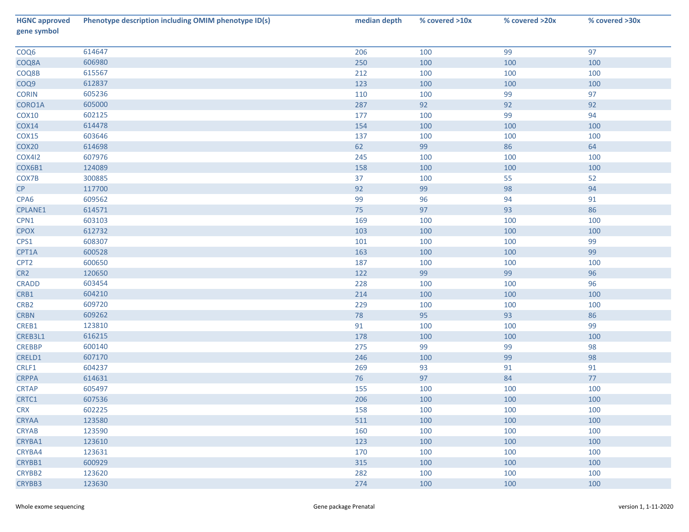| <b>HGNC approved</b><br>gene symbol | Phenotype description including OMIM phenotype ID(s) | median depth | % covered >10x | % covered >20x | % covered >30x |
|-------------------------------------|------------------------------------------------------|--------------|----------------|----------------|----------------|
| COQ6                                | 614647                                               | 206          | 100            | 99             | 97             |
| COQ8A                               | 606980                                               | 250          | 100            | 100            | 100            |
| COQ8B                               | 615567                                               | 212          | 100            | 100            | 100            |
| COQ9                                | 612837                                               | 123          | 100            | 100            | 100            |
| <b>CORIN</b>                        | 605236                                               | 110          | 100            | 99             | 97             |
| CORO1A                              | 605000                                               | 287          | 92             | 92             | 92             |
| COX10                               | 602125                                               | 177          | 100            | 99             | 94             |
| COX14                               | 614478                                               | 154          | 100            | 100            | 100            |
| COX15                               | 603646                                               | 137          | 100            | 100            | 100            |
| COX20                               | 614698                                               | 62           | 99             | 86             | 64             |
| <b>COX412</b>                       | 607976                                               | 245          | 100            | 100            | 100            |
| COX6B1                              | 124089                                               | 158          | 100            | 100            | 100            |
| COX7B                               | 300885                                               | 37           | 100            | 55             | 52             |
| CP                                  | 117700                                               | 92           | 99             | 98             | 94             |
| CPA6                                | 609562                                               | 99           | 96             | 94             | 91             |
| CPLANE1                             | 614571                                               | 75           | 97             | 93             | 86             |
| CPN1                                | 603103                                               | 169          | 100            | 100            | 100            |
| <b>CPOX</b>                         | 612732                                               | 103          | 100            | 100            | 100            |
| CPS1                                | 608307                                               | 101          | 100            | 100            | 99             |
| CPT1A                               | 600528                                               | 163          | 100            | 100            | 99             |
| CPT <sub>2</sub>                    | 600650                                               | 187          | 100            | 100            | 100            |
| CR <sub>2</sub>                     | 120650                                               | 122          | 99             | 99             | $96\,$         |
| <b>CRADD</b>                        | 603454                                               | 228          | 100            | 100            | 96             |
| CRB1                                | 604210                                               | 214          | 100            | 100            | 100            |
| CRB <sub>2</sub>                    | 609720                                               | 229          | 100            | 100            | 100            |
| <b>CRBN</b>                         | 609262                                               | 78           | 95             | 93             | 86             |
| CREB1                               | 123810                                               | 91           | 100            | 100            | 99             |
| CREB3L1                             | 616215                                               | 178          | 100            | 100            | 100            |
| <b>CREBBP</b>                       | 600140                                               | 275          | 99             | 99             | 98             |
| CRELD1                              | 607170                                               | 246          | 100            | 99             | 98             |
| CRLF1                               | 604237                                               | 269          | 93             | 91             | 91             |
| <b>CRPPA</b>                        | 614631                                               | 76           | 97             | 84             | $77\,$         |
| <b>CRTAP</b>                        | 605497                                               | 155          | 100            | 100            | 100            |
| CRTC1                               | 607536                                               | 206          | 100            | 100            | 100            |
| <b>CRX</b>                          | 602225                                               | 158          | 100            | 100            | 100            |
| <b>CRYAA</b>                        | 123580                                               | 511          | 100            | 100            | 100            |
| <b>CRYAB</b>                        | 123590                                               | 160          | 100            | 100            | 100            |
| CRYBA1                              | 123610                                               | 123          | 100            | 100            | 100            |
| CRYBA4                              | 123631                                               | 170          | 100            | 100            | 100            |
| CRYBB1                              | 600929                                               | 315          | 100            | 100            | 100            |
| CRYBB2                              | 123620                                               | 282          | 100            | 100            | 100            |
| CRYBB3                              | 123630                                               | 274          | 100            | 100            | 100            |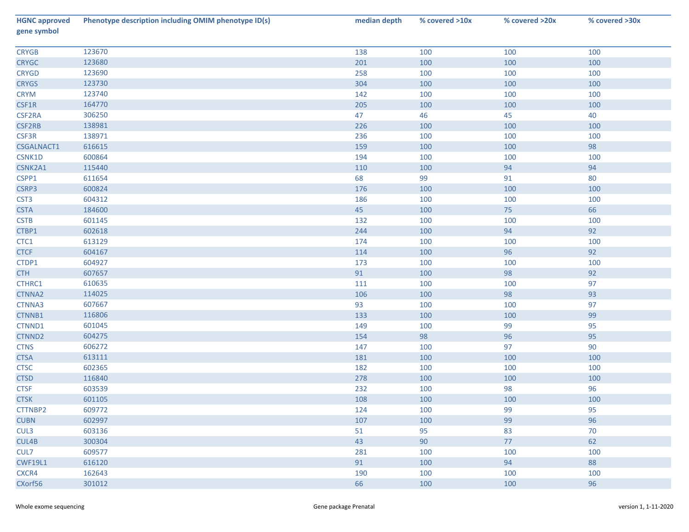| <b>HGNC approved</b><br>gene symbol | Phenotype description including OMIM phenotype ID(s) | median depth | % covered >10x | % covered >20x | % covered >30x |
|-------------------------------------|------------------------------------------------------|--------------|----------------|----------------|----------------|
| <b>CRYGB</b>                        | 123670                                               | 138          | 100            | 100            | 100            |
| <b>CRYGC</b>                        | 123680                                               | 201          | 100            | 100            | 100            |
| <b>CRYGD</b>                        | 123690                                               | 258          | 100            | 100            | 100            |
| <b>CRYGS</b>                        | 123730                                               | 304          | 100            | 100            | 100            |
| <b>CRYM</b>                         | 123740                                               | 142          | 100            | 100            | 100            |
| CSF1R                               | 164770                                               | 205          | 100            | 100            | 100            |
| CSF2RA                              | 306250                                               | 47           | 46             | 45             | 40             |
| CSF2RB                              | 138981                                               | 226          | 100            | 100            | 100            |
| CSF3R                               | 138971                                               | 236          | 100            | 100            | 100            |
| CSGALNACT1                          | 616615                                               | 159          | 100            | 100            | 98             |
| CSNK1D                              | 600864                                               | 194          | 100            | 100            | 100            |
| CSNK2A1                             | 115440                                               | 110          | 100            | 94             | 94             |
| CSPP1                               | 611654                                               | 68           | 99             | 91             | 80             |
| CSRP3                               | 600824                                               | 176          | 100            | 100            | 100            |
| CST <sub>3</sub>                    | 604312                                               | 186          | 100            | 100            | 100            |
| <b>CSTA</b>                         | 184600                                               | 45           | 100            | 75             | 66             |
| <b>CSTB</b>                         | 601145                                               | 132          | 100            | 100            | 100            |
| CTBP1                               | 602618                                               | 244          | 100            | 94             | 92             |
| CTC1                                | 613129                                               | 174          | 100            | 100            | 100            |
| <b>CTCF</b>                         | 604167                                               | 114          | 100            | 96             | 92             |
| CTDP1                               | 604927                                               | 173          | 100            | 100            | 100            |
| <b>CTH</b>                          | 607657                                               | 91           | 100            | 98             | 92             |
| CTHRC1                              | 610635                                               | 111          | 100            | 100            | 97             |
| CTNNA2                              | 114025                                               | 106          | 100            | 98             | 93             |
| CTNNA3                              | 607667                                               | 93           | 100            | 100            | 97             |
| CTNNB1                              | 116806                                               | 133          | 100            | 100            | 99             |
| CTNND1                              | 601045                                               | 149          | 100            | 99             | 95             |
| CTNND2                              | 604275                                               | 154          | 98             | 96             | 95             |
| <b>CTNS</b>                         | 606272                                               | 147          | 100            | 97             | 90             |
| <b>CTSA</b>                         | 613111                                               | 181          | 100            | 100            | 100            |
| <b>CTSC</b>                         | 602365                                               | 182          | 100            | 100            | 100            |
| <b>CTSD</b>                         | 116840                                               | 278          | 100            | 100            | 100            |
| <b>CTSF</b>                         | 603539                                               | 232          | 100            | 98             | 96             |
| <b>CTSK</b>                         | 601105                                               | 108          | 100            | 100            | 100            |
| CTTNBP2                             | 609772                                               | 124          | 100            | 99             | 95             |
| <b>CUBN</b>                         | 602997                                               | 107          | 100            | 99             | 96             |
| CUL3                                | 603136                                               | 51           | 95             | 83             | 70             |
| CUL4B                               | 300304                                               | 43           | 90             | 77             | 62             |
| CUL7                                | 609577                                               | 281          | 100            | 100            | 100            |
| <b>CWF19L1</b>                      | 616120                                               | 91           | 100            | 94             | 88             |
| CXCR4                               | 162643                                               | 190          | 100            | 100            | 100            |
| CXorf56                             | 301012                                               | 66           | 100            | 100            | 96             |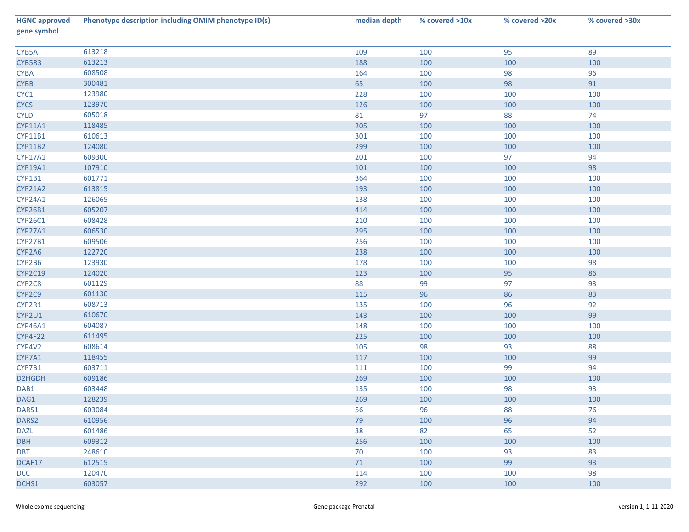| <b>HGNC approved</b><br>gene symbol | Phenotype description including OMIM phenotype ID(s) | median depth | % covered >10x | % covered >20x | % covered >30x |
|-------------------------------------|------------------------------------------------------|--------------|----------------|----------------|----------------|
| CYB5A                               | 613218                                               | 109          | 100            | 95             | 89             |
| CYB5R3                              | 613213                                               | 188          | 100            | 100            | 100            |
| <b>CYBA</b>                         | 608508                                               | 164          | 100            | 98             | 96             |
| <b>CYBB</b>                         | 300481                                               | 65           | 100            | 98             | 91             |
| CYC1                                | 123980                                               | 228          | 100            | 100            | 100            |
| <b>CYCS</b>                         | 123970                                               | 126          | 100            | 100            | 100            |
| <b>CYLD</b>                         | 605018                                               | 81           | 97             | 88             | 74             |
| CYP11A1                             | 118485                                               | 205          | 100            | 100            | 100            |
| CYP11B1                             | 610613                                               | 301          | 100            | 100            | 100            |
| CYP11B2                             | 124080                                               | 299          | 100            | 100            | 100            |
| CYP17A1                             | 609300                                               | 201          | 100            | 97             | 94             |
| CYP19A1                             | 107910                                               | 101          | 100            | 100            | 98             |
| CYP1B1                              | 601771                                               | 364          | 100            | 100            | 100            |
| <b>CYP21A2</b>                      | 613815                                               | 193          | 100            | 100            | 100            |
| CYP24A1                             | 126065                                               | 138          | 100            | 100            | 100            |
| <b>CYP26B1</b>                      | 605207                                               | 414          | 100            | 100            | 100            |
| <b>CYP26C1</b>                      | 608428                                               | 210          | 100            | 100            | 100            |
| CYP27A1                             | 606530                                               | 295          | 100            | 100            | 100            |
| CYP27B1                             | 609506                                               | 256          | 100            | 100            | 100            |
| CYP2A6                              | 122720                                               | 238          | 100            | 100            | 100            |
| CYP2B6                              | 123930                                               | 178          | 100            | 100            | 98             |
| <b>CYP2C19</b>                      | 124020                                               | 123          | 100            | 95             | 86             |
| CYP2C8                              | 601129                                               | 88           | 99             | 97             | 93             |
| CYP2C9                              | 601130                                               | 115          | 96             | 86             | 83             |
| CYP2R1                              | 608713                                               | 135          | 100            | 96             | 92             |
| CYP2U1                              | 610670                                               | 143          | 100            | 100            | 99             |
| CYP46A1                             | 604087                                               | 148          | 100            | 100            | 100            |
| CYP4F22                             | 611495                                               | 225          | 100            | 100            | 100            |
| CYP4V2                              | 608614                                               | 105          | 98             | 93             | 88             |
| CYP7A1                              | 118455                                               | 117          | 100            | 100            | 99             |
| CYP7B1                              | 603711                                               | 111          | 100            | 99             | 94             |
| D2HGDH                              | 609186                                               | 269          | 100            | 100            | 100            |
| DAB1                                | 603448                                               | 135          | 100            | 98             | 93             |
| DAG1                                | 128239                                               | 269          | 100            | 100            | 100            |
| DARS1                               | 603084                                               | 56           | 96             | 88             | 76             |
| DARS2                               | 610956                                               | 79           | 100            | 96             | 94             |
| <b>DAZL</b>                         | 601486                                               | 38           | 82             | 65             | 52             |
| <b>DBH</b>                          | 609312                                               | 256          | 100            | 100            | 100            |
| <b>DBT</b>                          | 248610                                               | 70           | 100            | 93             | 83             |
| DCAF17                              | 612515                                               | 71           | 100            | 99             | 93             |
| <b>DCC</b>                          | 120470                                               | 114          | 100            | 100            | 98             |
| DCHS1                               | 603057                                               | 292          | 100            | 100            | 100            |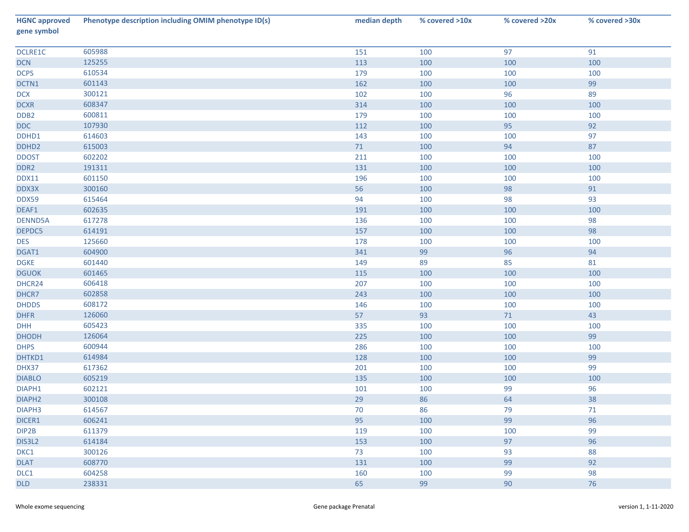| <b>HGNC approved</b><br>gene symbol | Phenotype description including OMIM phenotype ID(s) | median depth | % covered >10x | % covered >20x | % covered >30x |
|-------------------------------------|------------------------------------------------------|--------------|----------------|----------------|----------------|
| DCLRE1C                             | 605988                                               | 151          | 100            | 97             | 91             |
| <b>DCN</b>                          | 125255                                               | 113          | 100            | 100            | 100            |
| <b>DCPS</b>                         | 610534                                               | 179          | 100            | 100            | 100            |
| DCTN1                               | 601143                                               | 162          | 100            | 100            | 99             |
| <b>DCX</b>                          | 300121                                               | 102          | 100            | 96             | 89             |
| <b>DCXR</b>                         | 608347                                               | 314          | 100            | 100            | 100            |
| DDB <sub>2</sub>                    | 600811                                               | 179          | 100            | 100            | 100            |
| <b>DDC</b>                          | 107930                                               | 112          | 100            | 95             | 92             |
| DDHD1                               | 614603                                               | 143          | 100            | 100            | 97             |
| DDHD <sub>2</sub>                   | 615003                                               | 71           | 100            | 94             | 87             |
| <b>DDOST</b>                        | 602202                                               | 211          | 100            | 100            | 100            |
| DDR <sub>2</sub>                    | 191311                                               | 131          | 100            | 100            | 100            |
| <b>DDX11</b>                        | 601150                                               | 196          | 100            | 100            | 100            |
| DDX3X                               | 300160                                               | 56           | 100            | 98             | 91             |
| DDX59                               | 615464                                               | 94           | 100            | 98             | 93             |
| DEAF1                               | 602635                                               | 191          | 100            | 100            | 100            |
| <b>DENND5A</b>                      | 617278                                               | 136          | 100            | 100            | 98             |
| DEPDC5                              | 614191                                               | 157          | 100            | 100            | 98             |
| <b>DES</b>                          | 125660                                               | 178          | 100            | 100            | 100            |
| DGAT1                               | 604900                                               | 341          | 99             | 96             | 94             |
| <b>DGKE</b>                         | 601440                                               | 149          | 89             | 85             | 81             |
| <b>DGUOK</b>                        | 601465                                               | 115          | 100            | 100            | 100            |
| DHCR24                              | 606418                                               | 207          | 100            | 100            | 100            |
| DHCR7                               | 602858                                               | 243          | 100            | 100            | 100            |
| <b>DHDDS</b>                        | 608172                                               | 146          | 100            | 100            | 100            |
| <b>DHFR</b>                         | 126060                                               | 57           | 93             | 71             | 43             |
| DHH                                 | 605423                                               | 335          | 100            | 100            | 100            |
| <b>DHODH</b>                        | 126064                                               | 225          | 100            | 100            | 99             |
| <b>DHPS</b>                         | 600944                                               | 286          | 100            | 100            | 100            |
| DHTKD1                              | 614984                                               | 128          | 100            | 100            | 99             |
| DHX37                               | 617362                                               | 201          | 100            | 100            | 99             |
| <b>DIABLO</b>                       | 605219                                               | 135          | 100            | 100            | 100            |
| DIAPH1                              | 602121                                               | 101          | 100            | 99             | 96             |
| DIAPH <sub>2</sub>                  | 300108                                               | 29           | 86             | 64             | 38             |
| DIAPH3                              | 614567                                               | 70           | 86             | 79             | 71             |
| DICER1                              | 606241                                               | 95           | 100            | 99             | 96             |
| DIP2B                               | 611379                                               | 119          | 100            | 100            | 99             |
| DIS3L2                              | 614184                                               | 153          | 100            | 97             | 96             |
| DKC1                                | 300126                                               | 73           | 100            | 93             | 88             |
| <b>DLAT</b>                         | 608770                                               | 131          | 100            | 99             | 92             |
| DLC1                                | 604258                                               | 160          | 100            | 99             | 98             |
| <b>DLD</b>                          | 238331                                               | 65           | 99             | 90             | 76             |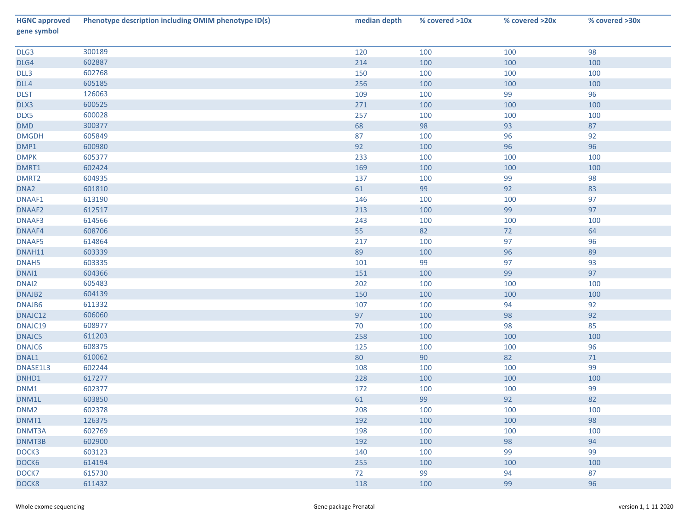| <b>HGNC approved</b><br>gene symbol | Phenotype description including OMIM phenotype ID(s) | median depth | % covered >10x | % covered >20x | % covered >30x |
|-------------------------------------|------------------------------------------------------|--------------|----------------|----------------|----------------|
| DLG3                                | 300189                                               | 120          | 100            | 100            | 98             |
| DLG4                                | 602887                                               | 214          | 100            | 100            | 100            |
| DLL3                                | 602768                                               | 150          | 100            | 100            | 100            |
| DLL4                                | 605185                                               | 256          | 100            | 100            | 100            |
| <b>DLST</b>                         | 126063                                               | 109          | 100            | 99             | 96             |
| DLX3                                | 600525                                               | 271          | 100            | 100            | 100            |
| DLX5                                | 600028                                               | 257          | 100            | 100            | 100            |
| DMD                                 | 300377                                               | 68           | 98             | 93             | 87             |
| <b>DMGDH</b>                        | 605849                                               | 87           | 100            | 96             | 92             |
| DMP1                                | 600980                                               | 92           | 100            | 96             | 96             |
| <b>DMPK</b>                         | 605377                                               | 233          | 100            | 100            | 100            |
| DMRT1                               | 602424                                               | 169          | 100            | 100            | 100            |
| DMRT2                               | 604935                                               | 137          | 100            | 99             | 98             |
| DNA <sub>2</sub>                    | 601810                                               | 61           | 99             | 92             | 83             |
| DNAAF1                              | 613190                                               | 146          | 100            | 100            | 97             |
| DNAAF2                              | 612517                                               | 213          | 100            | 99             | 97             |
| DNAAF3                              | 614566                                               | 243          | 100            | 100            | 100            |
| DNAAF4                              | 608706                                               | 55           | 82             | 72             | 64             |
| DNAAF5                              | 614864                                               | 217          | 100            | 97             | 96             |
| DNAH11                              | 603339                                               | 89           | 100            | 96             | 89             |
| DNAH5                               | 603335                                               | 101          | 99             | 97             | 93             |
| DNAI1                               | 604366                                               | 151          | 100            | 99             | 97             |
| DNAI2                               | 605483                                               | 202          | 100            | 100            | 100            |
| DNAJB2                              | 604139                                               | 150          | 100            | 100            | 100            |
| DNAJB6                              | 611332                                               | 107          | 100            | 94             | 92             |
| DNAJC12                             | 606060                                               | 97           | 100            | 98             | 92             |
| DNAJC19                             | 608977                                               | 70           | 100            | 98             | 85             |
| DNAJC5                              | 611203                                               | 258          | 100            | 100            | 100            |
| DNAJC6                              | 608375                                               | 125          | 100            | 100            | 96             |
| DNAL1                               | 610062                                               | 80           | 90             | 82             | $71\,$         |
| DNASE1L3                            | 602244                                               | 108          | 100            | 100            | 99             |
| DNHD1                               | 617277                                               | 228          | 100            | 100            | 100            |
| DNM1                                | 602377                                               | 172          | 100            | 100            | 99             |
| DNM1L                               | 603850                                               | 61           | 99             | 92             | 82             |
| DNM <sub>2</sub>                    | 602378                                               | 208          | 100            | 100            | 100            |
| DNMT1                               | 126375                                               | 192          | 100            | 100            | 98             |
| DNMT3A                              | 602769                                               | 198          | 100            | 100            | 100            |
| DNMT3B                              | 602900                                               | 192          | 100            | 98             | 94             |
| DOCK3                               | 603123                                               | 140          | 100            | 99             | 99             |
| DOCK6                               | 614194                                               | 255          | 100            | 100            | 100            |
| DOCK7                               | 615730                                               | 72           | 99             | 94             | 87             |
| DOCK8                               | 611432                                               | 118          | 100            | 99             | 96             |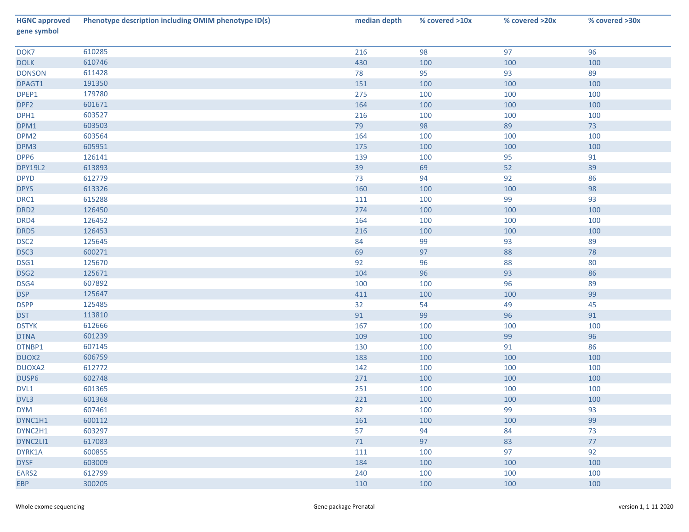| <b>HGNC approved</b><br>gene symbol | Phenotype description including OMIM phenotype ID(s) | median depth | % covered >10x | % covered >20x | % covered >30x |
|-------------------------------------|------------------------------------------------------|--------------|----------------|----------------|----------------|
| DOK7                                | 610285                                               | 216          | 98             | 97             | 96             |
| <b>DOLK</b>                         | 610746                                               | 430          | 100            | 100            | 100            |
| <b>DONSON</b>                       | 611428                                               | 78           | 95             | 93             | 89             |
| DPAGT1                              | 191350                                               | 151          | 100            | 100            | 100            |
| DPEP1                               | 179780                                               | 275          | 100            | 100            | 100            |
| DPF <sub>2</sub>                    | 601671                                               | 164          | 100            | 100            | 100            |
| DPH1                                | 603527                                               | 216          | 100            | 100            | 100            |
| DPM1                                | 603503                                               | 79           | 98             | 89             | 73             |
| DPM <sub>2</sub>                    | 603564                                               | 164          | 100            | 100            | 100            |
| DPM3                                | 605951                                               | 175          | 100            | 100            | 100            |
| DPP6                                | 126141                                               | 139          | 100            | 95             | 91             |
| <b>DPY19L2</b>                      | 613893                                               | 39           | 69             | 52             | 39             |
| <b>DPYD</b>                         | 612779                                               | 73           | 94             | 92             | 86             |
| <b>DPYS</b>                         | 613326                                               | 160          | 100            | 100            | 98             |
| DRC1                                | 615288                                               | 111          | 100            | 99             | 93             |
| DRD <sub>2</sub>                    | 126450                                               | 274          | 100            | 100            | 100            |
| DRD4                                | 126452                                               | 164          | 100            | 100            | 100            |
| DRD5                                | 126453                                               | 216          | 100            | 100            | 100            |
| DSC <sub>2</sub>                    | 125645                                               | 84           | 99             | 93             | 89             |
| DSC <sub>3</sub>                    | 600271                                               | 69           | 97             | 88             | $78\,$         |
| DSG1                                | 125670                                               | 92           | 96             | 88             | 80             |
| DSG <sub>2</sub>                    | 125671                                               | 104          | 96             | 93             | 86             |
| DSG4                                | 607892                                               | 100          | 100            | 96             | 89             |
| <b>DSP</b>                          | 125647                                               | 411          | 100            | 100            | 99             |
| <b>DSPP</b>                         | 125485                                               | 32           | 54             | 49             | 45             |
| <b>DST</b>                          | 113810                                               | 91           | 99             | 96             | 91             |
| <b>DSTYK</b>                        | 612666                                               | 167          | 100            | 100            | 100            |
| <b>DTNA</b>                         | 601239                                               | 109          | 100            | 99             | 96             |
| DTNBP1                              | 607145                                               | 130          | 100            | 91             | 86             |
| DUOX2                               | 606759                                               | 183          | 100            | 100            | 100            |
| DUOXA2                              | 612772                                               | 142          | 100            | 100            | 100            |
| DUSP6                               | 602748                                               | 271          | 100            | 100            | 100            |
| DVL1                                | 601365                                               | 251          | 100            | 100            | 100            |
| DVL3                                | 601368                                               | 221          | 100            | 100            | 100            |
| <b>DYM</b>                          | 607461                                               | 82           | 100            | 99             | 93             |
| DYNC1H1                             | 600112                                               | 161          | 100            | 100            | 99             |
| DYNC2H1                             | 603297                                               | 57           | 94             | 84             | 73             |
| DYNC2LI1                            | 617083                                               | 71           | 97             | 83             | 77             |
| DYRK1A                              | 600855                                               | 111          | 100            | 97             | 92             |
| <b>DYSF</b>                         | 603009                                               | 184          | 100            | 100            | 100            |
| EARS2                               | 612799                                               | 240          | 100            | 100            | 100            |
| <b>EBP</b>                          | 300205                                               | 110          | 100            | 100            | 100            |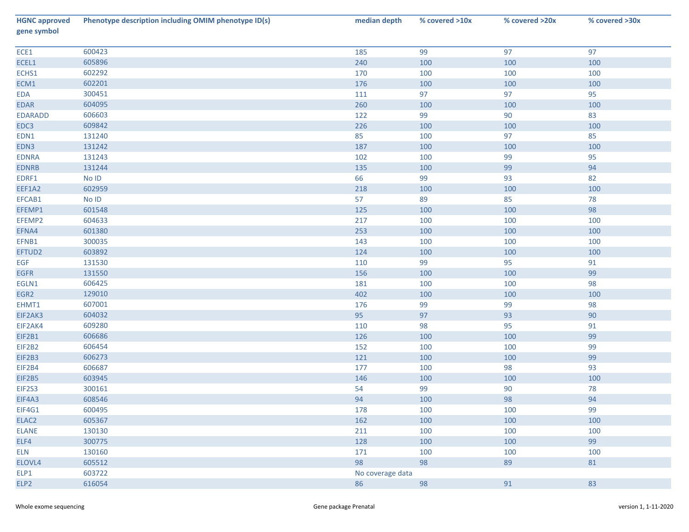| <b>HGNC approved</b><br>gene symbol | Phenotype description including OMIM phenotype ID(s) | median depth     | % covered >10x | % covered >20x | % covered >30x |
|-------------------------------------|------------------------------------------------------|------------------|----------------|----------------|----------------|
| ECE1                                | 600423                                               | 185              | 99             | 97             | 97             |
| ECEL1                               | 605896                                               | 240              | 100            | 100            | 100            |
| ECHS1                               | 602292                                               | 170              | 100            | 100            | 100            |
| ECM1                                | 602201                                               | 176              | 100            | 100            | 100            |
| EDA                                 | 300451                                               | 111              | 97             | 97             | 95             |
| EDAR                                | 604095                                               | 260              | 100            | 100            | 100            |
| <b>EDARADD</b>                      | 606603                                               | 122              | 99             | 90             | 83             |
| EDC3                                | 609842                                               | 226              | 100            | 100            | 100            |
| EDN1                                | 131240                                               | 85               | 100            | 97             | 85             |
| EDN3                                | 131242                                               | 187              | 100            | 100            | 100            |
| <b>EDNRA</b>                        | 131243                                               | 102              | 100            | 99             | 95             |
| <b>EDNRB</b>                        | 131244                                               | 135              | 100            | 99             | 94             |
| EDRF1                               | No ID                                                | 66               | 99             | 93             | 82             |
| EEF1A2                              | 602959                                               | 218              | 100            | 100            | 100            |
| EFCAB1                              | $No$ $ID$                                            | 57               | 89             | 85             | 78             |
| EFEMP1                              | 601548                                               | 125              | 100            | 100            | 98             |
| EFEMP2                              | 604633                                               | 217              | 100            | 100            | 100            |
| EFNA4                               | 601380                                               | 253              | 100            | 100            | 100            |
| EFNB1                               | 300035                                               | 143              | 100            | 100            | 100            |
| EFTUD2                              | 603892                                               | 124              | 100            | 100            | 100            |
| <b>EGF</b>                          | 131530                                               | 110              | 99             | 95             | 91             |
| <b>EGFR</b>                         | 131550                                               | 156              | 100            | 100            | 99             |
| EGLN1                               | 606425                                               | 181              | 100            | 100            | 98             |
| EGR2                                | 129010                                               | 402              | 100            | 100            | 100            |
| EHMT1                               | 607001                                               | 176              | 99             | 99             | 98             |
| EIF2AK3                             | 604032                                               | 95               | 97             | 93             | 90             |
| EIF2AK4                             | 609280                                               | 110              | 98             | 95             | 91             |
| EIF2B1                              | 606686                                               | 126              | 100            | 100            | 99             |
| EIF2B2                              | 606454                                               | 152              | 100            | 100            | 99             |
| EIF2B3                              | 606273                                               | 121              | 100            | 100            | 99             |
| EIF2B4                              | 606687                                               | 177              | 100            | 98             | 93             |
| EIF2B5                              | 603945                                               | 146              | 100            | 100            | 100            |
| EIF2S3                              | 300161                                               | 54               | 99             | 90             | 78             |
| EIF4A3                              | 608546                                               | 94               | 100            | 98             | 94             |
| EIF4G1                              | 600495                                               | 178              | 100            | 100            | 99             |
| ELAC2                               | 605367                                               | 162              | 100            | 100            | 100            |
| <b>ELANE</b>                        | 130130                                               | 211              | 100            | 100            | 100            |
| ELF4                                | 300775                                               | 128              | 100            | 100            | 99             |
| <b>ELN</b>                          | 130160                                               | 171              | 100            | 100            | 100            |
| ELOVL4                              | 605512                                               | 98               | 98             | 89             | 81             |
| ELP1                                | 603722                                               | No coverage data |                |                |                |
| ELP <sub>2</sub>                    | 616054                                               | 86               | 98             | 91             | 83             |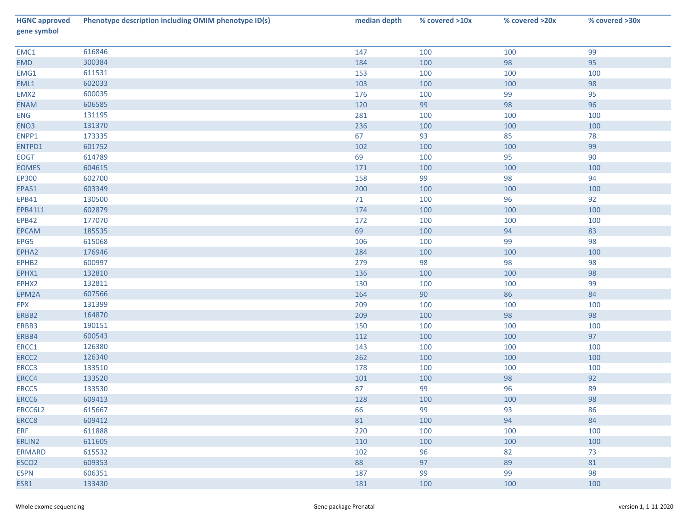| <b>HGNC approved</b><br>gene symbol | Phenotype description including OMIM phenotype ID(s) | median depth | % covered >10x | % covered >20x | % covered >30x |
|-------------------------------------|------------------------------------------------------|--------------|----------------|----------------|----------------|
| EMC1                                | 616846                                               | 147          | 100            | 100            | 99             |
| EMD                                 | 300384                                               | 184          | 100            | 98             | 95             |
| EMG1                                | 611531                                               | 153          | 100            | 100            | 100            |
| EML1                                | 602033                                               | 103          | 100            | 100            | 98             |
| EMX2                                | 600035                                               | 176          | 100            | 99             | 95             |
| <b>ENAM</b>                         | 606585                                               | 120          | 99             | 98             | 96             |
| ENG                                 | 131195                                               | 281          | 100            | 100            | 100            |
| ENO <sub>3</sub>                    | 131370                                               | 236          | 100            | 100            | 100            |
| ENPP1                               | 173335                                               | 67           | 93             | 85             | 78             |
| ENTPD1                              | 601752                                               | 102          | 100            | 100            | 99             |
| <b>EOGT</b>                         | 614789                                               | 69           | 100            | 95             | 90             |
| <b>EOMES</b>                        | 604615                                               | 171          | 100            | 100            | 100            |
| EP300                               | 602700                                               | 158          | 99             | 98             | 94             |
| EPAS1                               | 603349                                               | 200          | 100            | 100            | 100            |
| EPB41                               | 130500                                               | 71           | 100            | 96             | 92             |
| EPB41L1                             | 602879                                               | 174          | 100            | 100            | 100            |
| <b>EPB42</b>                        | 177070                                               | 172          | 100            | 100            | 100            |
| EPCAM                               | 185535                                               | 69           | 100            | 94             | 83             |
| EPG5                                | 615068                                               | 106          | 100            | 99             | 98             |
| EPHA2                               | 176946                                               | 284          | 100            | 100            | 100            |
| EPHB2                               | 600997                                               | 279          | 98             | 98             | 98             |
| EPHX1                               | 132810                                               | 136          | 100            | 100            | 98             |
| EPHX2                               | 132811                                               | 130          | 100            | 100            | 99             |
| EPM2A                               | 607566                                               | 164          | $90\,$         | 86             | 84             |
| EPX                                 | 131399                                               | 209          | 100            | 100            | 100            |
| ERBB2                               | 164870                                               | 209          | 100            | 98             | 98             |
| ERBB3                               | 190151                                               | 150          | 100            | 100            | 100            |
| ERBB4                               | 600543                                               | 112          | 100            | 100            | 97             |
| ERCC1                               | 126380                                               | 143          | 100            | 100            | 100            |
| ERCC <sub>2</sub>                   | 126340                                               | 262          | 100            | 100            | 100            |
| ERCC3                               | 133510                                               | 178          | 100            | 100            | 100            |
| ERCC4                               | 133520                                               | 101          | 100            | 98             | 92             |
| ERCC5                               | 133530                                               | 87           | 99             | 96             | 89             |
| ERCC6                               | 609413                                               | 128          | 100            | 100            | 98             |
| ERCC6L2                             | 615667                                               | 66           | 99             | 93             | 86             |
| ERCC8                               | 609412                                               | 81           | 100            | 94             | 84             |
| <b>ERF</b>                          | 611888                                               | 220          | 100            | 100            | 100            |
| ERLIN2                              | 611605                                               | 110          | 100            | 100            | 100            |
| <b>ERMARD</b>                       | 615532                                               | 102          | 96             | 82             | 73             |
| ESCO <sub>2</sub>                   | 609353                                               | 88           | 97             | 89             | 81             |
| <b>ESPN</b>                         | 606351                                               | 187          | 99             | 99             | 98             |
| ESR1                                | 133430                                               | 181          | 100            | 100            | 100            |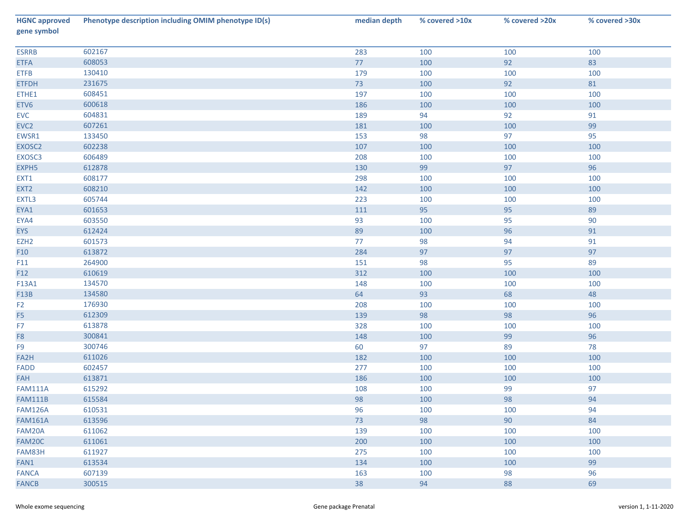| <b>HGNC approved</b><br>gene symbol | Phenotype description including OMIM phenotype ID(s) | median depth | % covered >10x | % covered >20x | % covered >30x |
|-------------------------------------|------------------------------------------------------|--------------|----------------|----------------|----------------|
| <b>ESRRB</b>                        | 602167                                               | 283          | 100            | 100            | 100            |
| <b>ETFA</b>                         | 608053                                               | 77           | 100            | 92             | 83             |
| <b>ETFB</b>                         | 130410                                               | 179          | 100            | 100            | 100            |
| <b>ETFDH</b>                        | 231675                                               | 73           | 100            | 92             | 81             |
| ETHE1                               | 608451                                               | 197          | 100            | 100            | 100            |
| ETV6                                | 600618                                               | 186          | 100            | 100            | 100            |
| EVC                                 | 604831                                               | 189          | 94             | 92             | 91             |
| EVC <sub>2</sub>                    | 607261                                               | 181          | 100            | 100            | 99             |
| EWSR1                               | 133450                                               | 153          | 98             | 97             | 95             |
| EXOSC2                              | 602238                                               | 107          | 100            | 100            | 100            |
| EXOSC3                              | 606489                                               | 208          | 100            | 100            | 100            |
| EXPH5                               | 612878                                               | 130          | 99             | 97             | 96             |
| EXT1                                | 608177                                               | 298          | 100            | 100            | 100            |
| EXT <sub>2</sub>                    | 608210                                               | 142          | 100            | 100            | 100            |
| EXTL3                               | 605744                                               | 223          | 100            | 100            | 100            |
| EYA1                                | 601653                                               | 111          | 95             | 95             | 89             |
| EYA4                                | 603550                                               | 93           | 100            | 95             | $90\,$         |
| <b>EYS</b>                          | 612424                                               | 89           | 100            | 96             | 91             |
| EZH <sub>2</sub>                    | 601573                                               | 77           | 98             | 94             | 91             |
| F10                                 | 613872                                               | 284          | 97             | 97             | 97             |
| F11                                 | 264900                                               | 151          | 98             | 95             | 89             |
| F12                                 | 610619                                               | 312          | 100            | 100            | 100            |
| F13A1                               | 134570                                               | 148          | 100            | 100            | 100            |
| F13B                                | 134580                                               | 64           | 93             | 68             | 48             |
| F <sub>2</sub>                      | 176930                                               | 208          | 100            | 100            | 100            |
| F <sub>5</sub>                      | 612309                                               | 139          | 98             | 98             | 96             |
| F7                                  | 613878                                               | 328          | 100            | 100            | 100            |
| F8                                  | 300841                                               | 148          | 100            | 99             | 96             |
| F9                                  | 300746                                               | 60           | 97             | 89             | 78             |
| FA2H                                | 611026                                               | 182          | 100            | 100            | 100            |
| <b>FADD</b>                         | 602457                                               | 277          | 100            | 100            | 100            |
| FAH                                 | 613871                                               | 186          | 100            | 100            | 100            |
| <b>FAM111A</b>                      | 615292                                               | 108          | 100            | 99             | 97             |
| <b>FAM111B</b>                      | 615584                                               | 98           | 100            | 98             | 94             |
| <b>FAM126A</b>                      | 610531                                               | 96           | 100            | 100            | 94             |
| <b>FAM161A</b>                      | 613596                                               | 73           | 98             | 90             | 84             |
| FAM20A                              | 611062                                               | 139          | 100            | 100            | 100            |
| FAM20C                              | 611061                                               | 200          | 100            | 100            | 100            |
| FAM83H                              | 611927                                               | 275          | 100            | 100            | 100            |
| FAN1                                | 613534                                               | 134          | 100            | 100            | 99             |
| <b>FANCA</b>                        | 607139                                               | 163          | 100            | 98             | 96             |
| <b>FANCB</b>                        | 300515                                               | 38           | 94             | 88             | 69             |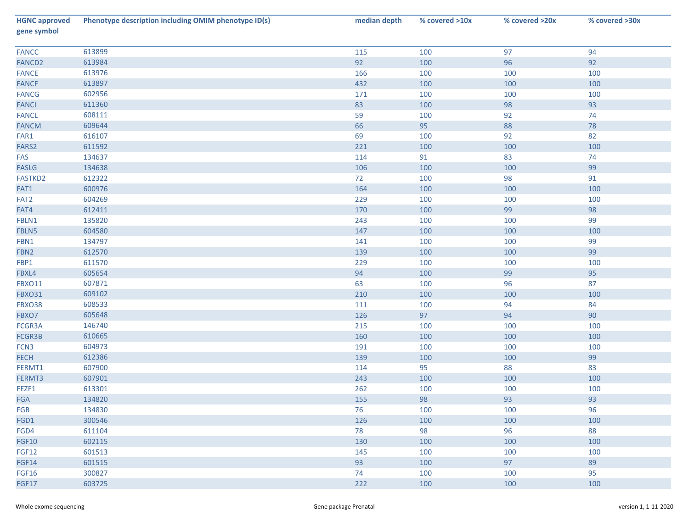| <b>HGNC approved</b><br>gene symbol | Phenotype description including OMIM phenotype ID(s) | median depth | % covered >10x | % covered >20x | % covered >30x |
|-------------------------------------|------------------------------------------------------|--------------|----------------|----------------|----------------|
| <b>FANCC</b>                        | 613899                                               | 115          | 100            | 97             | 94             |
| FANCD <sub>2</sub>                  | 613984                                               | 92           | 100            | 96             | 92             |
| <b>FANCE</b>                        | 613976                                               | 166          | 100            | 100            | 100            |
| <b>FANCF</b>                        | 613897                                               | 432          | 100            | 100            | 100            |
| <b>FANCG</b>                        | 602956                                               | 171          | 100            | 100            | 100            |
| <b>FANCI</b>                        | 611360                                               | 83           | 100            | 98             | 93             |
| <b>FANCL</b>                        | 608111                                               | 59           | 100            | 92             | 74             |
| <b>FANCM</b>                        | 609644                                               | 66           | 95             | 88             | 78             |
| FAR1                                | 616107                                               | 69           | 100            | 92             | 82             |
| FARS2                               | 611592                                               | 221          | 100            | 100            | 100            |
| FAS                                 | 134637                                               | 114          | 91             | 83             | 74             |
| <b>FASLG</b>                        | 134638                                               | 106          | 100            | 100            | 99             |
| FASTKD2                             | 612322                                               | 72           | 100            | 98             | 91             |
| FAT1                                | 600976                                               | 164          | 100            | 100            | 100            |
| FAT <sub>2</sub>                    | 604269                                               | 229          | 100            | 100            | 100            |
| FAT4                                | 612411                                               | 170          | 100            | 99             | 98             |
| FBLN1                               | 135820                                               | 243          | 100            | 100            | 99             |
| FBLN5                               | 604580                                               | 147          | 100            | 100            | 100            |
| FBN1                                | 134797                                               | 141          | 100            | 100            | 99             |
| FBN <sub>2</sub>                    | 612570                                               | 139          | 100            | 100            | 99             |
| FBP1                                | 611570                                               | 229          | 100            | 100            | 100            |
| FBXL4                               | 605654                                               | 94           | 100            | 99             | 95             |
| <b>FBXO11</b>                       | 607871                                               | 63           | 100            | 96             | 87             |
| <b>FBXO31</b>                       | 609102                                               | 210          | 100            | 100            | 100            |
| FBXO38                              | 608533                                               | 111          | 100            | 94             | 84             |
| FBXO7                               | 605648                                               | 126          | 97             | 94             | 90             |
| FCGR3A                              | 146740                                               | 215          | 100            | 100            | 100            |
| FCGR3B                              | 610665                                               | 160          | 100            | 100            | 100            |
| FCN3                                | 604973                                               | 191          | 100            | 100            | 100            |
| <b>FECH</b>                         | 612386                                               | 139          | 100            | 100            | 99             |
| FERMT1                              | 607900                                               | 114          | 95             | 88             | 83             |
| FERMT3                              | 607901                                               | 243          | 100            | 100            | 100            |
| FEZF1                               | 613301                                               | 262          | 100            | 100            | 100            |
| <b>FGA</b>                          | 134820                                               | 155          | 98             | 93             | 93             |
| FGB                                 | 134830                                               | 76           | 100            | 100            | 96             |
| FGD1                                | 300546                                               | 126          | 100            | 100            | 100            |
| FGD4                                | 611104                                               | 78           | 98             | 96             | 88             |
| <b>FGF10</b>                        | 602115                                               | 130          | 100            | 100            | 100            |
| <b>FGF12</b>                        | 601513                                               | 145          | 100            | 100            | 100            |
| <b>FGF14</b>                        | 601515                                               | 93           | 100            | 97             | 89             |
| <b>FGF16</b>                        | 300827                                               | 74           | 100            | 100            | 95             |
| FGF17                               | 603725                                               | 222          | 100            | 100            | 100            |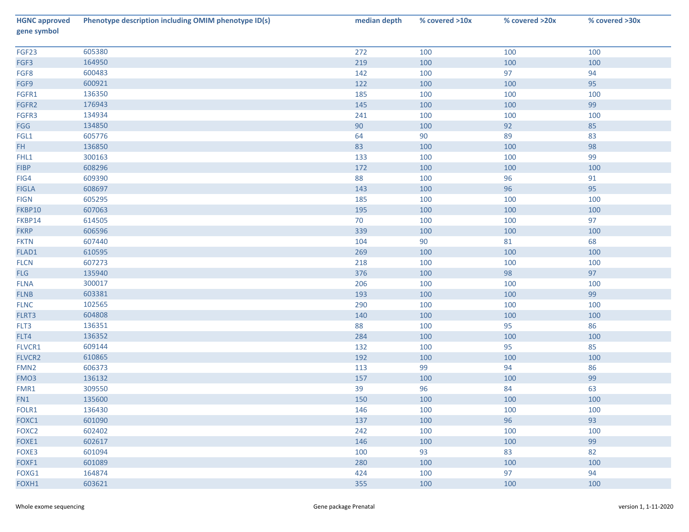| <b>HGNC approved</b><br>gene symbol | Phenotype description including OMIM phenotype ID(s) | median depth | % covered >10x | % covered >20x | % covered >30x |
|-------------------------------------|------------------------------------------------------|--------------|----------------|----------------|----------------|
| FGF23                               | 605380                                               | 272          | 100            | 100            | 100            |
| FGF3                                | 164950                                               | 219          | 100            | 100            | 100            |
| FGF8                                | 600483                                               | 142          | 100            | 97             | 94             |
| FGF9                                | 600921                                               | 122          | 100            | 100            | 95             |
| FGFR1                               | 136350                                               | 185          | 100            | 100            | 100            |
| FGFR2                               | 176943                                               | 145          | 100            | 100            | 99             |
| FGFR3                               | 134934                                               | 241          | 100            | 100            | 100            |
| FGG                                 | 134850                                               | 90           | 100            | 92             | 85             |
| FGL1                                | 605776                                               | 64           | 90             | 89             | 83             |
| FH.                                 | 136850                                               | 83           | 100            | 100            | 98             |
| FHL1                                | 300163                                               | 133          | 100            | 100            | 99             |
| <b>FIBP</b>                         | 608296                                               | 172          | 100            | 100            | 100            |
| FIG4                                | 609390                                               | 88           | 100            | 96             | 91             |
| <b>FIGLA</b>                        | 608697                                               | 143          | 100            | 96             | 95             |
| <b>FIGN</b>                         | 605295                                               | 185          | 100            | 100            | 100            |
| FKBP10                              | 607063                                               | 195          | 100            | 100            | 100            |
| FKBP14                              | 614505                                               | 70           | 100            | 100            | 97             |
| <b>FKRP</b>                         | 606596                                               | 339          | 100            | 100            | 100            |
| <b>FKTN</b>                         | 607440                                               | 104          | 90             | 81             | 68             |
| FLAD1                               | 610595                                               | 269          | 100            | 100            | 100            |
| <b>FLCN</b>                         | 607273                                               | 218          | 100            | 100            | 100            |
| <b>FLG</b>                          | 135940                                               | 376          | 100            | 98             | 97             |
| <b>FLNA</b>                         | 300017                                               | 206          | 100            | 100            | 100            |
| FLNB                                | 603381                                               | 193          | 100            | 100            | 99             |
| <b>FLNC</b>                         | 102565                                               | 290          | 100            | 100            | 100            |
| FLRT3                               | 604808                                               | 140          | 100            | 100            | 100            |
| FLT3                                | 136351                                               | 88           | 100            | 95             | 86             |
| FLT4                                | 136352                                               | 284          | 100            | 100            | 100            |
| FLVCR1                              | 609144                                               | 132          | 100            | 95             | 85             |
| FLVCR2                              | 610865                                               | 192          | 100            | 100            | 100            |
| FMN <sub>2</sub>                    | 606373                                               | 113          | 99             | 94             | 86             |
| FMO3                                | 136132                                               | 157          | 100            | 100            | 99             |
| FMR1                                | 309550                                               | 39           | 96             | 84             | 63             |
| FN1                                 | 135600                                               | 150          | 100            | 100            | 100            |
| FOLR1                               | 136430                                               | 146          | 100            | 100            | 100            |
| FOXC1                               | 601090                                               | 137          | 100            | 96             | 93             |
| FOXC2                               | 602402                                               | 242          | 100            | 100            | 100            |
| FOXE1                               | 602617                                               | 146          | 100            | 100            | 99             |
| FOXE3                               | 601094                                               | 100          | 93             | 83             | 82             |
| FOXF1                               | 601089                                               | 280          | 100            | 100            | 100            |
| FOXG1                               | 164874                                               | 424          | 100            | 97             | 94             |
| FOXH1                               | 603621                                               | 355          | 100            | 100            | 100            |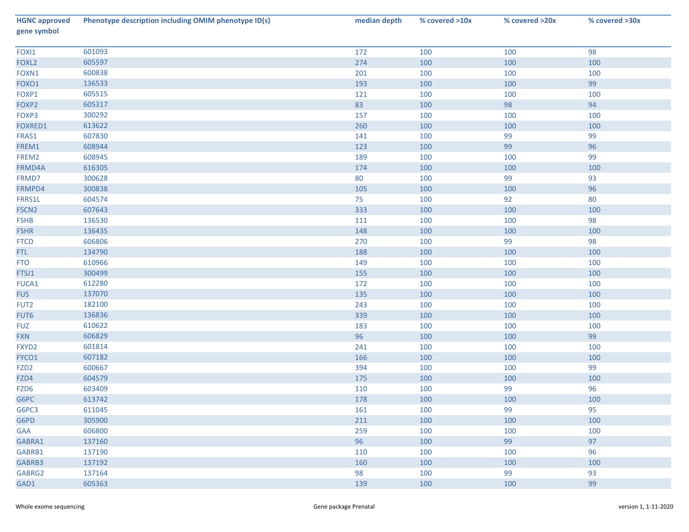| <b>HGNC approved</b><br>gene symbol | Phenotype description including OMIM phenotype ID(s) | median depth | % covered >10x | % covered >20x | % covered >30x |
|-------------------------------------|------------------------------------------------------|--------------|----------------|----------------|----------------|
| FOXI1                               | 601093                                               | 172          | 100            | 100            | 98             |
| FOXL <sub>2</sub>                   | 605597                                               | 274          | 100            | 100            | 100            |
| FOXN1                               | 600838                                               | 201          | 100            | 100            | 100            |
| FOXO1                               | 136533                                               | 193          | 100            | 100            | 99             |
| FOXP1                               | 605515                                               | 121          | 100            | 100            | 100            |
| FOXP2                               | 605317                                               | 83           | 100            | 98             | 94             |
| FOXP3                               | 300292                                               | 157          | 100            | 100            | 100            |
| FOXRED1                             | 613622                                               | 260          | 100            | 100            | 100            |
| FRAS1                               | 607830                                               | 141          | 100            | 99             | 99             |
| FREM1                               | 608944                                               | 123          | 100            | 99             | 96             |
| FREM2                               | 608945                                               | 189          | 100            | 100            | 99             |
| FRMD4A                              | 616305                                               | 174          | 100            | 100            | 100            |
| FRMD7                               | 300628                                               | 80           | 100            | 99             | 93             |
| FRMPD4                              | 300838                                               | 105          | 100            | 100            | 96             |
| FRRS1L                              | 604574                                               | 75           | 100            | 92             | 80             |
| FSCN <sub>2</sub>                   | 607643                                               | 333          | 100            | 100            | 100            |
| <b>FSHB</b>                         | 136530                                               | 111          | 100            | 100            | 98             |
| <b>FSHR</b>                         | 136435                                               | 148          | 100            | 100            | 100            |
| <b>FTCD</b>                         | 606806                                               | 270          | 100            | 99             | 98             |
| FTL.                                | 134790                                               | 188          | 100            | 100            | 100            |
| <b>FTO</b>                          | 610966                                               | 149          | 100            | 100            | 100            |
| FTSJ1                               | 300499                                               | 155          | 100            | 100            | 100            |
| FUCA1                               | 612280                                               | 172          | 100            | 100            | 100            |
| <b>FUS</b>                          | 137070                                               | 135          | 100            | 100            | 100            |
| FUT2                                | 182100                                               | 243          | 100            | 100            | 100            |
| FUT6                                | 136836                                               | 339          | 100            | 100            | 100            |
| <b>FUZ</b>                          | 610622                                               | 183          | 100            | 100            | 100            |
| <b>FXN</b>                          | 606829                                               | 96           | 100            | 100            | 99             |
| FXYD2                               | 601814                                               | 241          | 100            | 100            | 100            |
| FYCO1                               | 607182                                               | 166          | 100            | 100            | 100            |
| FZD <sub>2</sub>                    | 600667                                               | 394          | 100            | 100            | 99             |
| FZD4                                | 604579                                               | 175          | 100            | 100            | 100            |
| FZD6                                | 603409                                               | 110          | 100            | 99             | 96             |
| G6PC                                | 613742                                               | 178          | 100            | 100            | 100            |
| G6PC3                               | 611045                                               | 161          | 100            | 99             | 95             |
| G6PD                                | 305900                                               | 211          | 100            | 100            | 100            |
| GAA                                 | 606800                                               | 259          | 100            | 100            | 100            |
| GABRA1                              | 137160                                               | 96           | 100            | 99             | 97             |
| GABRB1                              | 137190                                               | 110          | 100            | 100            | 96             |
| GABRB3                              | 137192                                               | 160          | 100            | 100            | 100            |
| GABRG2                              | 137164                                               | 98           | 100            | 99             | 93             |
| GAD1                                | 605363                                               | 139          | 100            | 100            | 99             |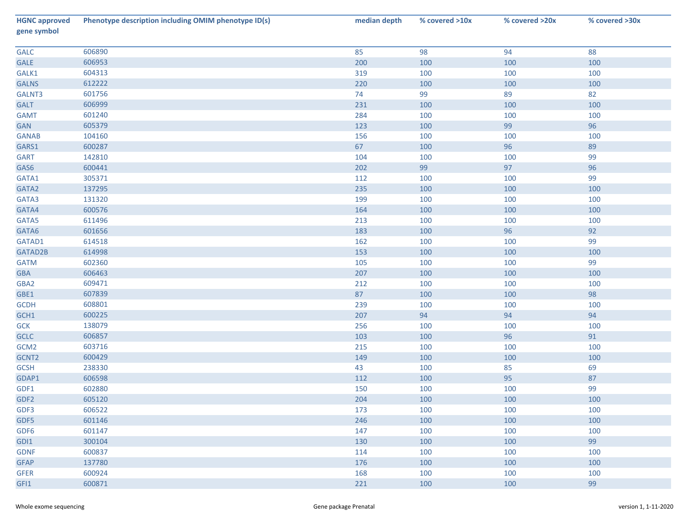| <b>HGNC approved</b><br>gene symbol | Phenotype description including OMIM phenotype ID(s) | median depth | % covered >10x | % covered >20x | % covered >30x |
|-------------------------------------|------------------------------------------------------|--------------|----------------|----------------|----------------|
| GALC                                | 606890                                               | 85           | 98             | 94             | 88             |
| GALE                                | 606953                                               | 200          | 100            | 100            | 100            |
| GALK1                               | 604313                                               | 319          | 100            | 100            | 100            |
| <b>GALNS</b>                        | 612222                                               | 220          | 100            | 100            | 100            |
| GALNT3                              | 601756                                               | 74           | 99             | 89             | 82             |
| <b>GALT</b>                         | 606999                                               | 231          | 100            | 100            | 100            |
| <b>GAMT</b>                         | 601240                                               | 284          | 100            | 100            | 100            |
| GAN                                 | 605379                                               | 123          | 100            | 99             | 96             |
| <b>GANAB</b>                        | 104160                                               | 156          | 100            | 100            | 100            |
| GARS1                               | 600287                                               | 67           | 100            | 96             | 89             |
| <b>GART</b>                         | 142810                                               | 104          | 100            | 100            | 99             |
| GAS6                                | 600441                                               | 202          | 99             | 97             | 96             |
| GATA1                               | 305371                                               | 112          | 100            | 100            | 99             |
| GATA2                               | 137295                                               | 235          | 100            | 100            | 100            |
| GATA3                               | 131320                                               | 199          | 100            | 100            | 100            |
| GATA4                               | 600576                                               | 164          | 100            | 100            | 100            |
| GATA5                               | 611496                                               | 213          | 100            | 100            | 100            |
| GATA6                               | 601656                                               | 183          | 100            | 96             | 92             |
| GATAD1                              | 614518                                               | 162          | 100            | 100            | 99             |
| GATAD2B                             | 614998                                               | 153          | 100            | 100            | 100            |
| <b>GATM</b>                         | 602360                                               | 105          | 100            | 100            | 99             |
| GBA                                 | 606463                                               | 207          | 100            | 100            | 100            |
| GBA2                                | 609471                                               | 212          | 100            | 100            | 100            |
| GBE1                                | 607839                                               | 87           | 100            | 100            | 98             |
| <b>GCDH</b>                         | 608801                                               | 239          | 100            | 100            | 100            |
| GCH1                                | 600225                                               | 207          | 94             | 94             | 94             |
| <b>GCK</b>                          | 138079                                               | 256          | 100            | 100            | 100            |
| <b>GCLC</b>                         | 606857                                               | 103          | 100            | 96             | 91             |
| GCM <sub>2</sub>                    | 603716                                               | 215          | 100            | 100            | 100            |
| GCNT2                               | 600429                                               | 149          | 100            | 100            | 100            |
| <b>GCSH</b>                         | 238330                                               | 43           | 100            | 85             | 69             |
| GDAP1                               | 606598                                               | 112          | 100            | 95             | 87             |
| GDF1                                | 602880                                               | 150          | 100            | 100            | 99             |
| GDF <sub>2</sub>                    | 605120                                               | 204          | 100            | 100            | 100            |
| GDF3                                | 606522                                               | 173          | 100            | 100            | 100            |
| GDF5                                | 601146                                               | 246          | 100            | 100            | 100            |
| GDF6                                | 601147                                               | 147          | 100            | 100            | 100            |
| GDI1                                | 300104                                               | 130          | 100            | 100            | 99             |
| <b>GDNF</b>                         | 600837                                               | 114          | 100            | 100            | 100            |
| <b>GFAP</b>                         | 137780                                               | 176          | 100            | 100            | 100            |
| <b>GFER</b>                         | 600924                                               | 168          | 100            | 100            | 100            |
| GFI1                                | 600871                                               | 221          | 100            | 100            | 99             |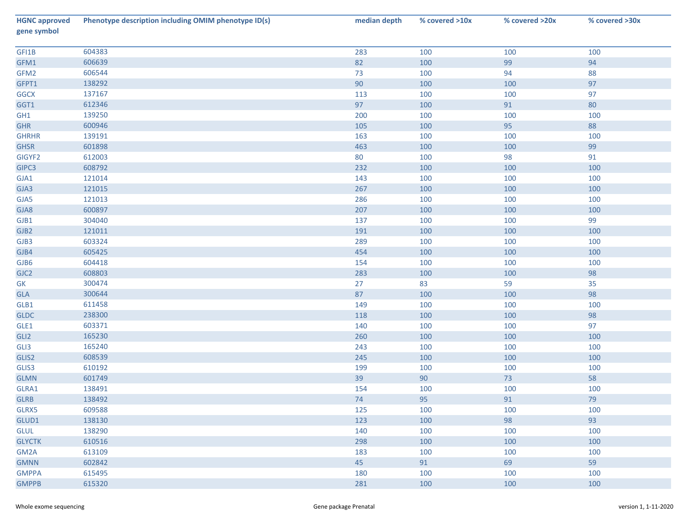| <b>HGNC approved</b><br>gene symbol | Phenotype description including OMIM phenotype ID(s) | median depth | % covered >10x | % covered >20x | % covered >30x |
|-------------------------------------|------------------------------------------------------|--------------|----------------|----------------|----------------|
| GFI1B                               | 604383                                               | 283          | 100            | 100            | 100            |
| GFM1                                | 606639                                               | 82           | 100            | 99             | 94             |
| GFM2                                | 606544                                               | 73           | 100            | 94             | 88             |
| GFPT1                               | 138292                                               | 90           | 100            | 100            | 97             |
| <b>GGCX</b>                         | 137167                                               | 113          | 100            | 100            | 97             |
| GGT1                                | 612346                                               | 97           | 100            | 91             | 80             |
| GH1                                 | 139250                                               | 200          | 100            | 100            | 100            |
| <b>GHR</b>                          | 600946                                               | 105          | 100            | 95             | 88             |
| <b>GHRHR</b>                        | 139191                                               | 163          | 100            | 100            | 100            |
| <b>GHSR</b>                         | 601898                                               | 463          | 100            | 100            | 99             |
| GIGYF2                              | 612003                                               | 80           | 100            | 98             | 91             |
| GIPC3                               | 608792                                               | 232          | 100            | 100            | 100            |
| GJA1                                | 121014                                               | 143          | 100            | 100            | 100            |
| GJA3                                | 121015                                               | 267          | 100            | 100            | 100            |
| GJA5                                | 121013                                               | 286          | 100            | 100            | 100            |
| GJA8                                | 600897                                               | 207          | 100            | 100            | 100            |
| GJB1                                | 304040                                               | 137          | 100            | 100            | 99             |
| GJB <sub>2</sub>                    | 121011                                               | 191          | 100            | 100            | 100            |
| GJB3                                | 603324                                               | 289          | 100            | 100            | 100            |
| GJB4                                | 605425                                               | 454          | 100            | 100            | 100            |
| GJB6                                | 604418                                               | 154          | 100            | 100            | 100            |
| GJC2                                | 608803                                               | 283          | 100            | 100            | 98             |
| GK                                  | 300474                                               | 27           | 83             | 59             | 35             |
| GLA                                 | 300644                                               | 87           | 100            | 100            | 98             |
| GLB1                                | 611458                                               | 149          | 100            | 100            | 100            |
| <b>GLDC</b>                         | 238300                                               | 118          | 100            | 100            | 98             |
| GLE1                                | 603371                                               | 140          | 100            | 100            | 97             |
| GLI <sub>2</sub>                    | 165230                                               | 260          | 100            | 100            | 100            |
| GLI3                                | 165240                                               | 243          | 100            | 100            | 100            |
| GLIS2                               | 608539                                               | 245          | 100            | 100            | 100            |
| GLIS3                               | 610192                                               | 199          | 100            | 100            | 100            |
| <b>GLMN</b>                         | 601749                                               | 39           | 90             | 73             | 58             |
| GLRA1                               | 138491                                               | 154          | 100            | 100            | 100            |
| <b>GLRB</b>                         | 138492                                               | 74           | 95             | 91             | 79             |
| GLRX5                               | 609588                                               | 125          | 100            | 100            | 100            |
| GLUD1                               | 138130                                               | 123          | 100            | 98             | 93             |
| GLUL                                | 138290                                               | 140          | 100            | 100            | 100            |
| <b>GLYCTK</b>                       | 610516                                               | 298          | 100            | 100            | 100            |
| GM2A                                | 613109                                               | 183          | 100            | 100            | 100            |
| <b>GMNN</b>                         | 602842                                               | 45           | 91             | 69             | 59             |
| <b>GMPPA</b>                        | 615495                                               | 180          | 100            | 100            | 100            |
| <b>GMPPB</b>                        | 615320                                               | 281          | 100            | 100            | 100            |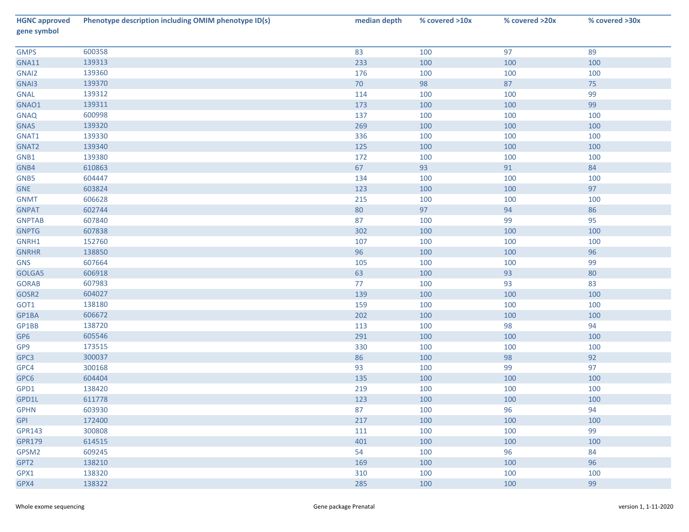| <b>HGNC approved</b><br>gene symbol | Phenotype description including OMIM phenotype ID(s) | median depth | % covered >10x | % covered >20x | % covered >30x |
|-------------------------------------|------------------------------------------------------|--------------|----------------|----------------|----------------|
| <b>GMPS</b>                         | 600358                                               | 83           | 100            | 97             | 89             |
| GNA11                               | 139313                                               | 233          | 100            | 100            | 100            |
| GNAI2                               | 139360                                               | 176          | 100            | 100            | 100            |
| GNAI3                               | 139370                                               | 70           | 98             | 87             | 75             |
| <b>GNAL</b>                         | 139312                                               | 114          | 100            | 100            | 99             |
| GNAO1                               | 139311                                               | 173          | 100            | 100            | 99             |
| <b>GNAQ</b>                         | 600998                                               | 137          | 100            | 100            | 100            |
| <b>GNAS</b>                         | 139320                                               | 269          | 100            | 100            | 100            |
| GNAT1                               | 139330                                               | 336          | 100            | 100            | 100            |
| GNAT2                               | 139340                                               | 125          | 100            | 100            | 100            |
| GNB1                                | 139380                                               | 172          | 100            | 100            | 100            |
| GNB4                                | 610863                                               | 67           | 93             | 91             | 84             |
| GNB5                                | 604447                                               | 134          | 100            | 100            | 100            |
| <b>GNE</b>                          | 603824                                               | 123          | 100            | 100            | 97             |
| <b>GNMT</b>                         | 606628                                               | 215          | 100            | 100            | 100            |
| <b>GNPAT</b>                        | 602744                                               | 80           | 97             | 94             | 86             |
| <b>GNPTAB</b>                       | 607840                                               | 87           | 100            | 99             | 95             |
| <b>GNPTG</b>                        | 607838                                               | 302          | 100            | 100            | 100            |
| GNRH1                               | 152760                                               | 107          | 100            | 100            | 100            |
| <b>GNRHR</b>                        | 138850                                               | 96           | 100            | 100            | 96             |
| <b>GNS</b>                          | 607664                                               | 105          | 100            | 100            | 99             |
| GOLGA5                              | 606918                                               | 63           | 100            | 93             | 80             |
| <b>GORAB</b>                        | 607983                                               | 77           | 100            | 93             | 83             |
| GOSR2                               | 604027                                               | 139          | 100            | 100            | 100            |
| GOT1                                | 138180                                               | 159          | 100            | 100            | 100            |
| GP1BA                               | 606672                                               | 202          | 100            | 100            | 100            |
| GP1BB                               | 138720                                               | 113          | 100            | 98             | 94             |
| GP6                                 | 605546                                               | 291          | 100            | 100            | 100            |
| GP9                                 | 173515                                               | 330          | 100            | 100            | 100            |
| GPC3                                | 300037                                               | 86           | 100            | 98             | 92             |
| GPC4                                | 300168                                               | 93           | 100            | 99             | 97             |
| GPC6                                | 604404                                               | 135          | 100            | 100            | 100            |
| GPD1                                | 138420                                               | 219          | 100            | 100            | 100            |
| GPD1L                               | 611778                                               | 123          | 100            | 100            | 100            |
| <b>GPHN</b>                         | 603930                                               | 87           | 100            | 96             | 94             |
| <b>GPI</b>                          | 172400                                               | 217          | 100            | 100            | 100            |
| <b>GPR143</b>                       | 300808                                               | 111          | 100            | 100            | 99             |
| <b>GPR179</b>                       | 614515                                               | 401          | 100            | 100            | 100            |
| GPSM2                               | 609245                                               | 54           | 100            | 96             | 84             |
| GPT2                                | 138210                                               | 169          | 100            | 100            | 96             |
| GPX1                                | 138320                                               | 310          | 100            | 100            | 100            |
| GPX4                                | 138322                                               | 285          | 100            | 100            | 99             |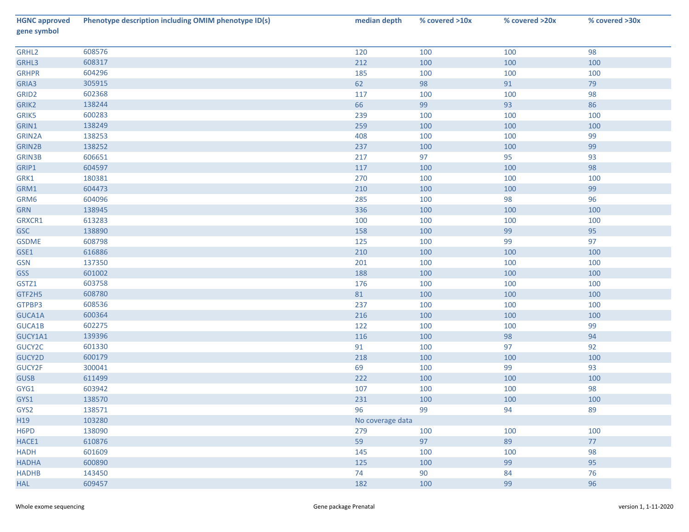| <b>HGNC approved</b><br>gene symbol | Phenotype description including OMIM phenotype ID(s) | median depth     | % covered >10x | % covered >20x | % covered >30x |
|-------------------------------------|------------------------------------------------------|------------------|----------------|----------------|----------------|
| GRHL2                               | 608576                                               | 120              | 100            | 100            | 98             |
| GRHL3                               | 608317                                               | 212              | 100            | 100            | 100            |
| <b>GRHPR</b>                        | 604296                                               | 185              | 100            | 100            | 100            |
| GRIA3                               | 305915                                               | 62               | 98             | 91             | 79             |
| GRID <sub>2</sub>                   | 602368                                               | 117              | 100            | 100            | 98             |
| GRIK2                               | 138244                                               | 66               | 99             | 93             | 86             |
| GRIK5                               | 600283                                               | 239              | 100            | 100            | 100            |
| GRIN1                               | 138249                                               | 259              | 100            | 100            | 100            |
| GRIN2A                              | 138253                                               | 408              | 100            | 100            | 99             |
| GRIN2B                              | 138252                                               | 237              | 100            | 100            | 99             |
| <b>GRIN3B</b>                       | 606651                                               | 217              | 97             | 95             | 93             |
| GRIP1                               | 604597                                               | 117              | 100            | 100            | 98             |
| GRK1                                | 180381                                               | 270              | 100            | 100            | 100            |
| GRM1                                | 604473                                               | 210              | 100            | 100            | 99             |
| GRM6                                | 604096                                               | 285              | 100            | 98             | 96             |
| <b>GRN</b>                          | 138945                                               | 336              | 100            | 100            | 100            |
| GRXCR1                              | 613283                                               | 100              | 100            | 100            | 100            |
| <b>GSC</b>                          | 138890                                               | 158              | 100            | 99             | 95             |
| <b>GSDME</b>                        | 608798                                               | 125              | 100            | 99             | 97             |
| GSE1                                | 616886                                               | 210              | 100            | 100            | 100            |
| <b>GSN</b>                          | 137350                                               | 201              | 100            | 100            | 100            |
| <b>GSS</b>                          | 601002                                               | 188              | 100            | 100            | 100            |
| GSTZ1                               | 603758                                               | 176              | 100            | 100            | 100            |
| GTF2H5                              | 608780                                               | 81               | 100            | 100            | 100            |
| GTPBP3                              | 608536                                               | 237              | 100            | 100            | 100            |
| GUCA1A                              | 600364                                               | 216              | 100            | 100            | 100            |
| GUCA1B                              | 602275                                               | 122              | 100            | 100            | 99             |
| GUCY1A1                             | 139396                                               | 116              | 100            | 98             | 94             |
| GUCY2C                              | 601330                                               | 91               | 100            | 97             | 92             |
| GUCY2D                              | 600179                                               | 218              | 100            | 100            | 100            |
| GUCY2F                              | 300041                                               | 69               | 100            | 99             | 93             |
| <b>GUSB</b>                         | 611499                                               | 222              | 100            | 100            | 100            |
| GYG1                                | 603942                                               | 107              | 100            | 100            | 98             |
| GYS1                                | 138570                                               | 231              | 100            | 100            | 100            |
| GYS2                                | 138571                                               | 96               | 99             | 94             | 89             |
| H19                                 | 103280                                               | No coverage data |                |                |                |
| H6PD                                | 138090                                               | 279              | 100            | 100            | 100            |
| HACE1                               | 610876                                               | 59               | 97             | 89             | 77             |
| HADH                                | 601609                                               | 145              | 100            | 100            | 98             |
| <b>HADHA</b>                        | 600890                                               | 125              | 100            | 99             | 95             |
| <b>HADHB</b>                        | 143450                                               | 74               | 90             | 84             | 76             |
| <b>HAL</b>                          | 609457                                               | 182              | 100            | 99             | 96             |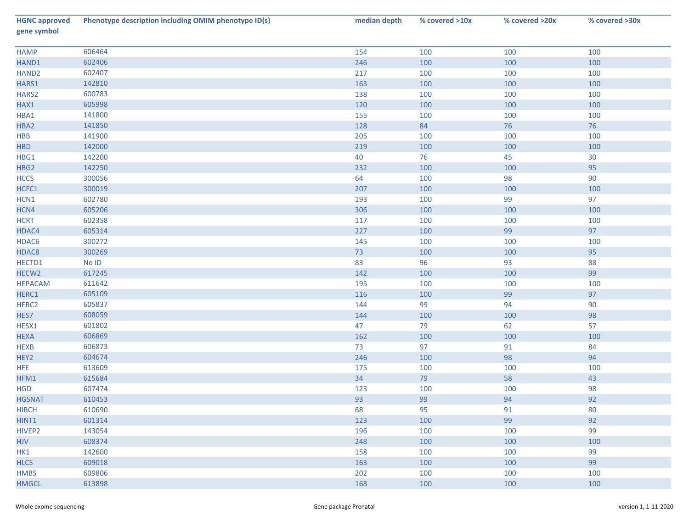| <b>HGNC approved</b><br>gene symbol | Phenotype description including OMIM phenotype ID(s) | median depth | % covered >10x | % covered >20x | % covered >30x |
|-------------------------------------|------------------------------------------------------|--------------|----------------|----------------|----------------|
| <b>HAMP</b>                         | 606464                                               | 154          | 100            | 100            | 100            |
| HAND1                               | 602406                                               | 246          | 100            | 100            | 100            |
| HAND <sub>2</sub>                   | 602407                                               | 217          | 100            | 100            | 100            |
| HARS1                               | 142810                                               | 163          | 100            | 100            | 100            |
| HARS2                               | 600783                                               | 138          | 100            | 100            | 100            |
| HAX1                                | 605998                                               | 120          | 100            | 100            | 100            |
| HBA1                                | 141800                                               | 155          | 100            | 100            | 100            |
| HBA2                                | 141850                                               | 128          | 84             | 76             | 76             |
| HBB                                 | 141900                                               | 205          | 100            | 100            | 100            |
| <b>HBD</b>                          | 142000                                               | 219          | 100            | 100            | 100            |
| HBG1                                | 142200                                               | 40           | 76             | 45             | $30\,$         |
| HBG2                                | 142250                                               | 232          | 100            | 100            | 95             |
| <b>HCCS</b>                         | 300056                                               | 64           | 100            | 98             | $90\,$         |
| HCFC1                               | 300019                                               | 207          | 100            | 100            | 100            |
| HCN1                                | 602780                                               | 193          | 100            | 99             | 97             |
| HCN4                                | 605206                                               | 306          | 100            | 100            | 100            |
| <b>HCRT</b>                         | 602358                                               | 117          | 100            | 100            | 100            |
| HDAC4                               | 605314                                               | 227          | 100            | 99             | 97             |
| HDAC6                               | 300272                                               | 145          | 100            | 100            | 100            |
| HDAC8                               | 300269                                               | 73           | 100            | 100            | 95             |
| HECTD1                              | $No$ $ID$                                            | 83           | 96             | 93             | 88             |
| HECW <sub>2</sub>                   | 617245                                               | 142          | 100            | 100            | 99             |
| <b>HEPACAM</b>                      | 611642                                               | 195          | 100            | 100            | 100            |
| HERC1                               | 605109                                               | 116          | 100            | 99             | 97             |
| HERC <sub>2</sub>                   | 605837                                               | 144          | 99             | 94             | $90\,$         |
| HES7                                | 608059                                               | 144          | 100            | 100            | 98             |
| HESX1                               | 601802                                               | 47           | 79             | 62             | 57             |
| <b>HEXA</b>                         | 606869                                               | 162          | 100            | 100            | 100            |
| <b>HEXB</b>                         | 606873                                               | 73           | 97             | 91             | 84             |
| HEY2                                | 604674                                               | 246          | 100            | 98             | 94             |
| HFE                                 | 613609                                               | 175          | 100            | 100            | 100            |
| HFM1                                | 615684                                               | 34           | 79             | 58             | 43             |
| <b>HGD</b>                          | 607474                                               | 123          | 100            | 100            | 98             |
| <b>HGSNAT</b>                       | 610453                                               | 93           | 99             | 94             | 92             |
| <b>HIBCH</b>                        | 610690                                               | 68           | 95             | 91             | 80             |
| HINT1                               | 601314                                               | 123          | 100            | 99             | 92             |
| HIVEP2                              | 143054                                               | 196          | 100            | 100            | 99             |
| <b>HJV</b>                          | 608374                                               | 248          | 100            | 100            | 100            |
| HK1                                 | 142600                                               | 158          | 100            | 100            | 99             |
| <b>HLCS</b>                         | 609018                                               | 163          | 100            | 100            | 99             |
| <b>HMBS</b>                         | 609806                                               | 202          | 100            | 100            | 100            |
| <b>HMGCL</b>                        | 613898                                               | 168          | 100            | 100            | 100            |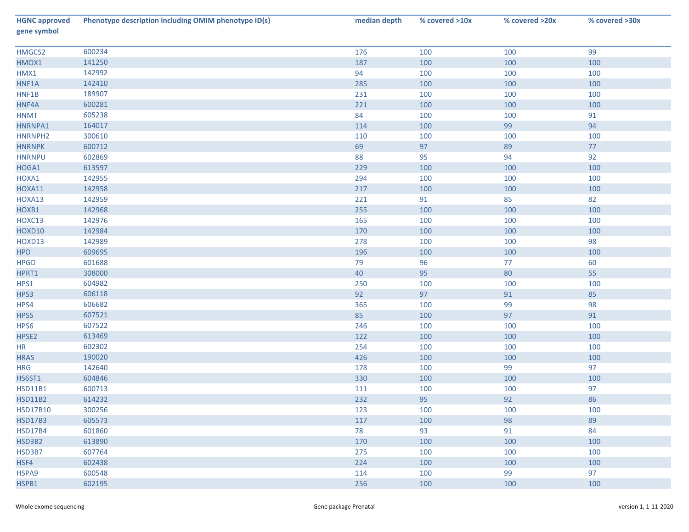| <b>HGNC approved</b><br>gene symbol | Phenotype description including OMIM phenotype ID(s) | median depth | % covered >10x | % covered >20x | % covered >30x |
|-------------------------------------|------------------------------------------------------|--------------|----------------|----------------|----------------|
| HMGCS2                              | 600234                                               | 176          | 100            | 100            | 99             |
| HMOX1                               | 141250                                               | 187          | 100            | 100            | 100            |
| HMX1                                | 142992                                               | 94           | 100            | 100            | 100            |
| HNF1A                               | 142410                                               | 285          | 100            | 100            | 100            |
| HNF1B                               | 189907                                               | 231          | 100            | 100            | 100            |
| HNF4A                               | 600281                                               | 221          | 100            | 100            | 100            |
| <b>HNMT</b>                         | 605238                                               | 84           | 100            | 100            | 91             |
| HNRNPA1                             | 164017                                               | 114          | 100            | 99             | 94             |
| HNRNPH2                             | 300610                                               | 110          | 100            | 100            | 100            |
| <b>HNRNPK</b>                       | 600712                                               | 69           | 97             | 89             | 77             |
| <b>HNRNPU</b>                       | 602869                                               | 88           | 95             | 94             | 92             |
| HOGA1                               | 613597                                               | 229          | 100            | 100            | 100            |
| HOXA1                               | 142955                                               | 294          | 100            | 100            | 100            |
| HOXA11                              | 142958                                               | 217          | 100            | 100            | 100            |
| HOXA13                              | 142959                                               | 221          | 91             | 85             | 82             |
| HOXB1                               | 142968                                               | 255          | 100            | 100            | 100            |
| HOXC13                              | 142976                                               | 165          | 100            | 100            | 100            |
| HOXD10                              | 142984                                               | 170          | 100            | 100            | 100            |
| HOXD13                              | 142989                                               | 278          | 100            | 100            | 98             |
| <b>HPD</b>                          | 609695                                               | 196          | 100            | 100            | 100            |
| <b>HPGD</b>                         | 601688                                               | 79           | 96             | 77             | 60             |
| HPRT1                               | 308000                                               | 40           | 95             | 80             | 55             |
| HPS1                                | 604982                                               | 250          | 100            | 100            | 100            |
| HPS3                                | 606118                                               | 92           | 97             | 91             | 85             |
| HPS4                                | 606682                                               | 365          | 100            | 99             | 98             |
| HPS5                                | 607521                                               | 85           | 100            | 97             | 91             |
| HPS6                                | 607522                                               | 246          | 100            | 100            | 100            |
| HPSE2                               | 613469                                               | 122          | 100            | 100            | 100            |
| HR                                  | 602302                                               | 254          | 100            | 100            | 100            |
| <b>HRAS</b>                         | 190020                                               | 426          | 100            | 100            | 100            |
| <b>HRG</b>                          | 142640                                               | 178          | 100            | 99             | 97             |
| <b>HS6ST1</b>                       | 604846                                               | 330          | 100            | 100            | 100            |
| <b>HSD11B1</b>                      | 600713                                               | 111          | 100            | 100            | 97             |
| <b>HSD11B2</b>                      | 614232                                               | 232          | 95             | 92             | 86             |
| <b>HSD17B10</b>                     | 300256                                               | 123          | 100            | 100            | 100            |
| <b>HSD17B3</b>                      | 605573                                               | 117          | 100            | 98             | 89             |
| <b>HSD17B4</b>                      | 601860                                               | 78           | 93             | 91             | 84             |
| HSD3B2                              | 613890                                               | 170          | 100            | 100            | 100            |
| HSD3B7                              | 607764                                               | 275          | 100            | 100            | 100            |
| HSF4                                | 602438                                               | 224          | 100            | 100            | 100            |
| HSPA9                               | 600548                                               | 114          | 100            | 99             | 97             |
| HSPB1                               | 602195                                               | 256          | 100            | 100            | 100            |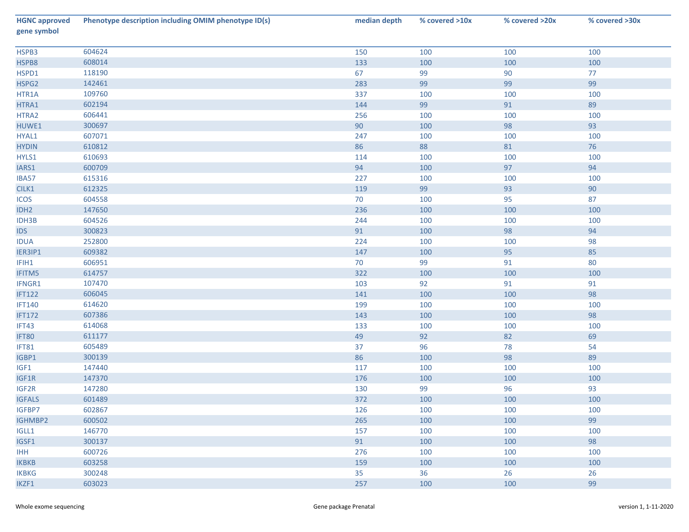| <b>HGNC approved</b><br>gene symbol | Phenotype description including OMIM phenotype ID(s) | median depth | % covered >10x | % covered >20x | % covered >30x |
|-------------------------------------|------------------------------------------------------|--------------|----------------|----------------|----------------|
| HSPB3                               | 604624                                               | 150          | 100            | 100            | 100            |
| HSPB8                               | 608014                                               | 133          | 100            | 100            | 100            |
| HSPD1                               | 118190                                               | 67           | 99             | 90             | 77             |
| HSPG2                               | 142461                                               | 283          | 99             | 99             | 99             |
| HTR1A                               | 109760                                               | 337          | 100            | 100            | 100            |
| HTRA1                               | 602194                                               | 144          | 99             | 91             | 89             |
| HTRA2                               | 606441                                               | 256          | 100            | 100            | 100            |
| HUWE1                               | 300697                                               | 90           | 100            | 98             | 93             |
| HYAL1                               | 607071                                               | 247          | 100            | 100            | 100            |
| <b>HYDIN</b>                        | 610812                                               | 86           | 88             | 81             | 76             |
| HYLS1                               | 610693                                               | 114          | 100            | 100            | 100            |
| IARS1                               | 600709                                               | 94           | 100            | 97             | 94             |
| IBA57                               | 615316                                               | 227          | 100            | 100            | 100            |
| CILK1                               | 612325                                               | 119          | 99             | 93             | $90\,$         |
| <b>ICOS</b>                         | 604558                                               | 70           | 100            | 95             | 87             |
| IDH <sub>2</sub>                    | 147650                                               | 236          | 100            | 100            | 100            |
| IDH3B                               | 604526                                               | 244          | 100            | 100            | 100            |
| <b>IDS</b>                          | 300823                                               | 91           | 100            | 98             | 94             |
| <b>IDUA</b>                         | 252800                                               | 224          | 100            | 100            | 98             |
| IER3IP1                             | 609382                                               | 147          | 100            | 95             | 85             |
| IFIH1                               | 606951                                               | 70           | 99             | 91             | 80             |
| IFITM5                              | 614757                                               | 322          | 100            | 100            | 100            |
| IFNGR1                              | 107470                                               | 103          | 92             | 91             | 91             |
| <b>IFT122</b>                       | 606045                                               | 141          | 100            | 100            | 98             |
| <b>IFT140</b>                       | 614620                                               | 199          | 100            | 100            | 100            |
| <b>IFT172</b>                       | 607386                                               | 143          | 100            | 100            | 98             |
| IFT43                               | 614068                                               | 133          | 100            | 100            | 100            |
| IFT80                               | 611177                                               | 49           | 92             | 82             | 69             |
| IFT81                               | 605489                                               | 37           | 96             | 78             | 54             |
| IGBP1                               | 300139                                               | 86           | 100            | 98             | 89             |
| IGF1                                | 147440                                               | 117          | 100            | 100            | 100            |
| IGF1R                               | 147370                                               | 176          | 100            | 100            | 100            |
| IGF2R                               | 147280                                               | 130          | 99             | 96             | 93             |
| <b>IGFALS</b>                       | 601489                                               | 372          | 100            | 100            | 100            |
| IGFBP7                              | 602867                                               | 126          | 100            | 100            | 100            |
| IGHMBP2                             | 600502                                               | 265          | 100            | 100            | 99             |
| IGLL1                               | 146770                                               | 157          | 100            | 100            | 100            |
| IGSF1                               | 300137                                               | 91           | 100            | 100            | 98             |
| <b>IHH</b>                          | 600726                                               | 276          | 100            | 100            | 100            |
| <b>IKBKB</b>                        | 603258                                               | 159          | 100            | 100            | 100            |
| <b>IKBKG</b>                        | 300248                                               | 35           | 36             | 26             | 26             |
| IKZF1                               | 603023                                               | 257          | 100            | 100            | 99             |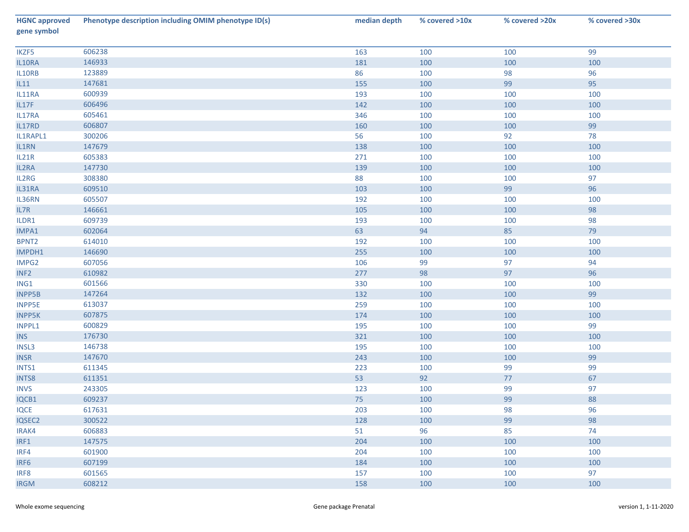| <b>HGNC approved</b><br>gene symbol | Phenotype description including OMIM phenotype ID(s) | median depth | % covered >10x | % covered >20x | % covered >30x |
|-------------------------------------|------------------------------------------------------|--------------|----------------|----------------|----------------|
| IKZF5                               | 606238                                               | 163          | 100            | 100            | 99             |
| IL10RA                              | 146933                                               | 181          | 100            | 100            | 100            |
| IL10RB                              | 123889                                               | 86           | 100            | 98             | 96             |
| L11                                 | 147681                                               | 155          | 100            | 99             | 95             |
| IL11RA                              | 600939                                               | 193          | 100            | 100            | 100            |
| IL17F                               | 606496                                               | 142          | 100            | 100            | 100            |
| IL17RA                              | 605461                                               | 346          | 100            | 100            | 100            |
| IL17RD                              | 606807                                               | 160          | 100            | 100            | 99             |
| IL1RAPL1                            | 300206                                               | 56           | 100            | 92             | 78             |
| IL1RN                               | 147679                                               | 138          | 100            | 100            | 100            |
| IL21R                               | 605383                                               | 271          | 100            | 100            | 100            |
| IL2RA                               | 147730                                               | 139          | 100            | 100            | 100            |
| IL2RG                               | 308380                                               | 88           | 100            | 100            | 97             |
| IL31RA                              | 609510                                               | 103          | 100            | 99             | 96             |
| IL36RN                              | 605507                                               | 192          | 100            | 100            | 100            |
| IL7R                                | 146661                                               | 105          | 100            | 100            | 98             |
| ILDR1                               | 609739                                               | 193          | 100            | 100            | 98             |
| IMPA1                               | 602064                                               | 63           | 94             | 85             | 79             |
| BPNT <sub>2</sub>                   | 614010                                               | 192          | 100            | 100            | 100            |
| IMPDH1                              | 146690                                               | 255          | 100            | 100            | 100            |
| IMPG2                               | 607056                                               | 106          | 99             | 97             | 94             |
| INF <sub>2</sub>                    | 610982                                               | 277          | 98             | 97             | 96             |
| ING1                                | 601566                                               | 330          | 100            | 100            | 100            |
| INPP5B                              | 147264                                               | 132          | 100            | 100            | 99             |
| <b>INPP5E</b>                       | 613037                                               | 259          | 100            | 100            | 100            |
| <b>INPP5K</b>                       | 607875                                               | 174          | 100            | 100            | 100            |
| INPPL1                              | 600829                                               | 195          | 100            | 100            | 99             |
| <b>INS</b>                          | 176730                                               | 321          | 100            | 100            | 100            |
| INSL3                               | 146738                                               | 195          | 100            | 100            | 100            |
| <b>INSR</b>                         | 147670                                               | 243          | 100            | 100            | 99             |
| INTS1                               | 611345                                               | 223          | 100            | 99             | 99             |
| INTS8                               | 611351                                               | 53           | 92             | 77             | 67             |
| <b>INVS</b>                         | 243305                                               | 123          | 100            | 99             | 97             |
| IQCB1                               | 609237                                               | 75           | 100            | 99             | 88             |
| <b>IQCE</b>                         | 617631                                               | 203          | 100            | 98             | 96             |
| IQSEC2                              | 300522                                               | 128          | 100            | 99             | 98             |
| IRAK4                               | 606883                                               | 51           | 96             | 85             | 74             |
| IRF1                                | 147575                                               | 204          | 100            | 100            | 100            |
| IRF4                                | 601900                                               | 204          | 100            | 100            | 100            |
| IRF6                                | 607199                                               | 184          | 100            | 100            | 100            |
| IRF8                                | 601565                                               | 157          | 100            | 100            | 97             |
| <b>IRGM</b>                         | 608212                                               | 158          | 100            | 100            | 100            |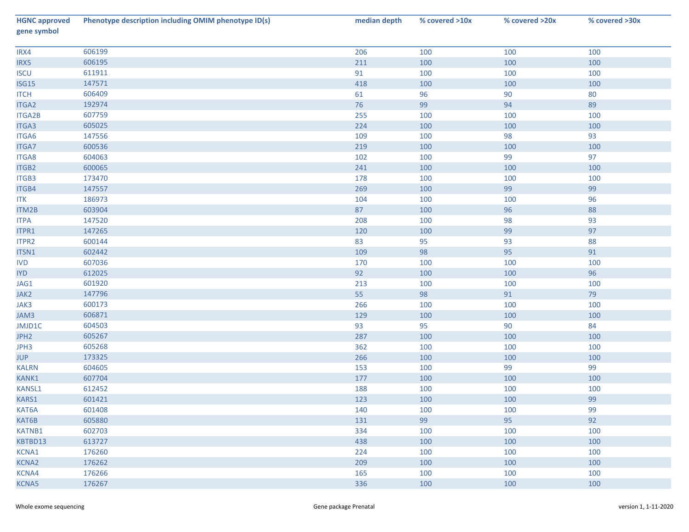| <b>HGNC approved</b><br>gene symbol | Phenotype description including OMIM phenotype ID(s) | median depth | % covered >10x | % covered >20x | % covered >30x |
|-------------------------------------|------------------------------------------------------|--------------|----------------|----------------|----------------|
| IRX4                                | 606199                                               | 206          | 100            | 100            | 100            |
| IRX5                                | 606195                                               | 211          | 100            | 100            | 100            |
| <b>ISCU</b>                         | 611911                                               | 91           | 100            | 100            | 100            |
| <b>ISG15</b>                        | 147571                                               | 418          | 100            | 100            | 100            |
| <b>ITCH</b>                         | 606409                                               | 61           | 96             | 90             | 80             |
| ITGA2                               | 192974                                               | 76           | 99             | 94             | 89             |
| <b>ITGA2B</b>                       | 607759                                               | 255          | 100            | 100            | 100            |
| ITGA3                               | 605025                                               | 224          | 100            | 100            | 100            |
| ITGA6                               | 147556                                               | 109          | 100            | 98             | 93             |
| <b>ITGA7</b>                        | 600536                                               | 219          | 100            | 100            | 100            |
| <b>ITGA8</b>                        | 604063                                               | 102          | 100            | 99             | 97             |
| <b>ITGB2</b>                        | 600065                                               | 241          | 100            | 100            | 100            |
| ITGB3                               | 173470                                               | 178          | 100            | 100            | 100            |
| ITGB4                               | 147557                                               | 269          | 100            | 99             | 99             |
| <b>ITK</b>                          | 186973                                               | 104          | 100            | 100            | 96             |
| ITM2B                               | 603904                                               | 87           | 100            | 96             | 88             |
| <b>ITPA</b>                         | 147520                                               | 208          | 100            | 98             | 93             |
| ITPR1                               | 147265                                               | 120          | 100            | 99             | 97             |
| ITPR2                               | 600144                                               | 83           | 95             | 93             | 88             |
| ITSN1                               | 602442                                               | 109          | 98             | 95             | 91             |
| <b>IVD</b>                          | 607036                                               | 170          | 100            | 100            | 100            |
| <b>IYD</b>                          | 612025                                               | 92           | 100            | 100            | 96             |
| JAG1                                | 601920                                               | 213          | 100            | 100            | 100            |
| JAK2                                | 147796                                               | 55           | 98             | 91             | 79             |
| JAK3                                | 600173                                               | 266          | 100            | 100            | 100            |
| JAM3                                | 606871                                               | 129          | 100            | 100            | 100            |
| JMJD1C                              | 604503                                               | 93           | 95             | 90             | 84             |
| JPH <sub>2</sub>                    | 605267                                               | 287          | 100            | 100            | 100            |
| JPH3                                | 605268                                               | 362          | 100            | 100            | 100            |
| <b>JUP</b>                          | 173325                                               | 266          | 100            | 100            | 100            |
| <b>KALRN</b>                        | 604605                                               | 153          | 100            | 99             | 99             |
| KANK1                               | 607704                                               | 177          | 100            | 100            | 100            |
| KANSL1                              | 612452                                               | 188          | 100            | 100            | 100            |
| KARS1                               | 601421                                               | 123          | 100            | 100            | 99             |
| KAT6A                               | 601408                                               | 140          | 100            | 100            | 99             |
| KAT6B                               | 605880                                               | 131          | 99             | 95             | 92             |
| KATNB1                              | 602703                                               | 334          | 100            | 100            | 100            |
| KBTBD13                             | 613727                                               | 438          | 100            | 100            | 100            |
| KCNA1                               | 176260                                               | 224          | 100            | 100            | 100            |
| <b>KCNA2</b>                        | 176262                                               | 209          | 100            | 100            | 100            |
| KCNA4                               | 176266                                               | 165          | 100            | 100            | 100            |
| <b>KCNA5</b>                        | 176267                                               | 336          | 100            | 100            | 100            |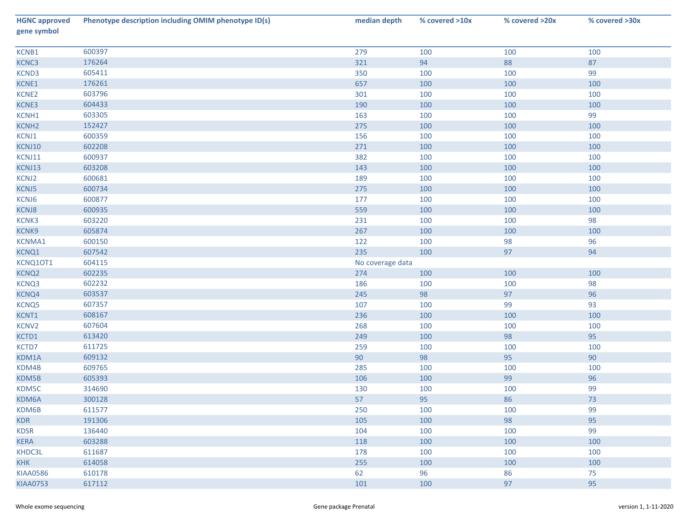| <b>HGNC approved</b><br>gene symbol | Phenotype description including OMIM phenotype ID(s) | median depth     | % covered >10x | % covered >20x | % covered >30x |
|-------------------------------------|------------------------------------------------------|------------------|----------------|----------------|----------------|
| KCNB1                               | 600397                                               | 279              | 100            | 100            | 100            |
| KCNC3                               | 176264                                               | 321              | 94             | 88             | 87             |
| KCND3                               | 605411                                               | 350              | 100            | 100            | 99             |
| KCNE1                               | 176261                                               | 657              | 100            | 100            | 100            |
| KCNE2                               | 603796                                               | 301              | 100            | 100            | 100            |
| KCNE3                               | 604433                                               | 190              | 100            | 100            | 100            |
| KCNH1                               | 603305                                               | 163              | 100            | 100            | 99             |
| KCNH <sub>2</sub>                   | 152427                                               | 275              | 100            | 100            | 100            |
| KCNJ1                               | 600359                                               | 156              | 100            | 100            | 100            |
| KCNJ10                              | 602208                                               | 271              | 100            | 100            | 100            |
| KCNJ11                              | 600937                                               | 382              | 100            | 100            | 100            |
| KCNJ13                              | 603208                                               | 143              | 100            | 100            | 100            |
| KCNJ2                               | 600681                                               | 189              | 100            | 100            | 100            |
| KCNJ5                               | 600734                                               | 275              | 100            | 100            | 100            |
| KCNJ6                               | 600877                                               | 177              | 100            | 100            | 100            |
| KCNJ8                               | 600935                                               | 559              | 100            | 100            | 100            |
| KCNK3                               | 603220                                               | 231              | 100            | 100            | 98             |
| KCNK9                               | 605874                                               | 267              | 100            | 100            | 100            |
| KCNMA1                              | 600150                                               | 122              | 100            | 98             | 96             |
| KCNQ1                               | 607542                                               | 235              | 100            | 97             | 94             |
| KCNQ10T1                            | 604115                                               | No coverage data |                |                |                |
| KCNQ <sub>2</sub>                   | 602235                                               | 274              | 100            | 100            | 100            |
| KCNQ3                               | 602232                                               | 186              | 100            | 100            | 98             |
| KCNQ4                               | 603537                                               | 245              | 98             | 97             | 96             |
| <b>KCNQ5</b>                        | 607357                                               | 107              | 100            | 99             | 93             |
| KCNT1                               | 608167                                               | 236              | 100            | 100            | 100            |
| KCNV2                               | 607604                                               | 268              | 100            | 100            | 100            |
| KCTD1                               | 613420                                               | 249              | 100            | 98             | 95             |
| KCTD7                               | 611725                                               | 259              | 100            | 100            | 100            |
| KDM1A                               | 609132                                               | 90               | 98             | 95             | 90             |
| KDM4B                               | 609765                                               | 285              | 100            | 100            | 100            |
| KDM5B                               | 605393                                               | 106              | 100            | 99             | 96             |
| KDM5C                               | 314690                                               | 130              | 100            | 100            | 99             |
| KDM6A                               | 300128                                               | 57               | 95             | 86             | 73             |
| KDM6B                               | 611577                                               | 250              | 100            | 100            | 99             |
| <b>KDR</b>                          | 191306                                               | 105              | 100            | 98             | 95             |
| <b>KDSR</b>                         | 136440                                               | 104              | 100            | 100            | 99             |
| <b>KERA</b>                         | 603288                                               | 118              | 100            | 100            | 100            |
| KHDC3L                              | 611687                                               | 178              | 100            | 100            | 100            |
| <b>KHK</b>                          | 614058                                               | 255              | 100            | 100            | 100            |
| <b>KIAA0586</b>                     | 610178                                               | 62               | 96             | 86             | 75             |
| <b>KIAA0753</b>                     | 617112                                               | 101              | 100            | 97             | 95             |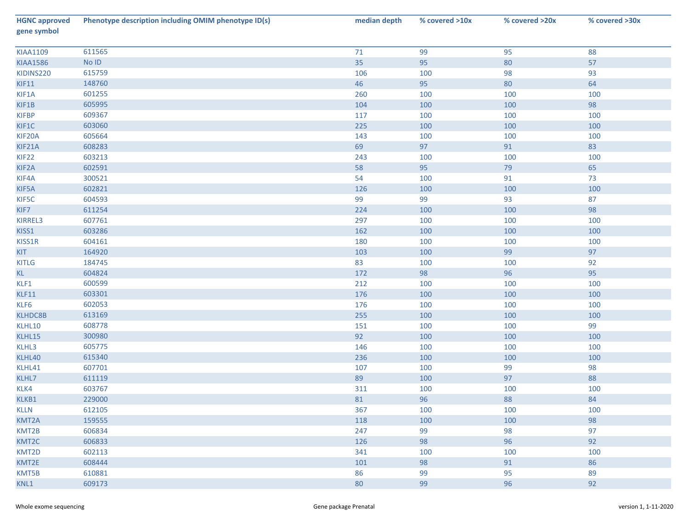| <b>HGNC approved</b><br>gene symbol | Phenotype description including OMIM phenotype ID(s) | median depth | % covered >10x | % covered >20x | % covered >30x |
|-------------------------------------|------------------------------------------------------|--------------|----------------|----------------|----------------|
| <b>KIAA1109</b>                     | 611565                                               | 71           | 99             | 95             | 88             |
| <b>KIAA1586</b>                     | $No$ $ID$                                            | 35           | 95             | 80             | 57             |
| KIDINS220                           | 615759                                               | 106          | 100            | 98             | 93             |
| KIF11                               | 148760                                               | 46           | 95             | 80             | 64             |
| KIF1A                               | 601255                                               | 260          | 100            | 100            | 100            |
| KIF1B                               | 605995                                               | 104          | 100            | 100            | 98             |
| <b>KIFBP</b>                        | 609367                                               | 117          | 100            | 100            | 100            |
| KIF1C                               | 603060                                               | 225          | 100            | 100            | 100            |
| KIF20A                              | 605664                                               | 143          | 100            | 100            | 100            |
| KIF21A                              | 608283                                               | 69           | 97             | 91             | 83             |
| KIF <sub>22</sub>                   | 603213                                               | 243          | 100            | 100            | 100            |
| KIF <sub>2</sub> A                  | 602591                                               | 58           | 95             | 79             | 65             |
| KIF4A                               | 300521                                               | 54           | 100            | 91             | 73             |
| KIF5A                               | 602821                                               | 126          | 100            | 100            | 100            |
| KIF5C                               | 604593                                               | 99           | 99             | 93             | 87             |
| KIF7                                | 611254                                               | 224          | 100            | 100            | 98             |
| KIRREL3                             | 607761                                               | 297          | 100            | 100            | 100            |
| KISS1                               | 603286                                               | 162          | 100            | 100            | 100            |
| KISS1R                              | 604161                                               | 180          | 100            | 100            | 100            |
| KIT                                 | 164920                                               | 103          | 100            | 99             | 97             |
| <b>KITLG</b>                        | 184745                                               | 83           | 100            | 100            | 92             |
| KL                                  | 604824                                               | 172          | 98             | 96             | 95             |
| KLF1                                | 600599                                               | 212          | 100            | 100            | 100            |
| KLF11                               | 603301                                               | 176          | 100            | 100            | 100            |
| KLF6                                | 602053                                               | 176          | 100            | 100            | 100            |
| <b>KLHDC8B</b>                      | 613169                                               | 255          | 100            | 100            | 100            |
| KLHL10                              | 608778                                               | 151          | 100            | 100            | 99             |
| KLHL15                              | 300980                                               | 92           | 100            | 100            | 100            |
| KLHL3                               | 605775                                               | 146          | 100            | 100            | 100            |
| KLHL40                              | 615340                                               | 236          | 100            | 100            | 100            |
| KLHL41                              | 607701                                               | 107          | 100            | 99             | 98             |
| KLHL7                               | 611119                                               | 89           | 100            | 97             | 88             |
| KLK4                                | 603767                                               | 311          | 100            | 100            | 100            |
| KLKB1                               | 229000                                               | 81           | 96             | 88             | 84             |
| <b>KLLN</b>                         | 612105                                               | 367          | 100            | 100            | 100            |
| KMT2A                               | 159555                                               | 118          | 100            | 100            | 98             |
| KMT2B                               | 606834                                               | 247          | 99             | 98             | 97             |
| KMT2C                               | 606833                                               | 126          | 98             | 96             | 92             |
| KMT2D                               | 602113                                               | 341          | 100            | 100            | 100            |
| KMT2E                               | 608444                                               | 101          | 98             | 91             | 86             |
| KMT5B                               | 610881                                               | 86           | 99             | 95             | 89             |
| KNL1                                | 609173                                               | 80           | 99             | 96             | 92             |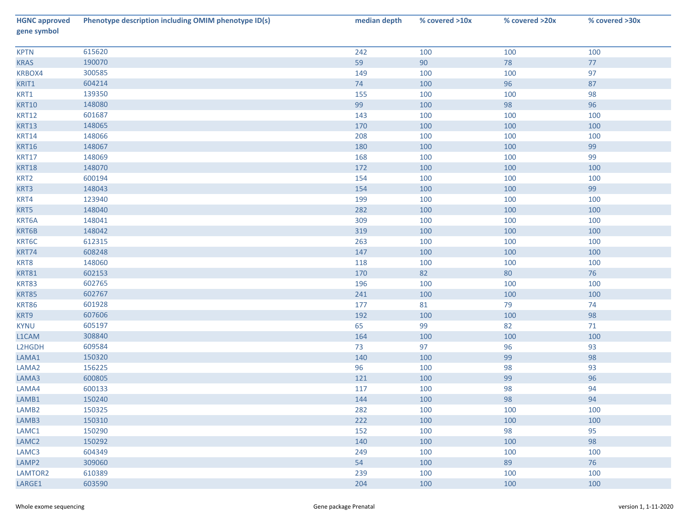| <b>HGNC approved</b><br>gene symbol | Phenotype description including OMIM phenotype ID(s) | median depth | % covered >10x | % covered >20x | % covered >30x |
|-------------------------------------|------------------------------------------------------|--------------|----------------|----------------|----------------|
| <b>KPTN</b>                         | 615620                                               | 242          | 100            | 100            | 100            |
| <b>KRAS</b>                         | 190070                                               | 59           | 90             | 78             | 77             |
| KRBOX4                              | 300585                                               | 149          | 100            | 100            | 97             |
| KRIT1                               | 604214                                               | 74           | 100            | 96             | 87             |
| KRT1                                | 139350                                               | 155          | 100            | 100            | 98             |
| <b>KRT10</b>                        | 148080                                               | 99           | 100            | 98             | 96             |
| <b>KRT12</b>                        | 601687                                               | 143          | 100            | 100            | 100            |
| <b>KRT13</b>                        | 148065                                               | 170          | 100            | 100            | 100            |
| <b>KRT14</b>                        | 148066                                               | 208          | 100            | 100            | 100            |
| <b>KRT16</b>                        | 148067                                               | 180          | 100            | 100            | 99             |
| <b>KRT17</b>                        | 148069                                               | 168          | 100            | 100            | 99             |
| <b>KRT18</b>                        | 148070                                               | 172          | 100            | 100            | 100            |
| KRT2                                | 600194                                               | 154          | 100            | 100            | 100            |
| KRT3                                | 148043                                               | 154          | 100            | 100            | 99             |
| KRT4                                | 123940                                               | 199          | 100            | 100            | 100            |
| KRT5                                | 148040                                               | 282          | 100            | 100            | 100            |
| KRT6A                               | 148041                                               | 309          | 100            | 100            | 100            |
| KRT6B                               | 148042                                               | 319          | 100            | 100            | 100            |
| KRT6C                               | 612315                                               | 263          | 100            | 100            | 100            |
| KRT74                               | 608248                                               | 147          | 100            | 100            | 100            |
| KRT8                                | 148060                                               | 118          | 100            | 100            | 100            |
| <b>KRT81</b>                        | 602153                                               | 170          | 82             | 80             | 76             |
| KRT83                               | 602765                                               | 196          | 100            | 100            | 100            |
| <b>KRT85</b>                        | 602767                                               | 241          | 100            | 100            | 100            |
| <b>KRT86</b>                        | 601928                                               | 177          | 81             | 79             | 74             |
| KRT9                                | 607606                                               | 192          | 100            | 100            | 98             |
| <b>KYNU</b>                         | 605197                                               | 65           | 99             | 82             | 71             |
| L1CAM                               | 308840                                               | 164          | 100            | 100            | 100            |
| L2HGDH                              | 609584                                               | 73           | 97             | 96             | 93             |
| LAMA1                               | 150320                                               | 140          | 100            | 99             | 98             |
| LAMA <sub>2</sub>                   | 156225                                               | 96           | 100            | 98             | 93             |
| LAMA3                               | 600805                                               | 121          | 100            | 99             | 96             |
| LAMA4                               | 600133                                               | 117          | 100            | 98             | 94             |
| LAMB1                               | 150240                                               | 144          | 100            | 98             | 94             |
| LAMB <sub>2</sub>                   | 150325                                               | 282          | 100            | 100            | 100            |
| LAMB3                               | 150310                                               | 222          | 100            | 100            | 100            |
| LAMC1                               | 150290                                               | 152          | 100            | 98             | 95             |
| LAMC <sub>2</sub>                   | 150292                                               | 140          | 100            | 100            | 98             |
| LAMC3                               | 604349                                               | 249          | 100            | 100            | 100            |
| LAMP2                               | 309060                                               | 54           | 100            | 89             | 76             |
| LAMTOR2                             | 610389                                               | 239          | 100            | 100            | 100            |
| LARGE1                              | 603590                                               | 204          | 100            | 100            | 100            |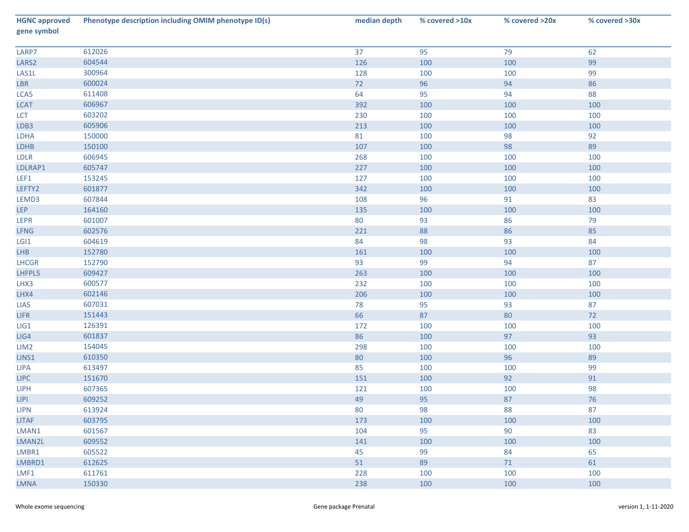| <b>HGNC approved</b><br>gene symbol | Phenotype description including OMIM phenotype ID(s) | median depth | % covered >10x | % covered >20x | % covered >30x |
|-------------------------------------|------------------------------------------------------|--------------|----------------|----------------|----------------|
| LARP7                               | 612026                                               | 37           | 95             | 79             | 62             |
| LARS <sub>2</sub>                   | 604544                                               | 126          | 100            | 100            | 99             |
| LAS1L                               | 300964                                               | 128          | 100            | 100            | 99             |
| LBR                                 | 600024                                               | 72           | 96             | 94             | 86             |
| LCA5                                | 611408                                               | 64           | 95             | 94             | 88             |
| <b>LCAT</b>                         | 606967                                               | 392          | 100            | 100            | 100            |
| LCT                                 | 603202                                               | 230          | 100            | 100            | 100            |
| LDB3                                | 605906                                               | 213          | 100            | 100            | 100            |
| LDHA                                | 150000                                               | 81           | 100            | 98             | 92             |
| LDHB                                | 150100                                               | 107          | 100            | 98             | 89             |
| LDLR                                | 606945                                               | 268          | 100            | 100            | 100            |
| LDLRAP1                             | 605747                                               | 227          | 100            | 100            | 100            |
| LEF1                                | 153245                                               | 127          | 100            | 100            | 100            |
| LEFTY2                              | 601877                                               | 342          | 100            | 100            | 100            |
| LEMD3                               | 607844                                               | 108          | 96             | 91             | 83             |
| <b>LEP</b>                          | 164160                                               | 135          | 100            | 100            | 100            |
| LEPR                                | 601007                                               | 80           | 93             | 86             | 79             |
| <b>LFNG</b>                         | 602576                                               | 221          | 88             | 86             | 85             |
| LGI1                                | 604619                                               | 84           | 98             | 93             | 84             |
| LHB                                 | 152780                                               | 161          | 100            | 100            | 100            |
| <b>LHCGR</b>                        | 152790                                               | 93           | 99             | 94             | 87             |
| LHFPL5                              | 609427                                               | 263          | 100            | 100            | 100            |
| LHX3                                | 600577                                               | 232          | 100            | 100            | 100            |
| LHX4                                | 602146                                               | 206          | 100            | 100            | 100            |
| LIAS                                | 607031                                               | 78           | 95             | 93             | 87             |
| LIFR                                | 151443                                               | 66           | 87             | 80             | $72$           |
| LI                                  | 126391                                               | 172          | 100            | 100            | 100            |
| LIG4                                | 601837                                               | 86           | 100            | 97             | 93             |
| LIM <sub>2</sub>                    | 154045                                               | 298          | 100            | 100            | 100            |
| LINS1                               | 610350                                               | 80           | 100            | 96             | 89             |
| <b>LIPA</b>                         | 613497                                               | 85           | 100            | 100            | 99             |
| <b>LIPC</b>                         | 151670                                               | 151          | 100            | 92             | 91             |
| <b>LIPH</b>                         | 607365                                               | 121          | 100            | 100            | 98             |
| LIPI                                | 609252                                               | 49           | 95             | 87             | 76             |
| <b>LIPN</b>                         | 613924                                               | 80           | 98             | 88             | 87             |
| <b>LITAF</b>                        | 603795                                               | 173          | 100            | 100            | 100            |
| LMAN1                               | 601567                                               | 104          | 95             | 90             | 83             |
| LMAN2L                              | 609552                                               | 141          | 100            | 100            | 100            |
| LMBR1                               | 605522                                               | 45           | 99             | 84             | 65             |
| LMBRD1                              | 612625                                               | 51           | 89             | 71             | 61             |
| LMF1                                | 611761                                               | 228          | 100            | 100            | 100            |
| <b>LMNA</b>                         | 150330                                               | 238          | 100            | 100            | 100            |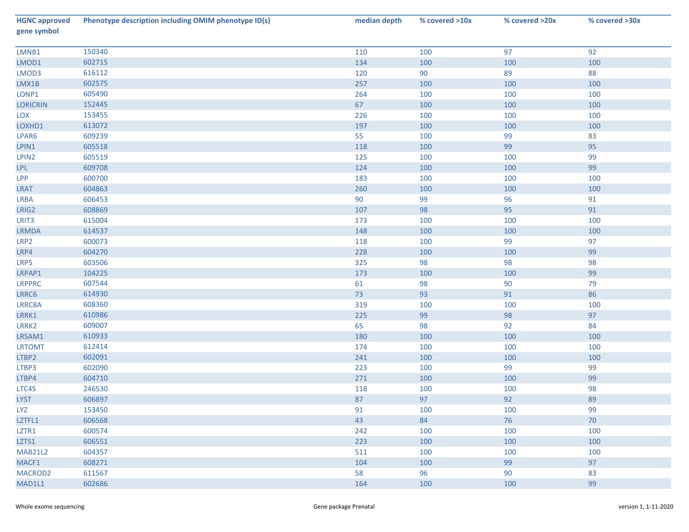| <b>HGNC approved</b><br>gene symbol | Phenotype description including OMIM phenotype ID(s) | median depth | % covered >10x | % covered >20x | % covered >30x |
|-------------------------------------|------------------------------------------------------|--------------|----------------|----------------|----------------|
| LMNB1                               | 150340                                               | 110          | 100            | 97             | 92             |
| LMOD1                               | 602715                                               | 134          | 100            | 100            | 100            |
| LMOD3                               | 616112                                               | 120          | 90             | 89             | 88             |
| LMX1B                               | 602575                                               | 257          | 100            | 100            | 100            |
| LONP1                               | 605490                                               | 264          | 100            | 100            | 100            |
| <b>LORICRIN</b>                     | 152445                                               | 67           | 100            | 100            | 100            |
| LOX                                 | 153455                                               | 226          | 100            | 100            | 100            |
| LOXHD1                              | 613072                                               | 197          | 100            | 100            | 100            |
| LPAR6                               | 609239                                               | 55           | 100            | 99             | 83             |
| LPIN1                               | 605518                                               | 118          | 100            | 99             | 95             |
| LPIN2                               | 605519                                               | 125          | 100            | 100            | 99             |
| <b>LPL</b>                          | 609708                                               | 124          | 100            | 100            | 99             |
| <b>LPP</b>                          | 600700                                               | 183          | 100            | 100            | 100            |
| <b>LRAT</b>                         | 604863                                               | 260          | 100            | 100            | 100            |
| <b>LRBA</b>                         | 606453                                               | 90           | 99             | 96             | 91             |
| LRIG2                               | 608869                                               | 107          | 98             | 95             | 91             |
| LRIT3                               | 615004                                               | 173          | 100            | 100            | 100            |
| LRMDA                               | 614537                                               | 148          | 100            | 100            | 100            |
| LRP2                                | 600073                                               | 118          | 100            | 99             | 97             |
| LRP4                                | 604270                                               | 228          | 100            | 100            | 99             |
| LRP5                                | 603506                                               | 325          | 98             | 98             | 98             |
| LRPAP1                              | 104225                                               | 173          | 100            | 100            | 99             |
| <b>LRPPRC</b>                       | 607544                                               | 61           | 98             | 90             | 79             |
| LRRC6                               | 614930                                               | 73           | 93             | 91             | 86             |
| LRRC8A                              | 608360                                               | 319          | 100            | 100            | 100            |
| LRRK1                               | 610986                                               | 225          | 99             | 98             | 97             |
| LRRK2                               | 609007                                               | 65           | 98             | 92             | 84             |
| LRSAM1                              | 610933                                               | 180          | 100            | 100            | 100            |
| <b>LRTOMT</b>                       | 612414                                               | 174          | 100            | 100            | 100            |
| LTBP2                               | 602091                                               | 241          | 100            | 100            | 100            |
| LTBP3                               | 602090                                               | 223          | 100            | 99             | 99             |
| LTBP4                               | 604710                                               | 271          | 100            | 100            | 99             |
| LTC4S                               | 246530                                               | 118          | 100            | 100            | 98             |
| <b>LYST</b>                         | 606897                                               | 87           | 97             | 92             | 89             |
| <b>LYZ</b>                          | 153450                                               | 91           | 100            | 100            | 99             |
| LZTFL1                              | 606568                                               | 43           | 84             | 76             | 70             |
| LZTR1                               | 600574                                               | 242          | 100            | 100            | 100            |
| LZTS1                               | 606551                                               | 223          | 100            | 100            | 100            |
| <b>MAB21L2</b>                      | 604357                                               | 511          | 100            | 100            | 100            |
| MACF1                               | 608271                                               | 104          | 100            | 99             | 97             |
| MACROD2                             | 611567                                               | 58           | 96             | 90             | 83             |
| MAD1L1                              | 602686                                               | 164          | 100            | 100            | 99             |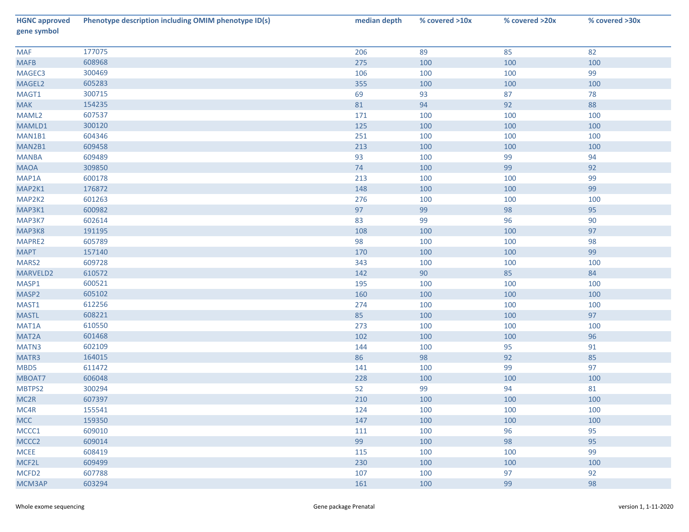| <b>HGNC approved</b><br>gene symbol | Phenotype description including OMIM phenotype ID(s) | median depth | % covered >10x | % covered >20x | % covered >30x |
|-------------------------------------|------------------------------------------------------|--------------|----------------|----------------|----------------|
| <b>MAF</b>                          | 177075                                               | 206          | 89             | 85             | 82             |
| <b>MAFB</b>                         | 608968                                               | 275          | 100            | 100            | 100            |
| MAGEC3                              | 300469                                               | 106          | 100            | 100            | 99             |
| MAGEL2                              | 605283                                               | 355          | 100            | 100            | 100            |
| MAGT1                               | 300715                                               | 69           | 93             | 87             | 78             |
| <b>MAK</b>                          | 154235                                               | 81           | 94             | 92             | 88             |
| MAML2                               | 607537                                               | 171          | 100            | 100            | 100            |
| MAMLD1                              | 300120                                               | 125          | 100            | 100            | 100            |
| MAN1B1                              | 604346                                               | 251          | 100            | 100            | 100            |
| MAN2B1                              | 609458                                               | 213          | 100            | 100            | 100            |
| <b>MANBA</b>                        | 609489                                               | 93           | 100            | 99             | 94             |
| <b>MAOA</b>                         | 309850                                               | 74           | 100            | 99             | 92             |
| MAP1A                               | 600178                                               | 213          | 100            | 100            | 99             |
| MAP2K1                              | 176872                                               | 148          | 100            | 100            | 99             |
| MAP2K2                              | 601263                                               | 276          | 100            | 100            | 100            |
| MAP3K1                              | 600982                                               | 97           | 99             | 98             | 95             |
| MAP3K7                              | 602614                                               | 83           | 99             | 96             | 90             |
| MAP3K8                              | 191195                                               | 108          | 100            | 100            | 97             |
| MAPRE2                              | 605789                                               | 98           | 100            | 100            | 98             |
| <b>MAPT</b>                         | 157140                                               | 170          | 100            | 100            | 99             |
| MARS2                               | 609728                                               | 343          | 100            | 100            | 100            |
| MARVELD2                            | 610572                                               | 142          | $90\,$         | 85             | 84             |
| MASP1                               | 600521                                               | 195          | 100            | 100            | 100            |
| MASP2                               | 605102                                               | 160          | 100            | 100            | 100            |
| MAST1                               | 612256                                               | 274          | 100            | 100            | 100            |
| <b>MASTL</b>                        | 608221                                               | 85           | 100            | 100            | 97             |
| MAT1A                               | 610550                                               | 273          | 100            | 100            | 100            |
| MAT2A                               | 601468                                               | 102          | 100            | 100            | 96             |
| MATN3                               | 602109                                               | 144          | 100            | 95             | 91             |
| MATR3                               | 164015                                               | 86           | 98             | 92             | 85             |
| MBD5                                | 611472                                               | 141          | 100            | 99             | 97             |
| MBOAT7                              | 606048                                               | 228          | 100            | 100            | 100            |
| MBTPS2                              | 300294                                               | 52           | 99             | 94             | 81             |
| MC <sub>2R</sub>                    | 607397                                               | 210          | 100            | 100            | 100            |
| MC4R                                | 155541                                               | 124          | 100            | 100            | 100            |
| <b>MCC</b>                          | 159350                                               | 147          | 100            | 100            | 100            |
| MCCC1                               | 609010                                               | 111          | 100            | 96             | 95             |
| MCCC <sub>2</sub>                   | 609014                                               | 99           | 100            | 98             | 95             |
| <b>MCEE</b>                         | 608419                                               | 115          | 100            | 100            | 99             |
| MCF2L                               | 609499                                               | 230          | 100            | 100            | 100            |
| MCFD <sub>2</sub>                   | 607788                                               | 107          | 100            | 97             | 92             |
| MCM3AP                              | 603294                                               | 161          | 100            | 99             | 98             |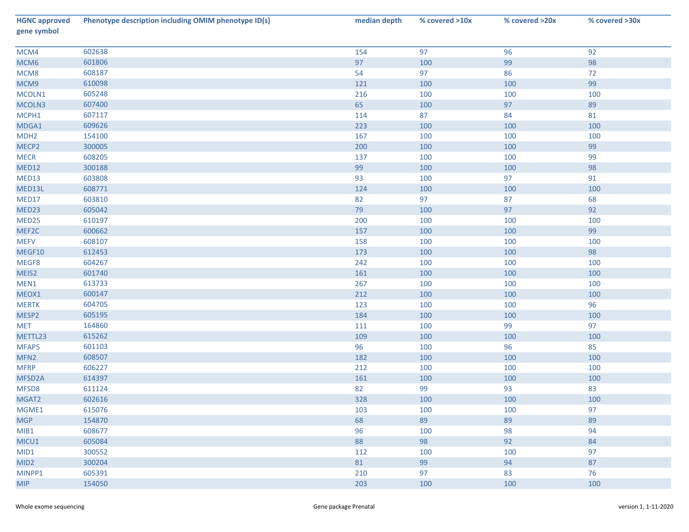| <b>HGNC approved</b><br>gene symbol | Phenotype description including OMIM phenotype ID(s) | median depth | % covered >10x | % covered >20x | % covered >30x |
|-------------------------------------|------------------------------------------------------|--------------|----------------|----------------|----------------|
| MCM4                                | 602638                                               | 154          | 97             | 96             | 92             |
| MCM6                                | 601806                                               | 97           | 100            | 99             | 98             |
| MCM8                                | 608187                                               | 54           | 97             | 86             | 72             |
| MCM9                                | 610098                                               | 121          | 100            | 100            | 99             |
| MCOLN1                              | 605248                                               | 216          | 100            | 100            | 100            |
| MCOLN3                              | 607400                                               | 65           | 100            | 97             | 89             |
| MCPH1                               | 607117                                               | 114          | 87             | 84             | 81             |
| MDGA1                               | 609626                                               | 223          | 100            | 100            | 100            |
| MDH <sub>2</sub>                    | 154100                                               | 167          | 100            | 100            | 100            |
| MECP2                               | 300005                                               | 200          | 100            | 100            | 99             |
| <b>MECR</b>                         | 608205                                               | 137          | 100            | 100            | 99             |
| MED12                               | 300188                                               | 99           | 100            | 100            | 98             |
| MED13                               | 603808                                               | 93           | 100            | 97             | 91             |
| MED13L                              | 608771                                               | 124          | 100            | 100            | 100            |
| MED17                               | 603810                                               | 82           | 97             | 87             | 68             |
| MED23                               | 605042                                               | 79           | 100            | 97             | 92             |
| MED25                               | 610197                                               | 200          | 100            | 100            | 100            |
| MEF2C                               | 600662                                               | 157          | 100            | 100            | 99             |
| <b>MEFV</b>                         | 608107                                               | 158          | 100            | 100            | 100            |
| MEGF10                              | 612453                                               | 173          | 100            | 100            | 98             |
| MEGF8                               | 604267                                               | 242          | 100            | 100            | 100            |
| MEIS2                               | 601740                                               | 161          | 100            | 100            | 100            |
| MEN1                                | 613733                                               | 267          | 100            | 100            | 100            |
| MEOX1                               | 600147                                               | 212          | 100            | 100            | 100            |
| <b>MERTK</b>                        | 604705                                               | 123          | 100            | 100            | 96             |
| MESP2                               | 605195                                               | 184          | 100            | 100            | 100            |
| <b>MET</b>                          | 164860                                               | 111          | 100            | 99             | 97             |
| METTL23                             | 615262                                               | 109          | 100            | 100            | 100            |
| MFAP5                               | 601103                                               | 96           | 100            | 96             | 85             |
| MFN <sub>2</sub>                    | 608507                                               | 182          | 100            | 100            | 100            |
| <b>MFRP</b>                         | 606227                                               | 212          | 100            | 100            | 100            |
| MFSD <sub>2</sub> A                 | 614397                                               | 161          | 100            | 100            | 100            |
| MFSD8                               | 611124                                               | 82           | 99             | 93             | 83             |
| MGAT2                               | 602616                                               | 328          | 100            | 100            | 100            |
| MGME1                               | 615076                                               | 103          | 100            | 100            | 97             |
| <b>MGP</b>                          | 154870                                               | 68           | 89             | 89             | 89             |
| MIB1                                | 608677                                               | 96           | 100            | 98             | 94             |
| MICU1                               | 605084                                               | 88           | 98             | 92             | 84             |
| MID1                                | 300552                                               | 112          | 100            | 100            | 97             |
| MID <sub>2</sub>                    | 300204                                               | 81           | 99             | 94             | 87             |
| MINPP1                              | 605391                                               | 210          | 97             | 83             | 76             |
| <b>MIP</b>                          | 154050                                               | 203          | 100            | 100            | 100            |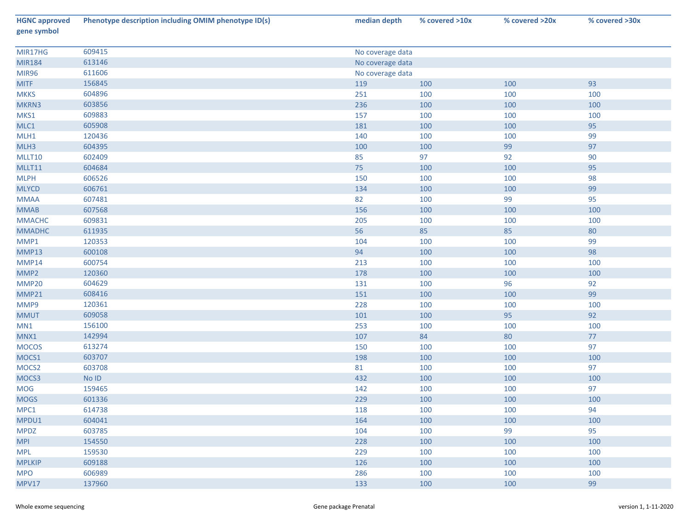| <b>HGNC approved</b><br>gene symbol | Phenotype description including OMIM phenotype ID(s) | median depth     | % covered >10x   | % covered >20x | % covered >30x |  |  |  |
|-------------------------------------|------------------------------------------------------|------------------|------------------|----------------|----------------|--|--|--|
|                                     |                                                      |                  |                  |                |                |  |  |  |
| MIR17HG                             | 609415                                               |                  | No coverage data |                |                |  |  |  |
| <b>MIR184</b>                       | 613146                                               | No coverage data |                  |                |                |  |  |  |
| <b>MIR96</b>                        | 611606                                               | No coverage data |                  |                |                |  |  |  |
| <b>MITF</b>                         | 156845                                               | 119              | 100              | 100            | 93             |  |  |  |
| <b>MKKS</b>                         | 604896                                               | 251              | 100              | 100            | 100            |  |  |  |
| MKRN3                               | 603856                                               | 236              | 100              | 100            | 100            |  |  |  |
| MKS1                                | 609883                                               | 157              | 100              | 100            | 100            |  |  |  |
| MLC1                                | 605908                                               | 181              | 100              | 100            | 95             |  |  |  |
| MLH1                                | 120436                                               | 140              | 100              | 100            | 99             |  |  |  |
| MLH3                                | 604395                                               | 100              | 100              | 99             | 97             |  |  |  |
| MLLT10                              | 602409                                               | 85               | 97               | 92             | 90             |  |  |  |
| MLLT11                              | 604684                                               | 75               | 100              | 100            | 95             |  |  |  |
| <b>MLPH</b>                         | 606526                                               | 150              | 100              | 100            | 98             |  |  |  |
| <b>MLYCD</b>                        | 606761                                               | 134              | 100              | 100            | 99             |  |  |  |
| <b>MMAA</b>                         | 607481                                               | 82               | 100              | 99             | 95             |  |  |  |
| <b>MMAB</b>                         | 607568                                               | 156              | 100              | 100            | 100            |  |  |  |
| <b>MMACHC</b>                       | 609831                                               | 205              | 100              | 100            | 100            |  |  |  |
| <b>MMADHC</b>                       | 611935                                               | 56               | 85               | 85             | 80             |  |  |  |
| MMP1                                | 120353                                               | 104              | 100              | 100            | 99             |  |  |  |
| <b>MMP13</b>                        | 600108                                               | 94               | 100              | 100            | 98             |  |  |  |
| <b>MMP14</b>                        | 600754                                               | 213              | 100              | 100            | 100            |  |  |  |
| MMP2                                | 120360                                               | 178              | 100              | 100            | 100            |  |  |  |
| MMP20                               | 604629                                               | 131              | 100              | 96             | 92             |  |  |  |
| MMP21                               | 608416                                               | 151              | 100              | 100            | 99             |  |  |  |
| MMP9                                | 120361                                               | 228              | 100              | 100            | 100            |  |  |  |
| <b>MMUT</b>                         | 609058                                               | 101              | 100              | 95             | 92             |  |  |  |
| MN1                                 | 156100                                               | 253              | 100              | 100            | 100            |  |  |  |
| MNX1                                | 142994                                               | 107              | 84               | 80             | 77             |  |  |  |
| <b>MOCOS</b>                        | 613274                                               | 150              | 100              | 100            | 97             |  |  |  |
| MOCS1                               | 603707                                               | 198              | 100              | 100            | 100            |  |  |  |
| MOCS2                               | 603708                                               | 81               | 100              | 100            | 97             |  |  |  |
| MOCS3                               | $No$ $ID$                                            | 432              | 100              | 100            | 100            |  |  |  |
| <b>MOG</b>                          | 159465                                               | 142              | 100              | 100            | 97             |  |  |  |
| <b>MOGS</b>                         | 601336                                               | 229              | 100              | 100            | 100            |  |  |  |
| MPC1                                | 614738                                               | 118              | 100              | 100            | 94             |  |  |  |
| MPDU1                               | 604041                                               | 164              | 100              | 100            | 100            |  |  |  |
| <b>MPDZ</b>                         | 603785                                               | 104              | 100              | 99             | 95             |  |  |  |
| <b>MPI</b>                          | 154550                                               | 228              | 100              | 100            | 100            |  |  |  |
| <b>MPL</b>                          | 159530                                               | 229              | 100              | 100            | 100            |  |  |  |
| <b>MPLKIP</b>                       | 609188                                               | 126              | 100              | 100            | 100            |  |  |  |
| <b>MPO</b>                          | 606989                                               | 286              | 100              | 100            | 100            |  |  |  |
| <b>MPV17</b>                        | 137960                                               | 133              | 100              | 100            | 99             |  |  |  |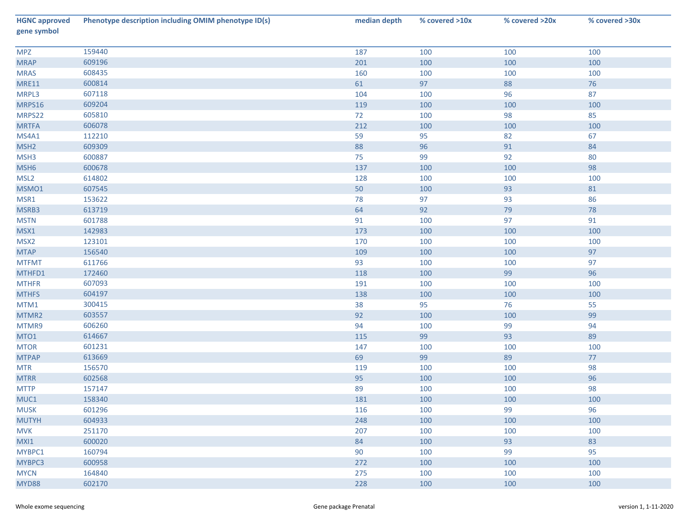| <b>HGNC approved</b><br>gene symbol | Phenotype description including OMIM phenotype ID(s) | median depth | % covered >10x | % covered >20x | % covered >30x |
|-------------------------------------|------------------------------------------------------|--------------|----------------|----------------|----------------|
| <b>MPZ</b>                          | 159440                                               | 187          | 100            | 100            | 100            |
| <b>MRAP</b>                         | 609196                                               | 201          | 100            | 100            | 100            |
| <b>MRAS</b>                         | 608435                                               | 160          | 100            | 100            | 100            |
| <b>MRE11</b>                        | 600814                                               | 61           | 97             | 88             | 76             |
| MRPL3                               | 607118                                               | 104          | 100            | 96             | 87             |
| MRPS16                              | 609204                                               | 119          | 100            | 100            | 100            |
| MRPS22                              | 605810                                               | 72           | 100            | 98             | 85             |
| <b>MRTFA</b>                        | 606078                                               | 212          | 100            | 100            | 100            |
| MS4A1                               | 112210                                               | 59           | 95             | 82             | 67             |
| MSH <sub>2</sub>                    | 609309                                               | 88           | 96             | 91             | 84             |
| MSH3                                | 600887                                               | 75           | 99             | 92             | 80             |
| MSH <sub>6</sub>                    | 600678                                               | 137          | 100            | 100            | 98             |
| MSL <sub>2</sub>                    | 614802                                               | 128          | 100            | 100            | 100            |
| MSMO1                               | 607545                                               | 50           | 100            | 93             | 81             |
| MSR1                                | 153622                                               | 78           | 97             | 93             | 86             |
| MSRB3                               | 613719                                               | 64           | 92             | 79             | $78\,$         |
| <b>MSTN</b>                         | 601788                                               | 91           | 100            | 97             | 91             |
| MSX1                                | 142983                                               | 173          | 100            | 100            | 100            |
| MSX <sub>2</sub>                    | 123101                                               | 170          | 100            | 100            | 100            |
| <b>MTAP</b>                         | 156540                                               | 109          | 100            | 100            | 97             |
| <b>MTFMT</b>                        | 611766                                               | 93           | 100            | 100            | 97             |
| MTHFD1                              | 172460                                               | 118          | 100            | 99             | 96             |
| <b>MTHFR</b>                        | 607093                                               | 191          | 100            | 100            | 100            |
| <b>MTHFS</b>                        | 604197                                               | 138          | 100            | 100            | 100            |
| MTM1                                | 300415                                               | 38           | 95             | 76             | 55             |
| MTMR2                               | 603557                                               | 92           | 100            | 100            | 99             |
| MTMR9                               | 606260                                               | 94           | 100            | 99             | 94             |
| MTO1                                | 614667                                               | 115          | 99             | 93             | 89             |
| <b>MTOR</b>                         | 601231                                               | 147          | 100            | 100            | 100            |
| <b>MTPAP</b>                        | 613669                                               | 69           | 99             | 89             | $77\,$         |
| <b>MTR</b>                          | 156570                                               | 119          | 100            | 100            | 98             |
| <b>MTRR</b>                         | 602568                                               | 95           | 100            | 100            | 96             |
| <b>MTTP</b>                         | 157147                                               | 89           | 100            | 100            | 98             |
| MUC1                                | 158340                                               | 181          | 100            | 100            | 100            |
| <b>MUSK</b>                         | 601296                                               | 116          | 100            | 99             | 96             |
| <b>MUTYH</b>                        | 604933                                               | 248          | 100            | 100            | 100            |
| <b>MVK</b>                          | 251170                                               | 207          | 100            | 100            | 100            |
| MXI1                                | 600020                                               | 84           | 100            | 93             | 83             |
| MYBPC1                              | 160794                                               | 90           | 100            | 99             | 95             |
| MYBPC3                              | 600958                                               | 272          | 100            | 100            | 100            |
| <b>MYCN</b>                         | 164840                                               | 275          | 100            | 100            | 100            |
| <b>MYD88</b>                        | 602170                                               | 228          | 100            | 100            | 100            |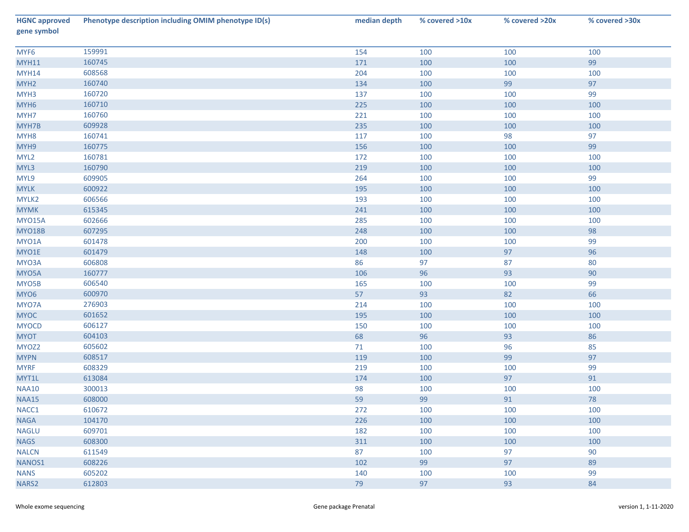| <b>HGNC approved</b><br>gene symbol | Phenotype description including OMIM phenotype ID(s) | median depth | % covered >10x | % covered >20x | % covered >30x |
|-------------------------------------|------------------------------------------------------|--------------|----------------|----------------|----------------|
| MYF6                                | 159991                                               | 154          | 100            | 100            | 100            |
| <b>MYH11</b>                        | 160745                                               | 171          | 100            | 100            | 99             |
| <b>MYH14</b>                        | 608568                                               | 204          | 100            | 100            | 100            |
| MYH <sub>2</sub>                    | 160740                                               | 134          | 100            | 99             | 97             |
| MYH3                                | 160720                                               | 137          | 100            | 100            | 99             |
| MYH <sub>6</sub>                    | 160710                                               | 225          | 100            | 100            | 100            |
| MYH7                                | 160760                                               | 221          | 100            | 100            | 100            |
| MYH7B                               | 609928                                               | 235          | 100            | 100            | 100            |
| MYH <sub>8</sub>                    | 160741                                               | 117          | 100            | 98             | 97             |
| MYH9                                | 160775                                               | 156          | 100            | 100            | 99             |
| MYL2                                | 160781                                               | 172          | 100            | 100            | 100            |
| MYL3                                | 160790                                               | 219          | 100            | 100            | 100            |
| MYL9                                | 609905                                               | 264          | 100            | 100            | 99             |
| <b>MYLK</b>                         | 600922                                               | 195          | 100            | 100            | 100            |
| MYLK2                               | 606566                                               | 193          | 100            | 100            | 100            |
| <b>MYMK</b>                         | 615345                                               | 241          | 100            | 100            | 100            |
| <b>MYO15A</b>                       | 602666                                               | 285          | 100            | 100            | 100            |
| <b>MYO18B</b>                       | 607295                                               | 248          | 100            | 100            | 98             |
| MYO1A                               | 601478                                               | 200          | 100            | 100            | 99             |
| MYO1E                               | 601479                                               | 148          | 100            | 97             | 96             |
| MYO3A                               | 606808                                               | 86           | 97             | 87             | 80             |
| MYO5A                               | 160777                                               | 106          | 96             | 93             | 90             |
| MYO5B                               | 606540                                               | 165          | 100            | 100            | 99             |
| MYO6                                | 600970                                               | 57           | 93             | 82             | 66             |
| MYO7A                               | 276903                                               | 214          | 100            | 100            | 100            |
| <b>MYOC</b>                         | 601652                                               | 195          | 100            | 100            | 100            |
| <b>MYOCD</b>                        | 606127                                               | 150          | 100            | 100            | 100            |
| <b>MYOT</b>                         | 604103                                               | 68           | 96             | 93             | 86             |
| MYOZ2                               | 605602                                               | 71           | 100            | 96             | 85             |
| <b>MYPN</b>                         | 608517                                               | 119          | 100            | 99             | 97             |
| <b>MYRF</b>                         | 608329                                               | 219          | 100            | 100            | 99             |
| MYT1L                               | 613084                                               | 174          | 100            | 97             | 91             |
| <b>NAA10</b>                        | 300013                                               | 98           | 100            | 100            | 100            |
| <b>NAA15</b>                        | 608000                                               | 59           | 99             | 91             | 78             |
| NACC1                               | 610672                                               | 272          | 100            | 100            | 100            |
| <b>NAGA</b>                         | 104170                                               | 226          | 100            | 100            | 100            |
| <b>NAGLU</b>                        | 609701                                               | 182          | 100            | 100            | 100            |
| <b>NAGS</b>                         | 608300                                               | 311          | 100            | 100            | 100            |
| <b>NALCN</b>                        | 611549                                               | 87           | 100            | 97             | 90             |
| NANOS1                              | 608226                                               | 102          | 99             | 97             | 89             |
| <b>NANS</b>                         | 605202                                               | 140          | 100            | 100            | 99             |
| NARS2                               | 612803                                               | 79           | 97             | 93             | 84             |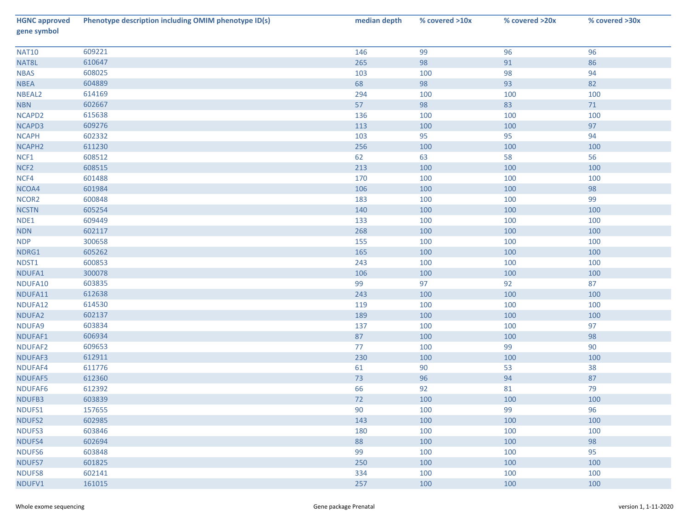| <b>HGNC approved</b><br>gene symbol | Phenotype description including OMIM phenotype ID(s) | median depth | % covered >10x | % covered >20x | % covered >30x |
|-------------------------------------|------------------------------------------------------|--------------|----------------|----------------|----------------|
| <b>NAT10</b>                        | 609221                                               | 146          | 99             | 96             | 96             |
| NAT8L                               | 610647                                               | 265          | 98             | 91             | 86             |
| <b>NBAS</b>                         | 608025                                               | 103          | 100            | 98             | 94             |
| <b>NBEA</b>                         | 604889                                               | 68           | 98             | 93             | 82             |
| NBEAL2                              | 614169                                               | 294          | 100            | 100            | 100            |
| <b>NBN</b>                          | 602667                                               | 57           | 98             | 83             | 71             |
| NCAPD2                              | 615638                                               | 136          | 100            | 100            | 100            |
| NCAPD3                              | 609276                                               | 113          | 100            | 100            | 97             |
| <b>NCAPH</b>                        | 602332                                               | 103          | 95             | 95             | 94             |
| NCAPH <sub>2</sub>                  | 611230                                               | 256          | 100            | 100            | 100            |
| NCF1                                | 608512                                               | 62           | 63             | 58             | 56             |
| NCF <sub>2</sub>                    | 608515                                               | 213          | 100            | 100            | 100            |
| NCF4                                | 601488                                               | 170          | 100            | 100            | 100            |
| NCOA4                               | 601984                                               | 106          | 100            | 100            | 98             |
| NCOR2                               | 600848                                               | 183          | 100            | 100            | 99             |
| <b>NCSTN</b>                        | 605254                                               | 140          | 100            | 100            | 100            |
| NDE1                                | 609449                                               | 133          | 100            | 100            | 100            |
| NDN                                 | 602117                                               | 268          | 100            | 100            | 100            |
| <b>NDP</b>                          | 300658                                               | 155          | 100            | 100            | 100            |
| NDRG1                               | 605262                                               | 165          | 100            | 100            | 100            |
| NDST1                               | 600853                                               | 243          | 100            | 100            | 100            |
| NDUFA1                              | 300078                                               | 106          | 100            | 100            | 100            |
| NDUFA10                             | 603835                                               | 99           | 97             | 92             | 87             |
| NDUFA11                             | 612638                                               | 243          | 100            | 100            | 100            |
| NDUFA12                             | 614530                                               | 119          | 100            | 100            | 100            |
| NDUFA2                              | 602137                                               | 189          | 100            | 100            | 100            |
| NDUFA9                              | 603834                                               | 137          | 100            | 100            | 97             |
| NDUFAF1                             | 606934                                               | 87           | 100            | 100            | 98             |
| NDUFAF2                             | 609653                                               | 77           | 100            | 99             | 90             |
| NDUFAF3                             | 612911                                               | 230          | 100            | 100            | 100            |
| NDUFAF4                             | 611776                                               | 61           | 90             | 53             | 38             |
| NDUFAF5                             | 612360                                               | 73           | 96             | 94             | 87             |
| NDUFAF6                             | 612392                                               | 66           | 92             | 81             | 79             |
| NDUFB3                              | 603839                                               | 72           | 100            | 100            | 100            |
| NDUFS1                              | 157655                                               | 90           | 100            | 99             | 96             |
| NDUFS2                              | 602985                                               | 143          | 100            | 100            | 100            |
| NDUFS3                              | 603846                                               | 180          | 100            | 100            | 100            |
| NDUFS4                              | 602694                                               | 88           | 100            | 100            | 98             |
| NDUFS6                              | 603848                                               | 99           | 100            | 100            | 95             |
| NDUFS7                              | 601825                                               | 250          | 100            | 100            | 100            |
| NDUFS8                              | 602141                                               | 334          | 100            | 100            | 100            |
| NDUFV1                              | 161015                                               | 257          | 100            | 100            | 100            |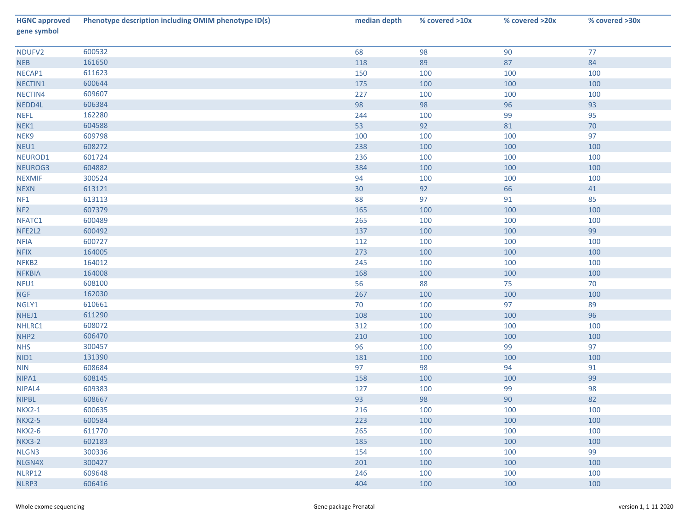| <b>HGNC approved</b><br>gene symbol | Phenotype description including OMIM phenotype ID(s) | median depth | % covered >10x | % covered >20x | % covered >30x |
|-------------------------------------|------------------------------------------------------|--------------|----------------|----------------|----------------|
| NDUFV2                              | 600532                                               | 68           | 98             | 90             | 77             |
| <b>NEB</b>                          | 161650                                               | 118          | 89             | 87             | 84             |
| NECAP1                              | 611623                                               | 150          | 100            | 100            | 100            |
| NECTIN1                             | 600644                                               | 175          | 100            | 100            | 100            |
| NECTIN4                             | 609607                                               | 227          | 100            | 100            | 100            |
| NEDD4L                              | 606384                                               | 98           | 98             | 96             | 93             |
| <b>NEFL</b>                         | 162280                                               | 244          | 100            | 99             | 95             |
| NEK1                                | 604588                                               | 53           | 92             | 81             | 70             |
| NEK9                                | 609798                                               | 100          | 100            | 100            | 97             |
| NEU1                                | 608272                                               | 238          | 100            | 100            | 100            |
| NEUROD1                             | 601724                                               | 236          | 100            | 100            | 100            |
| NEUROG3                             | 604882                                               | 384          | 100            | 100            | 100            |
| <b>NEXMIF</b>                       | 300524                                               | 94           | 100            | 100            | 100            |
| <b>NEXN</b>                         | 613121                                               | 30           | 92             | 66             | 41             |
| NF1                                 | 613113                                               | 88           | 97             | 91             | 85             |
| NF <sub>2</sub>                     | 607379                                               | 165          | 100            | 100            | 100            |
| NFATC1                              | 600489                                               | 265          | 100            | 100            | 100            |
| NFE2L2                              | 600492                                               | 137          | 100            | 100            | 99             |
| <b>NFIA</b>                         | 600727                                               | 112          | 100            | 100            | 100            |
| <b>NFIX</b>                         | 164005                                               | 273          | 100            | 100            | 100            |
| NFKB <sub>2</sub>                   | 164012                                               | 245          | 100            | 100            | 100            |
| <b>NFKBIA</b>                       | 164008                                               | 168          | 100            | 100            | 100            |
| NFU1                                | 608100                                               | 56           | 88             | 75             | 70             |
| <b>NGF</b>                          | 162030                                               | 267          | 100            | 100            | 100            |
| NGLY1                               | 610661                                               | 70           | 100            | 97             | 89             |
| NHEJ1                               | 611290                                               | 108          | 100            | 100            | 96             |
| NHLRC1                              | 608072                                               | 312          | 100            | 100            | 100            |
| NHP <sub>2</sub>                    | 606470                                               | 210          | 100            | 100            | 100            |
| <b>NHS</b>                          | 300457                                               | 96           | 100            | 99             | 97             |
| NID1                                | 131390                                               | 181          | 100            | 100            | 100            |
| <b>NIN</b>                          | 608684                                               | 97           | 98             | 94             | 91             |
| NIPA1                               | 608145                                               | 158          | 100            | 100            | 99             |
| NIPAL4                              | 609383                                               | 127          | 100            | 99             | 98             |
| <b>NIPBL</b>                        | 608667                                               | 93           | 98             | 90             | 82             |
| <b>NKX2-1</b>                       | 600635                                               | 216          | 100            | 100            | 100            |
| <b>NKX2-5</b>                       | 600584                                               | 223          | 100            | 100            | 100            |
| <b>NKX2-6</b>                       | 611770                                               | 265          | 100            | 100            | 100            |
| <b>NKX3-2</b>                       | 602183                                               | 185          | 100            | 100            | 100            |
| NLGN3                               | 300336                                               | 154          | 100            | 100            | 99             |
| NLGN4X                              | 300427                                               | 201          | 100            | 100            | 100            |
| NLRP12                              | 609648                                               | 246          | 100            | 100            | 100            |
| NLRP3                               | 606416                                               | 404          | 100            | 100            | 100            |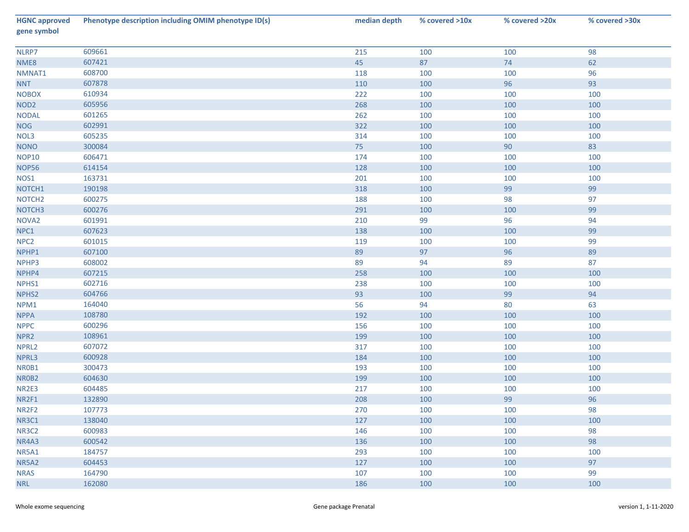| <b>HGNC approved</b><br>gene symbol | Phenotype description including OMIM phenotype ID(s) | median depth | % covered >10x | % covered >20x | % covered >30x |
|-------------------------------------|------------------------------------------------------|--------------|----------------|----------------|----------------|
| NLRP7                               | 609661                                               | 215          | 100            | 100            | 98             |
| NME8                                | 607421                                               | 45           | 87             | 74             | 62             |
| NMNAT1                              | 608700                                               | 118          | 100            | 100            | 96             |
| <b>NNT</b>                          | 607878                                               | 110          | 100            | 96             | 93             |
| <b>NOBOX</b>                        | 610934                                               | 222          | 100            | 100            | 100            |
| NOD <sub>2</sub>                    | 605956                                               | 268          | 100            | 100            | 100            |
| <b>NODAL</b>                        | 601265                                               | 262          | 100            | 100            | 100            |
| <b>NOG</b>                          | 602991                                               | 322          | 100            | 100            | 100            |
| NOL3                                | 605235                                               | 314          | 100            | 100            | 100            |
| <b>NONO</b>                         | 300084                                               | 75           | 100            | 90             | 83             |
| <b>NOP10</b>                        | 606471                                               | 174          | 100            | 100            | 100            |
| <b>NOP56</b>                        | 614154                                               | 128          | 100            | 100            | 100            |
| NOS1                                | 163731                                               | 201          | 100            | 100            | 100            |
| NOTCH1                              | 190198                                               | 318          | 100            | 99             | 99             |
| NOTCH <sub>2</sub>                  | 600275                                               | 188          | 100            | 98             | 97             |
| NOTCH <sub>3</sub>                  | 600276                                               | 291          | 100            | 100            | 99             |
| NOVA <sub>2</sub>                   | 601991                                               | 210          | 99             | 96             | 94             |
| NPC1                                | 607623                                               | 138          | 100            | 100            | 99             |
| NPC <sub>2</sub>                    | 601015                                               | 119          | 100            | 100            | 99             |
| NPHP1                               | 607100                                               | 89           | 97             | 96             | 89             |
| NPHP3                               | 608002                                               | 89           | 94             | 89             | 87             |
| NPHP4                               | 607215                                               | 258          | 100            | 100            | 100            |
| NPHS1                               | 602716                                               | 238          | 100            | 100            | 100            |
| NPHS2                               | 604766                                               | 93           | 100            | 99             | 94             |
| NPM1                                | 164040                                               | 56           | 94             | 80             | 63             |
| <b>NPPA</b>                         | 108780                                               | 192          | 100            | 100            | 100            |
| <b>NPPC</b>                         | 600296                                               | 156          | 100            | 100            | 100            |
| NPR <sub>2</sub>                    | 108961                                               | 199          | 100            | 100            | 100            |
| NPRL2                               | 607072                                               | 317          | 100            | 100            | 100            |
| NPRL3                               | 600928                                               | 184          | 100            | 100            | 100            |
| NR0B1                               | 300473                                               | 193          | 100            | 100            | 100            |
| NR0B2                               | 604630                                               | 199          | 100            | 100            | 100            |
| NR2E3                               | 604485                                               | 217          | 100            | 100            | 100            |
| NR2F1                               | 132890                                               | 208          | 100            | 99             | 96             |
| NR2F2                               | 107773                                               | 270          | 100            | 100            | 98             |
| <b>NR3C1</b>                        | 138040                                               | 127          | 100            | 100            | 100            |
| NR3C2                               | 600983                                               | 146          | 100            | 100            | 98             |
| NR4A3                               | 600542                                               | 136          | 100            | 100            | 98             |
| <b>NR5A1</b>                        | 184757                                               | 293          | 100            | 100            | 100            |
| NR5A2                               | 604453                                               | 127          | 100            | 100            | 97             |
| <b>NRAS</b>                         | 164790                                               | 107          | 100            | 100            | 99             |
| <b>NRL</b>                          | 162080                                               | 186          | 100            | 100            | 100            |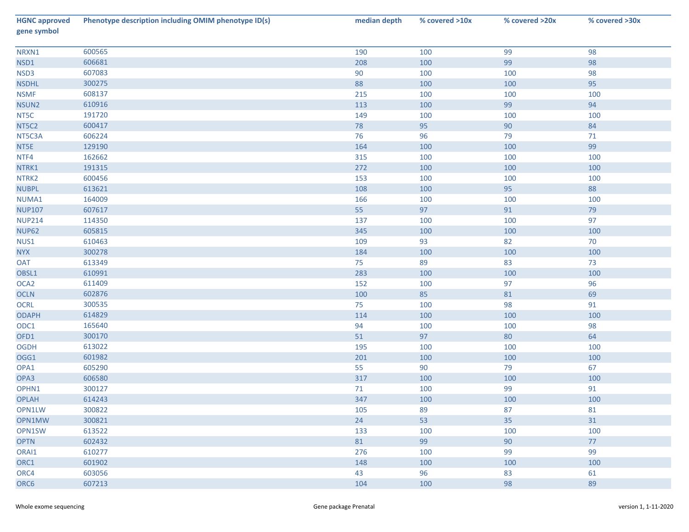| <b>HGNC approved</b><br>gene symbol | Phenotype description including OMIM phenotype ID(s) | median depth | % covered >10x | % covered >20x | % covered >30x |
|-------------------------------------|------------------------------------------------------|--------------|----------------|----------------|----------------|
| NRXN1                               | 600565                                               | 190          | 100            | 99             | 98             |
| NSD1                                | 606681                                               | 208          | 100            | 99             | 98             |
| NSD3                                | 607083                                               | 90           | 100            | 100            | 98             |
| <b>NSDHL</b>                        | 300275                                               | 88           | 100            | 100            | 95             |
| <b>NSMF</b>                         | 608137                                               | 215          | 100            | 100            | 100            |
| NSUN2                               | 610916                                               | 113          | 100            | 99             | 94             |
| NT5C                                | 191720                                               | 149          | 100            | 100            | 100            |
| NT5C2                               | 600417                                               | 78           | 95             | 90             | 84             |
| NT5C3A                              | 606224                                               | 76           | 96             | 79             | 71             |
| NT5E                                | 129190                                               | 164          | 100            | 100            | 99             |
| NTF4                                | 162662                                               | 315          | 100            | 100            | 100            |
| NTRK1                               | 191315                                               | 272          | 100            | 100            | 100            |
| NTRK2                               | 600456                                               | 153          | 100            | 100            | 100            |
| <b>NUBPL</b>                        | 613621                                               | 108          | 100            | 95             | 88             |
| NUMA1                               | 164009                                               | 166          | 100            | 100            | 100            |
| <b>NUP107</b>                       | 607617                                               | 55           | 97             | 91             | $79$           |
| <b>NUP214</b>                       | 114350                                               | 137          | 100            | 100            | 97             |
| <b>NUP62</b>                        | 605815                                               | 345          | 100            | 100            | 100            |
| NUS1                                | 610463                                               | 109          | 93             | 82             | 70             |
| <b>NYX</b>                          | 300278                                               | 184          | 100            | 100            | 100            |
| <b>OAT</b>                          | 613349                                               | 75           | 89             | 83             | 73             |
| OBSL1                               | 610991                                               | 283          | 100            | 100            | 100            |
| OCA <sub>2</sub>                    | 611409                                               | 152          | 100            | 97             | 96             |
| OCLN                                | 602876                                               | 100          | 85             | 81             | 69             |
| OCRL                                | 300535                                               | 75           | 100            | 98             | 91             |
| <b>ODAPH</b>                        | 614829                                               | 114          | 100            | 100            | 100            |
| ODC1                                | 165640                                               | 94           | 100            | 100            | 98             |
| OFD1                                | 300170                                               | 51           | 97             | 80             | 64             |
| <b>OGDH</b>                         | 613022                                               | 195          | 100            | 100            | 100            |
| OGG1                                | 601982                                               | 201          | 100            | 100            | 100            |
| OPA1                                | 605290                                               | 55           | 90             | 79             | 67             |
| OPA3                                | 606580                                               | 317          | 100            | 100            | 100            |
| OPHN1                               | 300127                                               | 71           | 100            | 99             | 91             |
| <b>OPLAH</b>                        | 614243                                               | 347          | 100            | 100            | 100            |
| OPN1LW                              | 300822                                               | 105          | 89             | 87             | 81             |
| OPN1MW                              | 300821                                               | 24           | 53             | 35             | 31             |
| OPN1SW                              | 613522                                               | 133          | 100            | 100            | 100            |
| <b>OPTN</b>                         | 602432                                               | 81           | 99             | 90             | 77             |
| ORAI1                               | 610277                                               | 276          | 100            | 99             | 99             |
| ORC1                                | 601902                                               | 148          | 100            | 100            | 100            |
| ORC4                                | 603056                                               | 43           | 96             | 83             | 61             |
| ORC6                                | 607213                                               | 104          | 100            | 98             | 89             |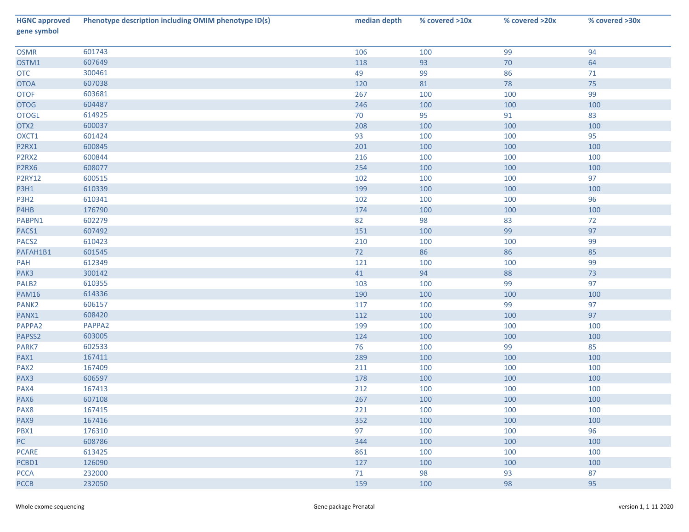| <b>HGNC approved</b><br>gene symbol | Phenotype description including OMIM phenotype ID(s) | median depth | % covered >10x | % covered >20x | % covered >30x |
|-------------------------------------|------------------------------------------------------|--------------|----------------|----------------|----------------|
| <b>OSMR</b>                         | 601743                                               | 106          | 100            | 99             | 94             |
| OSTM1                               | 607649                                               | 118          | 93             | 70             | 64             |
| <b>OTC</b>                          | 300461                                               | 49           | 99             | 86             | 71             |
| <b>OTOA</b>                         | 607038                                               | 120          | 81             | 78             | 75             |
| <b>OTOF</b>                         | 603681                                               | 267          | 100            | 100            | 99             |
| <b>OTOG</b>                         | 604487                                               | 246          | 100            | 100            | 100            |
| <b>OTOGL</b>                        | 614925                                               | 70           | 95             | 91             | 83             |
| OTX2                                | 600037                                               | 208          | 100            | 100            | 100            |
| OXCT1                               | 601424                                               | 93           | 100            | 100            | 95             |
| P2RX1                               | 600845                                               | 201          | 100            | 100            | 100            |
| P <sub>2</sub> R <sub>X2</sub>      | 600844                                               | 216          | 100            | 100            | 100            |
| P2RX6                               | 608077                                               | 254          | 100            | 100            | 100            |
| <b>P2RY12</b>                       | 600515                                               | 102          | 100            | 100            | 97             |
| P3H1                                | 610339                                               | 199          | 100            | 100            | 100            |
| P3H <sub>2</sub>                    | 610341                                               | 102          | 100            | 100            | 96             |
| P4HB                                | 176790                                               | 174          | 100            | 100            | 100            |
| PABPN1                              | 602279                                               | 82           | 98             | 83             | 72             |
| PACS1                               | 607492                                               | 151          | 100            | 99             | 97             |
| PACS <sub>2</sub>                   | 610423                                               | 210          | 100            | 100            | 99             |
| PAFAH1B1                            | 601545                                               | 72           | 86             | 86             | 85             |
| PAH                                 | 612349                                               | 121          | 100            | 100            | 99             |
| PAK3                                | 300142                                               | 41           | 94             | 88             | $73\,$         |
| PALB <sub>2</sub>                   | 610355                                               | 103          | 100            | 99             | 97             |
| <b>PAM16</b>                        | 614336                                               | 190          | 100            | 100            | 100            |
| PANK <sub>2</sub>                   | 606157                                               | 117          | 100            | 99             | 97             |
| PANX1                               | 608420                                               | 112          | 100            | 100            | 97             |
| PAPPA2                              | PAPPA2                                               | 199          | 100            | 100            | 100            |
| PAPSS2                              | 603005                                               | 124          | 100            | 100            | 100            |
| PARK7                               | 602533                                               | 76           | 100            | 99             | 85             |
| PAX1                                | 167411                                               | 289          | 100            | 100            | 100            |
| PAX <sub>2</sub>                    | 167409                                               | 211          | 100            | 100            | 100            |
| PAX3                                | 606597                                               | 178          | 100            | 100            | 100            |
| PAX4                                | 167413                                               | 212          | 100            | 100            | 100            |
| PAX <sub>6</sub>                    | 607108                                               | 267          | 100            | 100            | 100            |
| PAX8                                | 167415                                               | 221          | 100            | 100            | 100            |
| PAX9                                | 167416                                               | 352          | 100            | 100            | 100            |
| PBX1                                | 176310                                               | 97           | 100            | 100            | 96             |
| PC                                  | 608786                                               | 344          | 100            | 100            | 100            |
| <b>PCARE</b>                        | 613425                                               | 861          | 100            | 100            | 100            |
| PCBD1                               | 126090                                               | 127          | 100            | 100            | 100            |
| <b>PCCA</b>                         | 232000                                               | 71           | 98             | 93             | 87             |
| <b>PCCB</b>                         | 232050                                               | 159          | 100            | 98             | 95             |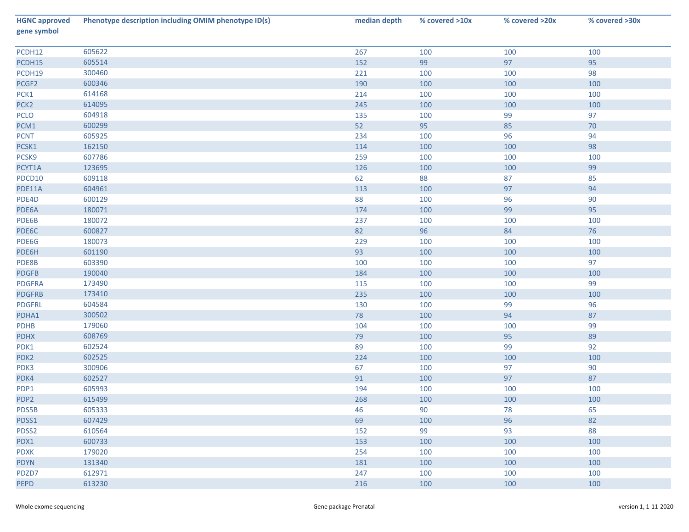| <b>HGNC approved</b><br>gene symbol | Phenotype description including OMIM phenotype ID(s) | median depth | % covered >10x | % covered >20x | % covered >30x |
|-------------------------------------|------------------------------------------------------|--------------|----------------|----------------|----------------|
| PCDH12                              | 605622                                               | 267          | 100            | 100            | 100            |
| PCDH15                              | 605514                                               | 152          | 99             | 97             | 95             |
| PCDH19                              | 300460                                               | 221          | 100            | 100            | 98             |
| PCGF2                               | 600346                                               | 190          | 100            | 100            | 100            |
| PCK1                                | 614168                                               | 214          | 100            | 100            | 100            |
| PCK <sub>2</sub>                    | 614095                                               | 245          | 100            | 100            | 100            |
| <b>PCLO</b>                         | 604918                                               | 135          | 100            | 99             | 97             |
| PCM1                                | 600299                                               | 52           | 95             | 85             | $70\,$         |
| <b>PCNT</b>                         | 605925                                               | 234          | 100            | 96             | 94             |
| PCSK1                               | 162150                                               | 114          | 100            | 100            | 98             |
| PCSK9                               | 607786                                               | 259          | 100            | 100            | 100            |
| PCYT1A                              | 123695                                               | 126          | 100            | 100            | 99             |
| PDCD10                              | 609118                                               | 62           | 88             | 87             | 85             |
| PDE11A                              | 604961                                               | 113          | 100            | 97             | 94             |
| PDE4D                               | 600129                                               | 88           | 100            | 96             | 90             |
| PDE6A                               | 180071                                               | 174          | 100            | 99             | 95             |
| PDE6B                               | 180072                                               | 237          | 100            | 100            | 100            |
| PDE6C                               | 600827                                               | 82           | 96             | 84             | $76\,$         |
| PDE6G                               | 180073                                               | 229          | 100            | 100            | 100            |
| PDE6H                               | 601190                                               | 93           | 100            | 100            | 100            |
| PDE8B                               | 603390                                               | 100          | 100            | 100            | 97             |
| <b>PDGFB</b>                        | 190040                                               | 184          | 100            | 100            | 100            |
| <b>PDGFRA</b>                       | 173490                                               | 115          | 100            | 100            | 99             |
| <b>PDGFRB</b>                       | 173410                                               | 235          | 100            | 100            | 100            |
| <b>PDGFRL</b>                       | 604584                                               | 130          | 100            | 99             | 96             |
| PDHA1                               | 300502                                               | 78           | 100            | 94             | 87             |
| PDHB                                | 179060                                               | 104          | 100            | 100            | 99             |
| <b>PDHX</b>                         | 608769                                               | 79           | 100            | 95             | 89             |
| PDK1                                | 602524                                               | 89           | 100            | 99             | 92             |
| PDK <sub>2</sub>                    | 602525                                               | 224          | 100            | 100            | 100            |
| PDK3                                | 300906                                               | 67           | 100            | 97             | 90             |
| PDK4                                | 602527                                               | 91           | 100            | 97             | 87             |
| PDP1                                | 605993                                               | 194          | 100            | 100            | 100            |
| PDP <sub>2</sub>                    | 615499                                               | 268          | 100            | 100            | 100            |
| PDS5B                               | 605333                                               | 46           | 90             | 78             | 65             |
| PDSS1                               | 607429                                               | 69           | 100            | 96             | 82             |
| PDSS2                               | 610564                                               | 152          | 99             | 93             | 88             |
| PDX1                                | 600733                                               | 153          | 100            | 100            | 100            |
| <b>PDXK</b>                         | 179020                                               | 254          | 100            | 100            | 100            |
| <b>PDYN</b>                         | 131340                                               | 181          | 100            | 100            | 100            |
| PDZD7                               | 612971                                               | 247          | 100            | 100            | 100            |
| <b>PEPD</b>                         | 613230                                               | 216          | 100            | 100            | 100            |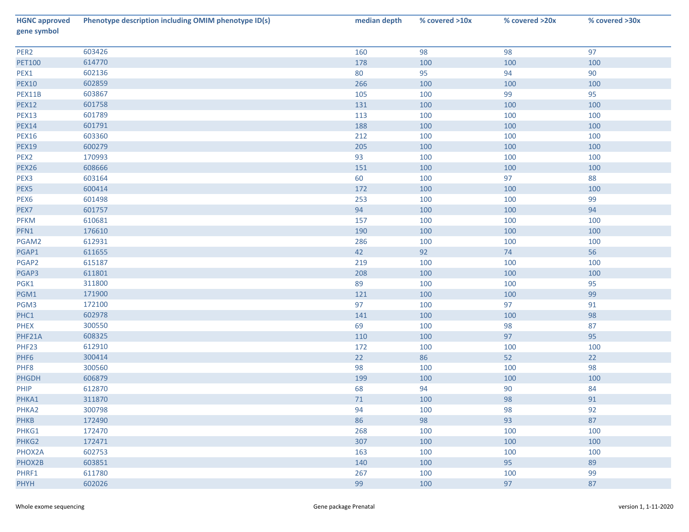| <b>HGNC approved</b><br>gene symbol | Phenotype description including OMIM phenotype ID(s) | median depth | % covered >10x | % covered >20x | % covered >30x |
|-------------------------------------|------------------------------------------------------|--------------|----------------|----------------|----------------|
| PER2                                | 603426                                               | 160          | 98             | 98             | 97             |
| <b>PET100</b>                       | 614770                                               | 178          | 100            | 100            | 100            |
| PEX1                                | 602136                                               | 80           | 95             | 94             | 90             |
| <b>PEX10</b>                        | 602859                                               | 266          | 100            | 100            | 100            |
| PEX11B                              | 603867                                               | 105          | 100            | 99             | 95             |
| <b>PEX12</b>                        | 601758                                               | 131          | 100            | 100            | 100            |
| <b>PEX13</b>                        | 601789                                               | 113          | 100            | 100            | 100            |
| <b>PEX14</b>                        | 601791                                               | 188          | 100            | 100            | 100            |
| <b>PEX16</b>                        | 603360                                               | 212          | 100            | 100            | 100            |
| <b>PEX19</b>                        | 600279                                               | 205          | 100            | 100            | 100            |
| PEX <sub>2</sub>                    | 170993                                               | 93           | 100            | 100            | 100            |
| PEX26                               | 608666                                               | 151          | 100            | 100            | 100            |
| PEX3                                | 603164                                               | 60           | 100            | 97             | 88             |
| PEX5                                | 600414                                               | 172          | 100            | 100            | 100            |
| PEX6                                | 601498                                               | 253          | 100            | 100            | 99             |
| PEX7                                | 601757                                               | 94           | 100            | 100            | 94             |
| <b>PFKM</b>                         | 610681                                               | 157          | 100            | 100            | 100            |
| PFN1                                | 176610                                               | 190          | 100            | 100            | 100            |
| PGAM2                               | 612931                                               | 286          | 100            | 100            | 100            |
| PGAP1                               | 611655                                               | 42           | 92             | 74             | 56             |
| PGAP2                               | 615187                                               | 219          | 100            | 100            | 100            |
| PGAP3                               | 611801                                               | 208          | 100            | 100            | 100            |
| PGK1                                | 311800                                               | 89           | 100            | 100            | 95             |
| PGM1                                | 171900                                               | 121          | 100            | 100            | 99             |
| PGM3                                | 172100                                               | 97           | 100            | 97             | 91             |
| PHC1                                | 602978                                               | 141          | 100            | 100            | 98             |
| <b>PHEX</b>                         | 300550                                               | 69           | 100            | 98             | 87             |
| PHF21A                              | 608325                                               | 110          | 100            | 97             | 95             |
| PHF23                               | 612910                                               | 172          | 100            | 100            | 100            |
| PHF6                                | 300414                                               | 22           | 86             | 52             | 22             |
| PHF8                                | 300560                                               | 98           | 100            | 100            | 98             |
| PHGDH                               | 606879                                               | 199          | 100            | 100            | 100            |
| PHIP                                | 612870                                               | 68           | 94             | 90             | 84             |
| PHKA1                               | 311870                                               | 71           | 100            | 98             | 91             |
| PHKA2                               | 300798                                               | 94           | 100            | 98             | 92             |
| <b>PHKB</b>                         | 172490                                               | 86           | 98             | 93             | 87             |
| PHKG1                               | 172470                                               | 268          | 100            | 100            | 100            |
| PHKG2                               | 172471                                               | 307          | 100            | 100            | 100            |
| PHOX2A                              | 602753                                               | 163          | 100            | 100            | 100            |
| PHOX2B                              | 603851                                               | 140          | 100            | 95             | 89             |
| PHRF1                               | 611780                                               | 267          | 100            | 100            | 99             |
| PHYH                                | 602026                                               | 99           | 100            | 97             | 87             |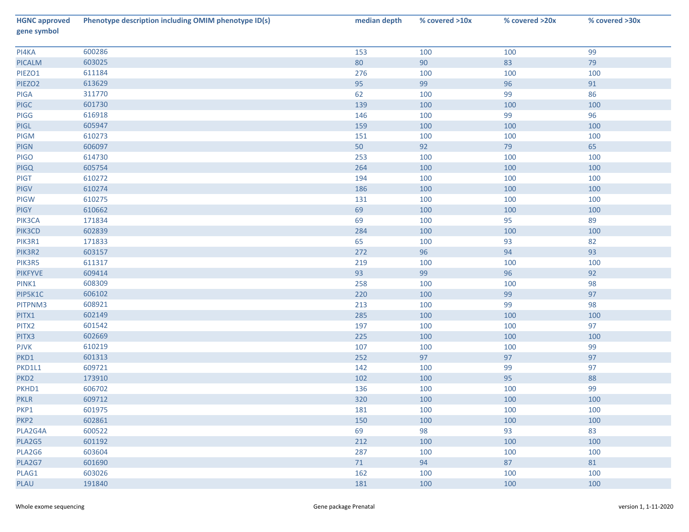| <b>HGNC approved</b><br>gene symbol | Phenotype description including OMIM phenotype ID(s) | median depth | % covered >10x | % covered >20x | % covered >30x |
|-------------------------------------|------------------------------------------------------|--------------|----------------|----------------|----------------|
| PI4KA                               | 600286                                               | 153          | 100            | 100            | 99             |
| <b>PICALM</b>                       | 603025                                               | 80           | 90             | 83             | 79             |
| PIEZO1                              | 611184                                               | 276          | 100            | 100            | 100            |
| PIEZO <sub>2</sub>                  | 613629                                               | 95           | 99             | 96             | 91             |
| PIGA                                | 311770                                               | 62           | 100            | 99             | 86             |
| PIGC                                | 601730                                               | 139          | 100            | 100            | 100            |
| PIGG                                | 616918                                               | 146          | 100            | 99             | 96             |
| PIGL                                | 605947                                               | 159          | 100            | 100            | 100            |
| PIGM                                | 610273                                               | 151          | 100            | 100            | 100            |
| PIGN                                | 606097                                               | 50           | 92             | 79             | 65             |
| <b>PIGO</b>                         | 614730                                               | 253          | 100            | 100            | 100            |
| <b>PIGQ</b>                         | 605754                                               | 264          | 100            | 100            | 100            |
| PIGT                                | 610272                                               | 194          | 100            | 100            | 100            |
| PIGV                                | 610274                                               | 186          | 100            | 100            | 100            |
| PIGW                                | 610275                                               | 131          | 100            | 100            | 100            |
| PIGY                                | 610662                                               | 69           | 100            | 100            | 100            |
| PIK3CA                              | 171834                                               | 69           | 100            | 95             | 89             |
| PIK3CD                              | 602839                                               | 284          | 100            | 100            | 100            |
| PIK3R1                              | 171833                                               | 65           | 100            | 93             | 82             |
| PIK3R2                              | 603157                                               | 272          | 96             | 94             | 93             |
| PIK3R5                              | 611317                                               | 219          | 100            | 100            | 100            |
| <b>PIKFYVE</b>                      | 609414                                               | 93           | 99             | 96             | 92             |
| PINK1                               | 608309                                               | 258          | 100            | 100            | 98             |
| PIP5K1C                             | 606102                                               | 220          | 100            | 99             | 97             |
| PITPNM3                             | 608921                                               | 213          | 100            | 99             | 98             |
| PITX1                               | 602149                                               | 285          | 100            | 100            | 100            |
| PITX2                               | 601542                                               | 197          | 100            | 100            | 97             |
| PITX3                               | 602669                                               | 225          | 100            | 100            | 100            |
| <b>PJVK</b>                         | 610219                                               | 107          | 100            | 100            | 99             |
| PKD1                                | 601313                                               | 252          | 97             | 97             | 97             |
| PKD1L1                              | 609721                                               | 142          | 100            | 99             | 97             |
| PKD <sub>2</sub>                    | 173910                                               | 102          | 100            | 95             | 88             |
| PKHD1                               | 606702                                               | 136          | 100            | 100            | 99             |
| <b>PKLR</b>                         | 609712                                               | 320          | 100            | 100            | 100            |
| PKP1                                | 601975                                               | 181          | 100            | 100            | 100            |
| PKP <sub>2</sub>                    | 602861                                               | 150          | 100            | 100            | 100            |
| PLA2G4A                             | 600522                                               | 69           | 98             | 93             | 83             |
| PLA2G5                              | 601192                                               | 212          | 100            | 100            | 100            |
| PLA2G6                              | 603604                                               | 287          | 100            | 100            | 100            |
| PLA2G7                              | 601690                                               | 71           | 94             | 87             | 81             |
| PLAG1                               | 603026                                               | 162          | 100            | 100            | 100            |
| <b>PLAU</b>                         | 191840                                               | 181          | 100            | 100            | 100            |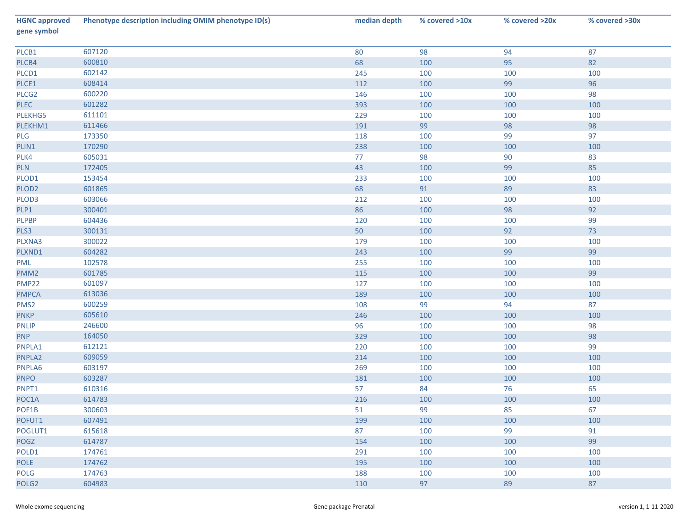| <b>HGNC approved</b><br>gene symbol | Phenotype description including OMIM phenotype ID(s) | median depth | % covered >10x | % covered >20x | % covered >30x |
|-------------------------------------|------------------------------------------------------|--------------|----------------|----------------|----------------|
| PLCB1                               | 607120                                               | 80           | 98             | 94             | 87             |
| PLCB4                               | 600810                                               | 68           | 100            | 95             | 82             |
| PLCD1                               | 602142                                               | 245          | 100            | 100            | 100            |
| PLCE1                               | 608414                                               | 112          | 100            | 99             | 96             |
| PLCG <sub>2</sub>                   | 600220                                               | 146          | 100            | 100            | 98             |
| <b>PLEC</b>                         | 601282                                               | 393          | 100            | 100            | 100            |
| PLEKHG5                             | 611101                                               | 229          | 100            | 100            | 100            |
| PLEKHM1                             | 611466                                               | 191          | 99             | 98             | 98             |
| PLG                                 | 173350                                               | 118          | 100            | 99             | 97             |
| PLIN1                               | 170290                                               | 238          | 100            | 100            | 100            |
| PLK4                                | 605031                                               | 77           | 98             | 90             | 83             |
| <b>PLN</b>                          | 172405                                               | 43           | 100            | 99             | 85             |
| PLOD1                               | 153454                                               | 233          | 100            | 100            | 100            |
| PLOD <sub>2</sub>                   | 601865                                               | 68           | 91             | 89             | 83             |
| PLOD3                               | 603066                                               | 212          | 100            | 100            | 100            |
| PLP1                                | 300401                                               | 86           | 100            | 98             | 92             |
| PLPBP                               | 604436                                               | 120          | 100            | 100            | 99             |
| PLS3                                | 300131                                               | 50           | 100            | 92             | 73             |
| PLXNA3                              | 300022                                               | 179          | 100            | 100            | 100            |
| PLXND1                              | 604282                                               | 243          | 100            | 99             | 99             |
| PML                                 | 102578                                               | 255          | 100            | 100            | 100            |
| PMM <sub>2</sub>                    | 601785                                               | 115          | 100            | 100            | 99             |
| <b>PMP22</b>                        | 601097                                               | 127          | 100            | 100            | 100            |
| <b>PMPCA</b>                        | 613036                                               | 189          | 100            | 100            | 100            |
| PMS <sub>2</sub>                    | 600259                                               | 108          | 99             | 94             | 87             |
| <b>PNKP</b>                         | 605610                                               | 246          | 100            | 100            | 100            |
| <b>PNLIP</b>                        | 246600                                               | 96           | 100            | 100            | 98             |
| <b>PNP</b>                          | 164050                                               | 329          | 100            | 100            | 98             |
| PNPLA1                              | 612121                                               | 220          | 100            | 100            | 99             |
| PNPLA2                              | 609059                                               | 214          | 100            | 100            | 100            |
| PNPLA6                              | 603197                                               | 269          | 100            | 100            | 100            |
| <b>PNPO</b>                         | 603287                                               | 181          | 100            | 100            | 100            |
| PNPT1                               | 610316                                               | 57           | 84             | 76             | 65             |
| POC1A                               | 614783                                               | 216          | 100            | 100            | 100            |
| POF1B                               | 300603                                               | 51           | 99             | 85             | 67             |
| POFUT1                              | 607491                                               | 199          | 100            | 100            | 100            |
| POGLUT1                             | 615618                                               | 87           | 100            | 99             | 91             |
| POGZ                                | 614787                                               | 154          | 100            | 100            | 99             |
| POLD1                               | 174761                                               | 291          | 100            | 100            | 100            |
| POLE                                | 174762                                               | 195          | 100            | 100            | 100            |
| POLG                                | 174763                                               | 188          | 100            | 100            | 100            |
| POLG <sub>2</sub>                   | 604983                                               | 110          | 97             | 89             | 87             |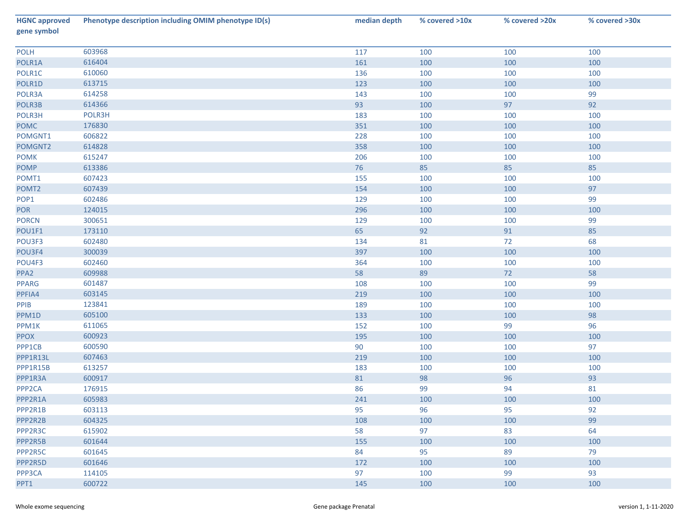| <b>HGNC approved</b><br>gene symbol | Phenotype description including OMIM phenotype ID(s) | median depth | % covered >10x | % covered >20x | % covered >30x |
|-------------------------------------|------------------------------------------------------|--------------|----------------|----------------|----------------|
| <b>POLH</b>                         | 603968                                               | 117          | 100            | 100            | 100            |
| POLR1A                              | 616404                                               | 161          | 100            | 100            | 100            |
| POLR1C                              | 610060                                               | 136          | 100            | 100            | 100            |
| POLR1D                              | 613715                                               | 123          | 100            | 100            | 100            |
| POLR3A                              | 614258                                               | 143          | 100            | 100            | 99             |
| POLR3B                              | 614366                                               | 93           | 100            | 97             | 92             |
| POLR3H                              | POLR3H                                               | 183          | 100            | 100            | 100            |
| <b>POMC</b>                         | 176830                                               | 351          | 100            | 100            | 100            |
| POMGNT1                             | 606822                                               | 228          | 100            | 100            | 100            |
| POMGNT2                             | 614828                                               | 358          | 100            | 100            | 100            |
| <b>POMK</b>                         | 615247                                               | 206          | 100            | 100            | 100            |
| <b>POMP</b>                         | 613386                                               | 76           | 85             | 85             | 85             |
| POMT1                               | 607423                                               | 155          | 100            | 100            | 100            |
| POMT <sub>2</sub>                   | 607439                                               | 154          | 100            | 100            | 97             |
| POP1                                | 602486                                               | 129          | 100            | 100            | 99             |
| POR                                 | 124015                                               | 296          | 100            | 100            | 100            |
| <b>PORCN</b>                        | 300651                                               | 129          | 100            | 100            | 99             |
| POU1F1                              | 173110                                               | 65           | 92             | 91             | 85             |
| POU3F3                              | 602480                                               | 134          | 81             | 72             | 68             |
| POU3F4                              | 300039                                               | 397          | 100            | 100            | 100            |
| POU4F3                              | 602460                                               | 364          | 100            | 100            | 100            |
| PPA <sub>2</sub>                    | 609988                                               | 58           | 89             | 72             | 58             |
| <b>PPARG</b>                        | 601487                                               | 108          | 100            | 100            | 99             |
| PPFIA4                              | 603145                                               | 219          | 100            | 100            | 100            |
| PPIB                                | 123841                                               | 189          | 100            | 100            | 100            |
| PPM1D                               | 605100                                               | 133          | 100            | 100            | 98             |
| PPM1K                               | 611065                                               | 152          | 100            | 99             | 96             |
| <b>PPOX</b>                         | 600923                                               | 195          | 100            | 100            | 100            |
| PPP1CB                              | 600590                                               | 90           | 100            | 100            | 97             |
| PPP1R13L                            | 607463                                               | 219          | 100            | 100            | 100            |
| PPP1R15B                            | 613257                                               | 183          | 100            | 100            | 100            |
| PPP1R3A                             | 600917                                               | 81           | 98             | 96             | 93             |
| PPP <sub>2CA</sub>                  | 176915                                               | 86           | 99             | 94             | 81             |
| PPP2R1A                             | 605983                                               | 241          | 100            | 100            | 100            |
| PPP2R1B                             | 603113                                               | 95           | 96             | 95             | 92             |
| PPP2R2B                             | 604325                                               | 108          | 100            | 100            | 99             |
| PPP2R3C                             | 615902                                               | 58           | 97             | 83             | 64             |
| PPP2R5B                             | 601644                                               | 155          | 100            | 100            | 100            |
| PPP2R5C                             | 601645                                               | 84           | 95             | 89             | 79             |
| PPP2R5D                             | 601646                                               | 172          | 100            | 100            | 100            |
| PPP3CA                              | 114105                                               | 97           | 100            | 99             | 93             |
| PPT1                                | 600722                                               | 145          | 100            | 100            | 100            |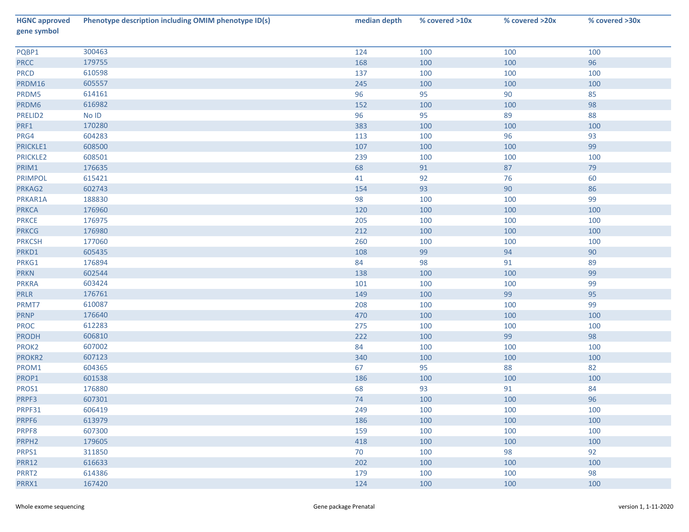| <b>HGNC approved</b><br>gene symbol | Phenotype description including OMIM phenotype ID(s) | median depth | % covered >10x | % covered >20x | % covered >30x |
|-------------------------------------|------------------------------------------------------|--------------|----------------|----------------|----------------|
| PQBP1                               | 300463                                               | 124          | 100            | 100            | 100            |
| <b>PRCC</b>                         | 179755                                               | 168          | 100            | 100            | 96             |
| <b>PRCD</b>                         | 610598                                               | 137          | 100            | 100            | 100            |
| PRDM16                              | 605557                                               | 245          | 100            | 100            | 100            |
| PRDM5                               | 614161                                               | 96           | 95             | 90             | 85             |
| PRDM6                               | 616982                                               | 152          | 100            | 100            | 98             |
| PRELID2                             | No ID                                                | 96           | 95             | 89             | 88             |
| PRF1                                | 170280                                               | 383          | 100            | 100            | 100            |
| PRG4                                | 604283                                               | 113          | 100            | 96             | 93             |
| PRICKLE1                            | 608500                                               | 107          | 100            | 100            | 99             |
| PRICKLE2                            | 608501                                               | 239          | 100            | 100            | 100            |
| PRIM1                               | 176635                                               | 68           | 91             | 87             | 79             |
| <b>PRIMPOL</b>                      | 615421                                               | 41           | 92             | 76             | 60             |
| PRKAG2                              | 602743                                               | 154          | 93             | 90             | 86             |
| PRKAR1A                             | 188830                                               | 98           | 100            | 100            | 99             |
| <b>PRKCA</b>                        | 176960                                               | 120          | 100            | 100            | 100            |
| <b>PRKCE</b>                        | 176975                                               | 205          | 100            | 100            | 100            |
| <b>PRKCG</b>                        | 176980                                               | 212          | 100            | 100            | 100            |
| <b>PRKCSH</b>                       | 177060                                               | 260          | 100            | 100            | 100            |
| PRKD1                               | 605435                                               | 108          | 99             | 94             | 90             |
| PRKG1                               | 176894                                               | 84           | 98             | 91             | 89             |
| <b>PRKN</b>                         | 602544                                               | 138          | 100            | 100            | 99             |
| <b>PRKRA</b>                        | 603424                                               | 101          | 100            | 100            | 99             |
| <b>PRLR</b>                         | 176761                                               | 149          | 100            | 99             | 95             |
| PRMT7                               | 610087                                               | 208          | 100            | 100            | 99             |
| <b>PRNP</b>                         | 176640                                               | 470          | 100            | 100            | 100            |
| <b>PROC</b>                         | 612283                                               | 275          | 100            | 100            | 100            |
| <b>PRODH</b>                        | 606810                                               | 222          | 100            | 99             | 98             |
| PROK2                               | 607002                                               | 84           | 100            | 100            | 100            |
| PROKR2                              | 607123                                               | 340          | 100            | 100            | 100            |
| PROM1                               | 604365                                               | 67           | 95             | 88             | 82             |
| PROP1                               | 601538                                               | 186          | 100            | 100            | 100            |
| PROS1                               | 176880                                               | 68           | 93             | 91             | 84             |
| PRPF3                               | 607301                                               | 74           | 100            | 100            | 96             |
| PRPF31                              | 606419                                               | 249          | 100            | 100            | 100            |
| PRPF6                               | 613979                                               | 186          | 100            | 100            | 100            |
| PRPF8                               | 607300                                               | 159          | 100            | 100            | 100            |
| PRPH <sub>2</sub>                   | 179605                                               | 418          | 100            | 100            | 100            |
| PRPS1                               | 311850                                               | 70           | 100            | 98             | 92             |
| <b>PRR12</b>                        | 616633                                               | 202          | 100            | 100            | 100            |
| PRRT2                               | 614386                                               | 179          | 100            | 100            | 98             |
| PRRX1                               | 167420                                               | 124          | 100            | 100            | 100            |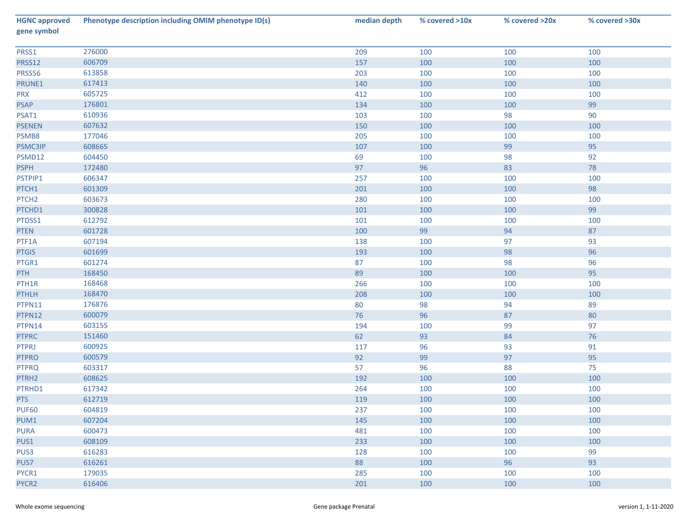| <b>HGNC approved</b><br>gene symbol | Phenotype description including OMIM phenotype ID(s) | median depth | % covered >10x | % covered >20x | % covered >30x |
|-------------------------------------|------------------------------------------------------|--------------|----------------|----------------|----------------|
| PRSS1                               | 276000                                               | 209          | 100            | 100            | 100            |
| <b>PRSS12</b>                       | 606709                                               | 157          | 100            | 100            | 100            |
| PRSS56                              | 613858                                               | 203          | 100            | 100            | 100            |
| PRUNE1                              | 617413                                               | 140          | 100            | 100            | 100            |
| <b>PRX</b>                          | 605725                                               | 412          | 100            | 100            | 100            |
| <b>PSAP</b>                         | 176801                                               | 134          | 100            | 100            | 99             |
| PSAT1                               | 610936                                               | 103          | 100            | 98             | 90             |
| <b>PSENEN</b>                       | 607632                                               | 150          | 100            | 100            | 100            |
| PSMB8                               | 177046                                               | 205          | 100            | 100            | 100            |
| PSMC3IP                             | 608665                                               | 107          | 100            | 99             | 95             |
| PSMD12                              | 604450                                               | 69           | 100            | 98             | 92             |
| <b>PSPH</b>                         | 172480                                               | 97           | 96             | 83             | 78             |
| PSTPIP1                             | 606347                                               | 257          | 100            | 100            | 100            |
| PTCH1                               | 601309                                               | 201          | 100            | 100            | 98             |
| PTCH <sub>2</sub>                   | 603673                                               | 280          | 100            | 100            | 100            |
| PTCHD1                              | 300828                                               | 101          | 100            | 100            | 99             |
| PTDSS1                              | 612792                                               | 101          | 100            | 100            | 100            |
| <b>PTEN</b>                         | 601728                                               | 100          | 99             | 94             | $87\,$         |
| PTF1A                               | 607194                                               | 138          | 100            | 97             | 93             |
| <b>PTGIS</b>                        | 601699                                               | 193          | 100            | 98             | 96             |
| PTGR1                               | 601274                                               | 87           | 100            | 98             | 96             |
| <b>PTH</b>                          | 168450                                               | 89           | 100            | 100            | 95             |
| PTH1R                               | 168468                                               | 266          | 100            | 100            | 100            |
| <b>PTHLH</b>                        | 168470                                               | 208          | 100            | 100            | 100            |
| PTPN11                              | 176876                                               | 80           | 98             | 94             | 89             |
| PTPN12                              | 600079                                               | 76           | 96             | 87             | 80             |
| PTPN14                              | 603155                                               | 194          | 100            | 99             | 97             |
| <b>PTPRC</b>                        | 151460                                               | 62           | 93             | 84             | 76             |
| <b>PTPRJ</b>                        | 600925                                               | 117          | 96             | 93             | 91             |
| <b>PTPRO</b>                        | 600579                                               | 92           | 99             | 97             | 95             |
| <b>PTPRQ</b>                        | 603317                                               | 57           | 96             | 88             | 75             |
| PTRH2                               | 608625                                               | 192          | 100            | 100            | 100            |
| PTRHD1                              | 617342                                               | 264          | 100            | 100            | 100            |
| PTS                                 | 612719                                               | 119          | 100            | 100            | 100            |
| <b>PUF60</b>                        | 604819                                               | 237          | 100            | 100            | 100            |
| PUM1                                | 607204                                               | 145          | 100            | 100            | 100            |
| <b>PURA</b>                         | 600473                                               | 481          | 100            | 100            | 100            |
| PUS1                                | 608109                                               | 233          | 100            | 100            | 100            |
| PUS3                                | 616283                                               | 128          | 100            | 100            | 99             |
| PUS7                                | 616261                                               | 88           | 100            | 96             | 93             |
| PYCR1                               | 179035                                               | 285          | 100            | 100            | 100            |
| PYCR2                               | 616406                                               | 201          | 100            | 100            | 100            |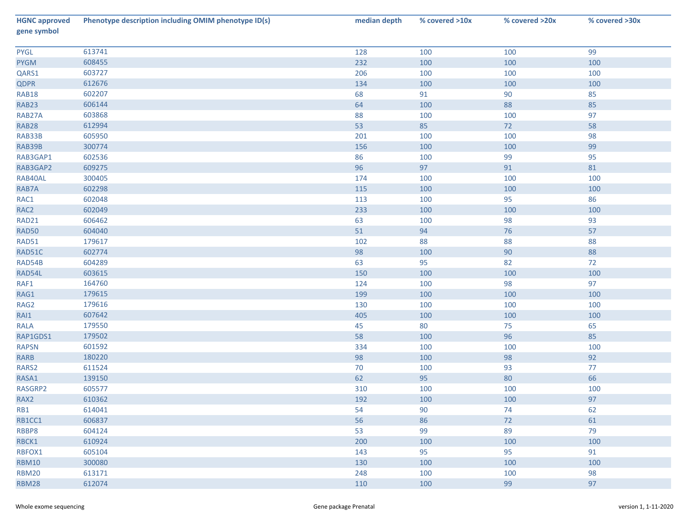| <b>HGNC approved</b><br>gene symbol | Phenotype description including OMIM phenotype ID(s) | median depth | % covered >10x | % covered >20x | % covered >30x |
|-------------------------------------|------------------------------------------------------|--------------|----------------|----------------|----------------|
| <b>PYGL</b>                         | 613741                                               | 128          | 100            | 100            | 99             |
| <b>PYGM</b>                         | 608455                                               | 232          | 100            | 100            | 100            |
| QARS1                               | 603727                                               | 206          | 100            | 100            | 100            |
| QDPR                                | 612676                                               | 134          | 100            | 100            | 100            |
| <b>RAB18</b>                        | 602207                                               | 68           | 91             | 90             | 85             |
| RAB23                               | 606144                                               | 64           | 100            | 88             | 85             |
| RAB27A                              | 603868                                               | 88           | 100            | 100            | 97             |
| <b>RAB28</b>                        | 612994                                               | 53           | 85             | 72             | 58             |
| RAB33B                              | 605950                                               | 201          | 100            | 100            | 98             |
| RAB39B                              | 300774                                               | 156          | 100            | 100            | 99             |
| RAB3GAP1                            | 602536                                               | 86           | 100            | 99             | 95             |
| RAB3GAP2                            | 609275                                               | 96           | 97             | 91             | 81             |
| RAB40AL                             | 300405                                               | 174          | 100            | 100            | 100            |
| RAB7A                               | 602298                                               | 115          | 100            | 100            | 100            |
| RAC1                                | 602048                                               | 113          | 100            | 95             | 86             |
| RAC2                                | 602049                                               | 233          | 100            | 100            | 100            |
| RAD21                               | 606462                                               | 63           | 100            | 98             | 93             |
| <b>RAD50</b>                        | 604040                                               | 51           | 94             | 76             | 57             |
| RAD51                               | 179617                                               | 102          | 88             | 88             | 88             |
| RAD51C                              | 602774                                               | 98           | 100            | $90\,$         | 88             |
| RAD54B                              | 604289                                               | 63           | 95             | 82             | 72             |
| RAD54L                              | 603615                                               | 150          | 100            | 100            | 100            |
| RAF1                                | 164760                                               | 124          | 100            | 98             | 97             |
| RAG1                                | 179615                                               | 199          | 100            | 100            | 100            |
| RAG2                                | 179616                                               | 130          | 100            | 100            | 100            |
| RAI1                                | 607642                                               | 405          | 100            | 100            | 100            |
| <b>RALA</b>                         | 179550                                               | 45           | 80             | 75             | 65             |
| RAP1GDS1                            | 179502                                               | 58           | 100            | 96             | 85             |
| <b>RAPSN</b>                        | 601592                                               | 334          | 100            | 100            | 100            |
| RARB                                | 180220                                               | 98           | 100            | 98             | 92             |
| RARS2                               | 611524                                               | 70           | 100            | 93             | 77             |
| RASA1                               | 139150                                               | 62           | 95             | 80             | 66             |
| RASGRP2                             | 605577                                               | 310          | 100            | 100            | 100            |
| RAX2                                | 610362                                               | 192          | 100            | 100            | 97             |
| RB1                                 | 614041                                               | 54           | 90             | 74             | 62             |
| RB1CC1                              | 606837                                               | 56           | 86             | 72             | 61             |
| RBBP8                               | 604124                                               | 53           | 99             | 89             | 79             |
| RBCK1                               | 610924                                               | 200          | 100            | 100            | 100            |
| RBFOX1                              | 605104                                               | 143          | 95             | 95             | 91             |
| <b>RBM10</b>                        | 300080                                               | 130          | 100            | 100            | 100            |
| <b>RBM20</b>                        | 613171                                               | 248          | 100            | 100            | 98             |
| <b>RBM28</b>                        | 612074                                               | 110          | 100            | 99             | 97             |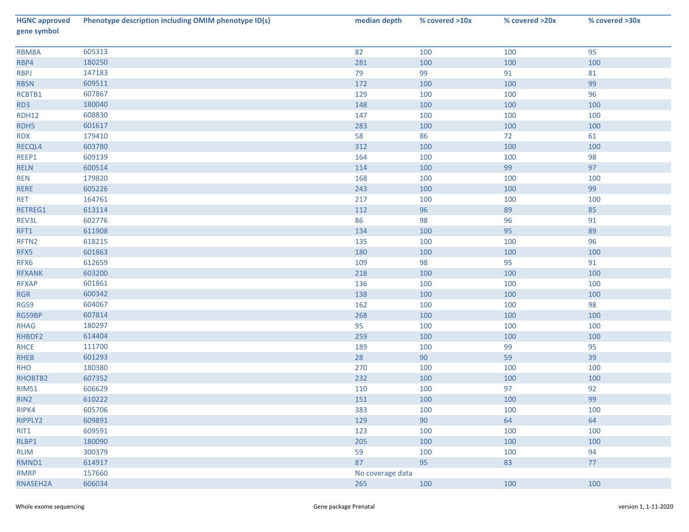| <b>HGNC approved</b><br>gene symbol | Phenotype description including OMIM phenotype ID(s) | median depth     | % covered >10x | % covered >20x | % covered >30x |
|-------------------------------------|------------------------------------------------------|------------------|----------------|----------------|----------------|
| RBM8A                               | 605313                                               | 82               | 100            | 100            | 95             |
| RBP4                                | 180250                                               | 281              | 100            | 100            | 100            |
| <b>RBPJ</b>                         | 147183                                               | 79               | 99             | 91             | 81             |
| <b>RBSN</b>                         | 609511                                               | 172              | 100            | 100            | 99             |
| RCBTB1                              | 607867                                               | 129              | 100            | 100            | 96             |
| RD3                                 | 180040                                               | 148              | 100            | 100            | 100            |
| <b>RDH12</b>                        | 608830                                               | 147              | 100            | 100            | 100            |
| RDH5                                | 601617                                               | 283              | 100            | 100            | 100            |
| <b>RDX</b>                          | 179410                                               | 58               | 86             | 72             | 61             |
| RECQL4                              | 603780                                               | 312              | 100            | 100            | 100            |
| REEP1                               | 609139                                               | 164              | 100            | 100            | 98             |
| <b>RELN</b>                         | 600514                                               | 114              | 100            | 99             | 97             |
| <b>REN</b>                          | 179820                                               | 168              | 100            | 100            | 100            |
| <b>RERE</b>                         | 605226                                               | 243              | 100            | 100            | 99             |
| <b>RET</b>                          | 164761                                               | 217              | 100            | 100            | 100            |
| RETREG1                             | 613114                                               | 112              | 96             | 89             | 85             |
| REV3L                               | 602776                                               | 86               | 98             | 96             | 91             |
| RFT1                                | 611908                                               | 134              | 100            | 95             | 89             |
| RFTN2                               | 618215                                               | 135              | 100            | 100            | 96             |
| RFX5                                | 601863                                               | 180              | 100            | 100            | 100            |
| RFX6                                | 612659                                               | 109              | 98             | 95             | 91             |
| <b>RFXANK</b>                       | 603200                                               | 218              | 100            | 100            | 100            |
| <b>RFXAP</b>                        | 601861                                               | 136              | 100            | 100            | 100            |
| <b>RGR</b>                          | 600342                                               | 138              | 100            | 100            | 100            |
| RGS9                                | 604067                                               | 162              | 100            | 100            | 98             |
| RGS9BP                              | 607814                                               | 268              | 100            | 100            | 100            |
| <b>RHAG</b>                         | 180297                                               | 95               | 100            | 100            | 100            |
| RHBDF2                              | 614404                                               | 259              | 100            | 100            | 100            |
| <b>RHCE</b>                         | 111700                                               | 189              | 100            | 99             | 95             |
| <b>RHEB</b>                         | 601293                                               | 28               | $90\,$         | 59             | 39             |
| <b>RHO</b>                          | 180380                                               | 270              | 100            | 100            | 100            |
| RHOBTB2                             | 607352                                               | 232              | 100            | 100            | 100            |
| RIMS1                               | 606629                                               | 110              | 100            | 97             | 92             |
| RIN <sub>2</sub>                    | 610222                                               | 151              | 100            | 100            | 99             |
| RIPK4                               | 605706                                               | 383              | 100            | 100            | 100            |
| RIPPLY2                             | 609891                                               | 129              | 90             | 64             | 64             |
| RIT1                                | 609591                                               | 123              | 100            | 100            | 100            |
| RLBP1                               | 180090                                               | 205              | 100            | 100            | 100            |
| <b>RLIM</b>                         | 300379                                               | 59               | 100            | 100            | 94             |
| RMND1                               | 614917                                               | 87               | 95             | 83             | 77             |
| <b>RMRP</b>                         | 157660                                               | No coverage data |                |                |                |
| RNASEH2A                            | 606034                                               | 265              | 100            | 100            | 100            |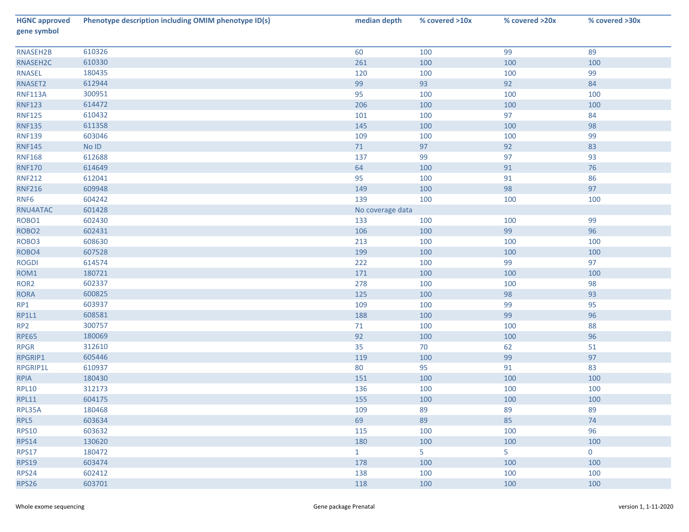| <b>HGNC approved</b><br>gene symbol | Phenotype description including OMIM phenotype ID(s) | median depth     | % covered >10x | % covered >20x | % covered >30x |
|-------------------------------------|------------------------------------------------------|------------------|----------------|----------------|----------------|
| RNASEH2B                            | 610326                                               | 60               | 100            | 99             | 89             |
| RNASEH2C                            | 610330                                               | 261              | 100            | 100            | 100            |
| <b>RNASEL</b>                       | 180435                                               | 120              | 100            | 100            | 99             |
| RNASET2                             | 612944                                               | 99               | 93             | 92             | 84             |
| <b>RNF113A</b>                      | 300951                                               | 95               | 100            | 100            | 100            |
| <b>RNF123</b>                       | 614472                                               | 206              | 100            | 100            | 100            |
| <b>RNF125</b>                       | 610432                                               | 101              | 100            | 97             | 84             |
| <b>RNF135</b>                       | 611358                                               | 145              | 100            | 100            | 98             |
| <b>RNF139</b>                       | 603046                                               | 109              | 100            | 100            | 99             |
| <b>RNF145</b>                       | No ID                                                | 71               | 97             | 92             | 83             |
| <b>RNF168</b>                       | 612688                                               | 137              | 99             | 97             | 93             |
| <b>RNF170</b>                       | 614649                                               | 64               | 100            | 91             | 76             |
| <b>RNF212</b>                       | 612041                                               | 95               | 100            | 91             | 86             |
| <b>RNF216</b>                       | 609948                                               | 149              | 100            | 98             | 97             |
| RNF <sub>6</sub>                    | 604242                                               | 139              | 100            | 100            | 100            |
| RNU4ATAC                            | 601428                                               | No coverage data |                |                |                |
| ROBO1                               | 602430                                               | 133              | 100            | 100            | 99             |
| ROBO <sub>2</sub>                   | 602431                                               | 106              | 100            | 99             | 96             |
| ROBO <sub>3</sub>                   | 608630                                               | 213              | 100            | 100            | 100            |
| ROBO4                               | 607528                                               | 199              | 100            | 100            | 100            |
| <b>ROGDI</b>                        | 614574                                               | 222              | 100            | 99             | 97             |
| ROM1                                | 180721                                               | 171              | 100            | 100            | 100            |
| ROR <sub>2</sub>                    | 602337                                               | 278              | 100            | 100            | 98             |
| <b>RORA</b>                         | 600825                                               | 125              | 100            | 98             | 93             |
| RP1                                 | 603937                                               | 109              | 100            | 99             | 95             |
| <b>RP1L1</b>                        | 608581                                               | 188              | 100            | 99             | 96             |
| RP <sub>2</sub>                     | 300757                                               | 71               | 100            | 100            | 88             |
| <b>RPE65</b>                        | 180069                                               | 92               | 100            | 100            | 96             |
| <b>RPGR</b>                         | 312610                                               | 35               | 70             | 62             | 51             |
| RPGRIP1                             | 605446                                               | 119              | 100            | 99             | 97             |
| RPGRIP1L                            | 610937                                               | 80               | 95             | 91             | 83             |
| <b>RPIA</b>                         | 180430                                               | 151              | 100            | 100            | 100            |
| <b>RPL10</b>                        | 312173                                               | 136              | 100            | 100            | 100            |
| <b>RPL11</b>                        | 604175                                               | 155              | 100            | 100            | 100            |
| RPL35A                              | 180468                                               | 109              | 89             | 89             | 89             |
| RPL5                                | 603634                                               | 69               | 89             | 85             | 74             |
| <b>RPS10</b>                        | 603632                                               | 115              | 100            | 100            | 96             |
| <b>RPS14</b>                        | 130620                                               | 180              | 100            | 100            | 100            |
| <b>RPS17</b>                        | 180472                                               | $\mathbf{1}$     | 5              | 5              | $\mathbf 0$    |
| <b>RPS19</b>                        | 603474                                               | 178              | 100            | 100            | 100            |
| <b>RPS24</b>                        | 602412                                               | 138              | 100            | 100            | 100            |
| <b>RPS26</b>                        | 603701                                               | 118              | 100            | 100            | 100            |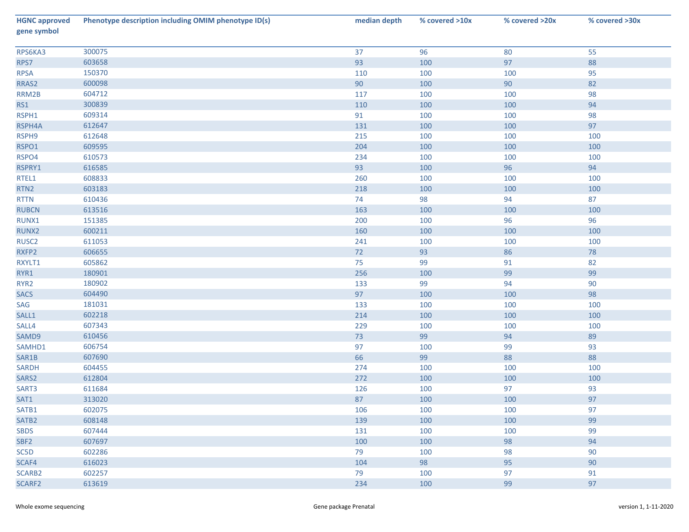| <b>HGNC approved</b><br>gene symbol | Phenotype description including OMIM phenotype ID(s) | median depth | % covered >10x | % covered >20x | % covered >30x |
|-------------------------------------|------------------------------------------------------|--------------|----------------|----------------|----------------|
| RPS6KA3                             | 300075                                               | 37           | 96             | 80             | 55             |
| RPS7                                | 603658                                               | 93           | 100            | 97             | 88             |
| <b>RPSA</b>                         | 150370                                               | 110          | 100            | 100            | 95             |
| RRAS2                               | 600098                                               | 90           | 100            | 90             | 82             |
| RRM2B                               | 604712                                               | 117          | 100            | 100            | 98             |
| RS1                                 | 300839                                               | 110          | 100            | 100            | 94             |
| RSPH1                               | 609314                                               | 91           | 100            | 100            | 98             |
| RSPH4A                              | 612647                                               | 131          | 100            | 100            | 97             |
| RSPH9                               | 612648                                               | 215          | 100            | 100            | 100            |
| RSPO1                               | 609595                                               | 204          | 100            | 100            | 100            |
| RSPO4                               | 610573                                               | 234          | 100            | 100            | 100            |
| RSPRY1                              | 616585                                               | 93           | 100            | 96             | 94             |
| RTEL1                               | 608833                                               | 260          | 100            | 100            | 100            |
| RTN <sub>2</sub>                    | 603183                                               | 218          | 100            | 100            | 100            |
| <b>RTTN</b>                         | 610436                                               | 74           | 98             | 94             | 87             |
| <b>RUBCN</b>                        | 613516                                               | 163          | 100            | 100            | 100            |
| RUNX1                               | 151385                                               | 200          | 100            | 96             | 96             |
| RUNX2                               | 600211                                               | 160          | 100            | 100            | 100            |
| RUSC <sub>2</sub>                   | 611053                                               | 241          | 100            | 100            | 100            |
| RXFP2                               | 606655                                               | 72           | 93             | 86             | $78\,$         |
| RXYLT1                              | 605862                                               | 75           | 99             | 91             | 82             |
| RYR1                                | 180901                                               | 256          | 100            | 99             | 99             |
| RYR <sub>2</sub>                    | 180902                                               | 133          | 99             | 94             | 90             |
| <b>SACS</b>                         | 604490                                               | 97           | 100            | 100            | 98             |
| SAG                                 | 181031                                               | 133          | 100            | 100            | 100            |
| SALL1                               | 602218                                               | 214          | 100            | 100            | 100            |
| SALL4                               | 607343                                               | 229          | 100            | 100            | 100            |
| SAMD9                               | 610456                                               | 73           | 99             | 94             | 89             |
| SAMHD1                              | 606754                                               | 97           | 100            | 99             | 93             |
| SAR1B                               | 607690                                               | 66           | 99             | 88             | 88             |
| SARDH                               | 604455                                               | 274          | 100            | 100            | 100            |
| SARS2                               | 612804                                               | 272          | 100            | 100            | 100            |
| SART3                               | 611684                                               | 126          | 100            | 97             | 93             |
| SAT1                                | 313020                                               | 87           | 100            | 100            | 97             |
| SATB1                               | 602075                                               | 106          | 100            | 100            | 97             |
| SATB2                               | 608148                                               | 139          | 100            | 100            | 99             |
| <b>SBDS</b>                         | 607444                                               | 131          | 100            | 100            | 99             |
| SBF <sub>2</sub>                    | 607697                                               | 100          | 100            | 98             | 94             |
| SC5D                                | 602286                                               | 79           | 100            | 98             | 90             |
| SCAF4                               | 616023                                               | 104          | 98             | 95             | 90             |
| SCARB2                              | 602257                                               | 79           | 100            | 97             | 91             |
| SCARF2                              | 613619                                               | 234          | 100            | 99             | 97             |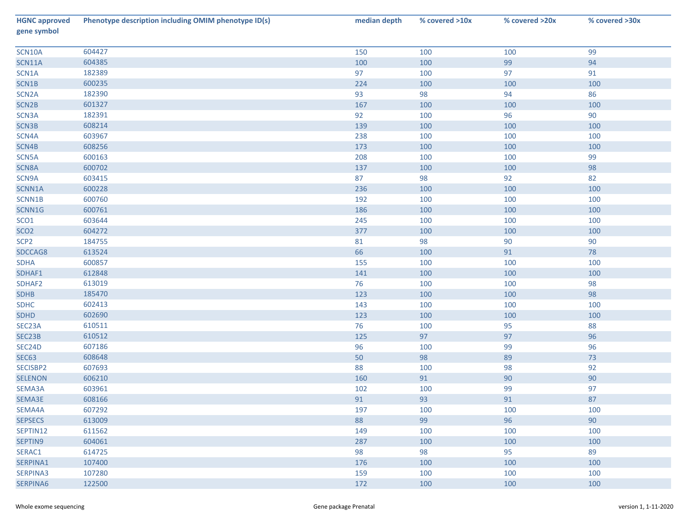| <b>HGNC approved</b><br>gene symbol | Phenotype description including OMIM phenotype ID(s) | median depth | % covered >10x | % covered >20x | % covered >30x |
|-------------------------------------|------------------------------------------------------|--------------|----------------|----------------|----------------|
| SCN10A                              | 604427                                               | 150          | 100            | 100            | 99             |
| SCN11A                              | 604385                                               | 100          | 100            | 99             | 94             |
| SCN1A                               | 182389                                               | 97           | 100            | 97             | 91             |
| SCN1B                               | 600235                                               | 224          | 100            | 100            | 100            |
| SCN <sub>2</sub> A                  | 182390                                               | 93           | 98             | 94             | 86             |
| SCN <sub>2B</sub>                   | 601327                                               | 167          | 100            | 100            | 100            |
| SCN3A                               | 182391                                               | 92           | 100            | 96             | 90             |
| SCN3B                               | 608214                                               | 139          | 100            | 100            | 100            |
| SCN4A                               | 603967                                               | 238          | 100            | 100            | 100            |
| SCN4B                               | 608256                                               | 173          | 100            | 100            | 100            |
| SCN5A                               | 600163                                               | 208          | 100            | 100            | 99             |
| SCN8A                               | 600702                                               | 137          | 100            | 100            | 98             |
| SCN9A                               | 603415                                               | 87           | 98             | 92             | 82             |
| SCNN1A                              | 600228                                               | 236          | 100            | 100            | 100            |
| SCNN1B                              | 600760                                               | 192          | 100            | 100            | 100            |
| SCNN1G                              | 600761                                               | 186          | 100            | 100            | 100            |
| SCO <sub>1</sub>                    | 603644                                               | 245          | 100            | 100            | 100            |
| SCO <sub>2</sub>                    | 604272                                               | 377          | 100            | 100            | 100            |
| SCP <sub>2</sub>                    | 184755                                               | 81           | 98             | 90             | 90             |
| SDCCAG8                             | 613524                                               | 66           | 100            | 91             | 78             |
| <b>SDHA</b>                         | 600857                                               | 155          | 100            | 100            | 100            |
| SDHAF1                              | 612848                                               | 141          | 100            | 100            | 100            |
| SDHAF2                              | 613019                                               | 76           | 100            | 100            | 98             |
| <b>SDHB</b>                         | 185470                                               | 123          | 100            | 100            | 98             |
| <b>SDHC</b>                         | 602413                                               | 143          | 100            | 100            | 100            |
| <b>SDHD</b>                         | 602690                                               | 123          | 100            | 100            | 100            |
| SEC23A                              | 610511                                               | 76           | 100            | 95             | 88             |
| SEC23B                              | 610512                                               | 125          | 97             | 97             | 96             |
| SEC24D                              | 607186                                               | 96           | 100            | 99             | 96             |
| <b>SEC63</b>                        | 608648                                               | 50           | 98             | 89             | 73             |
| SECISBP2                            | 607693                                               | 88           | 100            | 98             | 92             |
| <b>SELENON</b>                      | 606210                                               | 160          | 91             | 90             | 90             |
| SEMA3A                              | 603961                                               | 102          | 100            | 99             | 97             |
| SEMA3E                              | 608166                                               | 91           | 93             | 91             | 87             |
| SEMA4A                              | 607292                                               | 197          | 100            | 100            | 100            |
| <b>SEPSECS</b>                      | 613009                                               | 88           | 99             | 96             | 90             |
| SEPTIN12                            | 611562                                               | 149          | 100            | 100            | 100            |
| SEPTIN9                             | 604061                                               | 287          | 100            | 100            | 100            |
| SERAC1                              | 614725                                               | 98           | 98             | 95             | 89             |
| SERPINA1                            | 107400                                               | 176          | 100            | 100            | 100            |
| SERPINA3                            | 107280                                               | 159          | 100            | 100            | 100            |
| SERPINA6                            | 122500                                               | 172          | 100            | 100            | 100            |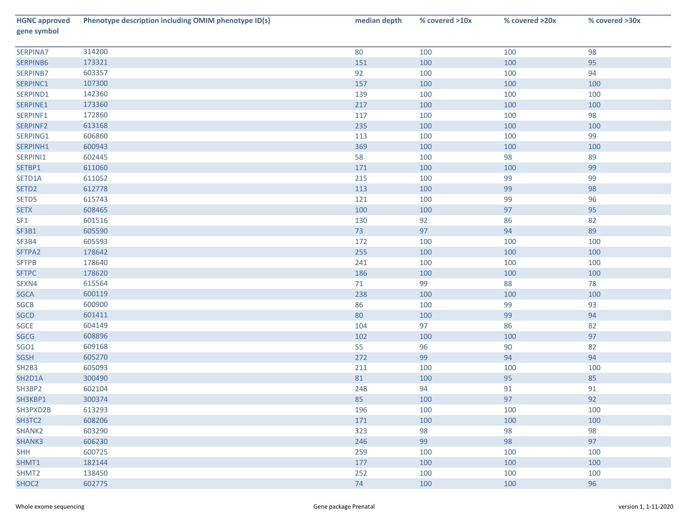| <b>HGNC approved</b><br>gene symbol | Phenotype description including OMIM phenotype ID(s) | median depth | % covered >10x | % covered >20x | % covered >30x |
|-------------------------------------|------------------------------------------------------|--------------|----------------|----------------|----------------|
| SERPINA7                            | 314200                                               | 80           | 100            | 100            | 98             |
| SERPINB6                            | 173321                                               | 151          | 100            | 100            | 95             |
| SERPINB7                            | 603357                                               | 92           | 100            | 100            | 94             |
| SERPINC1                            | 107300                                               | 157          | 100            | 100            | 100            |
| SERPIND1                            | 142360                                               | 139          | 100            | 100            | 100            |
| SERPINE1                            | 173360                                               | 217          | 100            | 100            | 100            |
| SERPINF1                            | 172860                                               | 117          | 100            | 100            | 98             |
| SERPINF2                            | 613168                                               | 235          | 100            | 100            | 100            |
| SERPING1                            | 606860                                               | 113          | 100            | 100            | 99             |
| SERPINH1                            | 600943                                               | 369          | 100            | 100            | 100            |
| SERPINI1                            | 602445                                               | 58           | 100            | 98             | 89             |
| SETBP1                              | 611060                                               | 171          | 100            | 100            | 99             |
| SETD1A                              | 611052                                               | 215          | 100            | 99             | 99             |
| SETD <sub>2</sub>                   | 612778                                               | 113          | 100            | 99             | 98             |
| SETD5                               | 615743                                               | 121          | 100            | 99             | 96             |
| <b>SETX</b>                         | 608465                                               | 100          | 100            | 97             | 95             |
| SF <sub>1</sub>                     | 601516                                               | 130          | 92             | 86             | 82             |
| SF3B1                               | 605590                                               | 73           | 97             | 94             | 89             |
| SF3B4                               | 605593                                               | 172          | 100            | 100            | 100            |
| SFTPA2                              | 178642                                               | 255          | 100            | 100            | 100            |
| <b>SFTPB</b>                        | 178640                                               | 241          | 100            | 100            | 100            |
| <b>SFTPC</b>                        | 178620                                               | 186          | 100            | 100            | 100            |
| SFXN4                               | 615564                                               | 71           | 99             | 88             | 78             |
| SGCA                                | 600119                                               | 238          | 100            | 100            | 100            |
| SGCB                                | 600900                                               | 86           | 100            | 99             | 93             |
| SGCD                                | 601411                                               | 80           | 100            | 99             | 94             |
| SGCE                                | 604149                                               | 104          | 97             | 86             | 82             |
| SGCG                                | 608896                                               | 102          | 100            | 100            | 97             |
| <b>SGO1</b>                         | 609168                                               | 55           | 96             | 90             | 82             |
| SGSH                                | 605270                                               | 272          | 99             | 94             | 94             |
| <b>SH2B3</b>                        | 605093                                               | 211          | 100            | 100            | 100            |
| SH2D1A                              | 300490                                               | 81           | 100            | 95             | 85             |
| SH3BP2                              | 602104                                               | 248          | 94             | 91             | 91             |
| SH3KBP1                             | 300374                                               | 85           | 100            | 97             | 92             |
| SH3PXD2B                            | 613293                                               | 196          | 100            | 100            | 100            |
| SH3TC2                              | 608206                                               | 171          | 100            | 100            | 100            |
| SHANK2                              | 603290                                               | 323          | 98             | 98             | 98             |
| SHANK3                              | 606230                                               | 246          | 99             | 98             | 97             |
| <b>SHH</b>                          | 600725                                               | 259          | 100            | 100            | 100            |
| SHMT1                               | 182144                                               | 177          | 100            | 100            | 100            |
| SHMT <sub>2</sub>                   | 138450                                               | 252          | 100            | 100            | 100            |
| SHOC <sub>2</sub>                   | 602775                                               | 74           | 100            | 100            | 96             |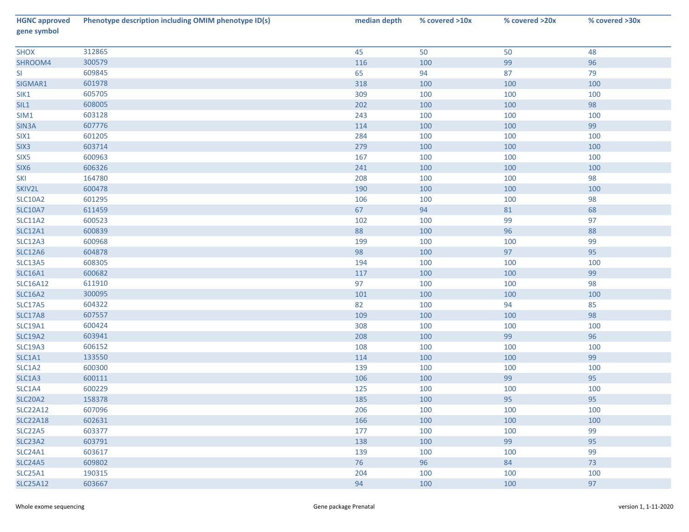| <b>HGNC approved</b><br>gene symbol | Phenotype description including OMIM phenotype ID(s) | median depth | % covered >10x | % covered >20x | % covered >30x |
|-------------------------------------|------------------------------------------------------|--------------|----------------|----------------|----------------|
| <b>SHOX</b>                         | 312865                                               | 45           | 50             | 50             | 48             |
| SHROOM4                             | 300579                                               | 116          | 100            | 99             | 96             |
| SI                                  | 609845                                               | 65           | 94             | 87             | 79             |
| SIGMAR1                             | 601978                                               | 318          | 100            | 100            | 100            |
| SIK1                                | 605705                                               | 309          | 100            | 100            | 100            |
| SIL1                                | 608005                                               | 202          | 100            | 100            | 98             |
| SIM1                                | 603128                                               | 243          | 100            | 100            | 100            |
| SIN3A                               | 607776                                               | 114          | 100            | 100            | 99             |
| SIX1                                | 601205                                               | 284          | 100            | 100            | 100            |
| SIX <sub>3</sub>                    | 603714                                               | 279          | 100            | 100            | 100            |
| SIX5                                | 600963                                               | 167          | 100            | 100            | 100            |
| SIX6                                | 606326                                               | 241          | 100            | 100            | 100            |
| SKI                                 | 164780                                               | 208          | 100            | 100            | 98             |
| SKIV2L                              | 600478                                               | 190          | 100            | 100            | 100            |
| <b>SLC10A2</b>                      | 601295                                               | 106          | 100            | 100            | 98             |
| <b>SLC10A7</b>                      | 611459                                               | 67           | 94             | 81             | 68             |
| <b>SLC11A2</b>                      | 600523                                               | 102          | 100            | 99             | 97             |
| <b>SLC12A1</b>                      | 600839                                               | 88           | 100            | 96             | 88             |
| SLC12A3                             | 600968                                               | 199          | 100            | 100            | 99             |
| <b>SLC12A6</b>                      | 604878                                               | 98           | 100            | 97             | 95             |
| <b>SLC13A5</b>                      | 608305                                               | 194          | 100            | 100            | 100            |
| <b>SLC16A1</b>                      | 600682                                               | $117\,$      | 100            | 100            | 99             |
| <b>SLC16A12</b>                     | 611910                                               | 97           | 100            | 100            | 98             |
| <b>SLC16A2</b>                      | 300095                                               | 101          | 100            | 100            | 100            |
| <b>SLC17A5</b>                      | 604322                                               | 82           | 100            | 94             | 85             |
| <b>SLC17A8</b>                      | 607557                                               | 109          | 100            | 100            | 98             |
| <b>SLC19A1</b>                      | 600424                                               | 308          | 100            | 100            | 100            |
| <b>SLC19A2</b>                      | 603941                                               | 208          | 100            | 99             | 96             |
| <b>SLC19A3</b>                      | 606152                                               | 108          | 100            | 100            | 100            |
| SLC1A1                              | 133550                                               | 114          | 100            | 100            | 99             |
| SLC1A2                              | 600300                                               | 139          | 100            | 100            | 100            |
| SLC1A3                              | 600111                                               | 106          | 100            | 99             | 95             |
| SLC1A4                              | 600229                                               | 125          | 100            | 100            | 100            |
| SLC20A2                             | 158378                                               | 185          | 100            | 95             | 95             |
| <b>SLC22A12</b>                     | 607096                                               | 206          | 100            | 100            | 100            |
| <b>SLC22A18</b>                     | 602631                                               | 166          | 100            | 100            | 100            |
| SLC22A5                             | 603377                                               | 177          | 100            | 100            | 99             |
| SLC23A2                             | 603791                                               | 138          | 100            | 99             | 95             |
| SLC24A1                             | 603617                                               | 139          | 100            | 100            | 99             |
| <b>SLC24A5</b>                      | 609802                                               | 76           | 96             | 84             | 73             |
| <b>SLC25A1</b>                      | 190315                                               | 204          | 100            | 100            | 100            |
| <b>SLC25A12</b>                     | 603667                                               | 94           | 100            | 100            | 97             |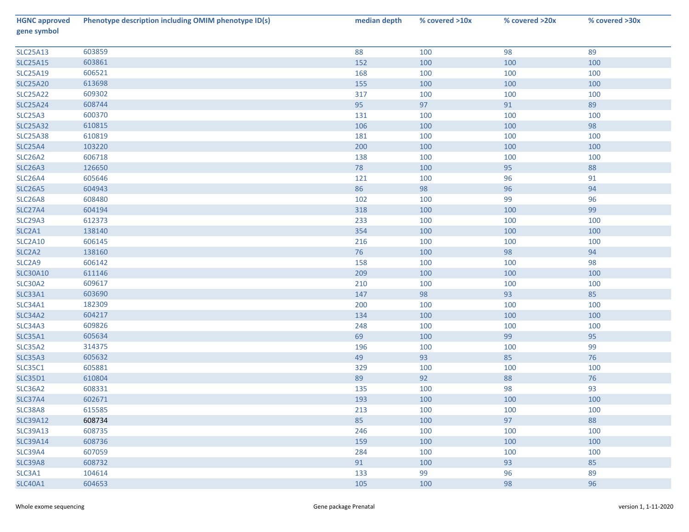| <b>HGNC approved</b><br>gene symbol | Phenotype description including OMIM phenotype ID(s) | median depth | % covered >10x | % covered >20x | % covered >30x |
|-------------------------------------|------------------------------------------------------|--------------|----------------|----------------|----------------|
| <b>SLC25A13</b>                     | 603859                                               | 88           | 100            | 98             | 89             |
| <b>SLC25A15</b>                     | 603861                                               | 152          | 100            | 100            | 100            |
| <b>SLC25A19</b>                     | 606521                                               | 168          | 100            | 100            | 100            |
| <b>SLC25A20</b>                     | 613698                                               | 155          | 100            | 100            | 100            |
| <b>SLC25A22</b>                     | 609302                                               | 317          | 100            | 100            | 100            |
| <b>SLC25A24</b>                     | 608744                                               | 95           | 97             | 91             | 89             |
| SLC25A3                             | 600370                                               | 131          | 100            | 100            | 100            |
| <b>SLC25A32</b>                     | 610815                                               | 106          | 100            | 100            | 98             |
| <b>SLC25A38</b>                     | 610819                                               | 181          | 100            | 100            | 100            |
| <b>SLC25A4</b>                      | 103220                                               | 200          | 100            | 100            | 100            |
| SLC26A2                             | 606718                                               | 138          | 100            | 100            | 100            |
| <b>SLC26A3</b>                      | 126650                                               | 78           | 100            | 95             | 88             |
| SLC26A4                             | 605646                                               | 121          | 100            | 96             | 91             |
| <b>SLC26A5</b>                      | 604943                                               | 86           | 98             | 96             | 94             |
| SLC26A8                             | 608480                                               | 102          | 100            | 99             | 96             |
| SLC27A4                             | 604194                                               | 318          | 100            | 100            | 99             |
| <b>SLC29A3</b>                      | 612373                                               | 233          | 100            | 100            | 100            |
| SLC2A1                              | 138140                                               | 354          | 100            | 100            | 100            |
| SLC2A10                             | 606145                                               | 216          | 100            | 100            | 100            |
| SLC2A2                              | 138160                                               | 76           | 100            | 98             | 94             |
| SLC <sub>2</sub> A9                 | 606142                                               | 158          | 100            | 100            | 98             |
| <b>SLC30A10</b>                     | 611146                                               | 209          | 100            | 100            | 100            |
| SLC30A2                             | 609617                                               | 210          | 100            | 100            | 100            |
| SLC33A1                             | 603690                                               | 147          | 98             | 93             | 85             |
| <b>SLC34A1</b>                      | 182309                                               | 200          | 100            | 100            | 100            |
| <b>SLC34A2</b>                      | 604217                                               | 134          | 100            | 100            | 100            |
| SLC34A3                             | 609826                                               | 248          | 100            | 100            | 100            |
| <b>SLC35A1</b>                      | 605634                                               | 69           | 100            | 99             | 95             |
| SLC35A2                             | 314375                                               | 196          | 100            | 100            | 99             |
| SLC35A3                             | 605632                                               | 49           | 93             | 85             | 76             |
| <b>SLC35C1</b>                      | 605881                                               | 329          | 100            | 100            | 100            |
| <b>SLC35D1</b>                      | 610804                                               | 89           | 92             | 88             | 76             |
| <b>SLC36A2</b>                      | 608331                                               | 135          | 100            | 98             | 93             |
| SLC37A4                             | 602671                                               | 193          | 100            | 100            | 100            |
| SLC38A8                             | 615585                                               | 213          | 100            | 100            | 100            |
| <b>SLC39A12</b>                     | 608734                                               | 85           | 100            | 97             | 88             |
| <b>SLC39A13</b>                     | 608735                                               | 246          | 100            | 100            | 100            |
| <b>SLC39A14</b>                     | 608736                                               | 159          | 100            | 100            | 100            |
| <b>SLC39A4</b>                      | 607059                                               | 284          | 100            | 100            | 100            |
| <b>SLC39A8</b>                      | 608732                                               | 91           | 100            | 93             | 85             |
| SLC3A1                              | 104614                                               | 133          | 99             | 96             | 89             |
| <b>SLC40A1</b>                      | 604653                                               | 105          | 100            | 98             | 96             |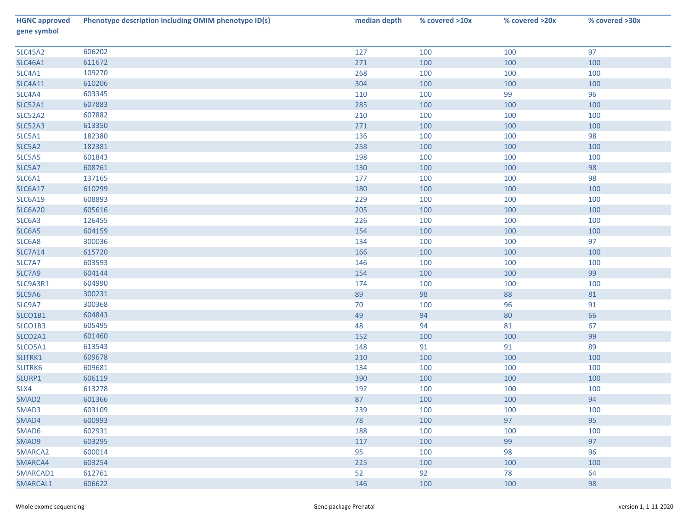| <b>HGNC approved</b><br>gene symbol | Phenotype description including OMIM phenotype ID(s) | median depth | % covered >10x | % covered >20x | % covered >30x |
|-------------------------------------|------------------------------------------------------|--------------|----------------|----------------|----------------|
| <b>SLC45A2</b>                      | 606202                                               | 127          | 100            | 100            | 97             |
| <b>SLC46A1</b>                      | 611672                                               | 271          | 100            | 100            | 100            |
| SLC4A1                              | 109270                                               | 268          | 100            | 100            | 100            |
| <b>SLC4A11</b>                      | 610206                                               | 304          | 100            | 100            | 100            |
| SLC4A4                              | 603345                                               | 110          | 100            | 99             | 96             |
| <b>SLC52A1</b>                      | 607883                                               | 285          | 100            | 100            | 100            |
| SLC52A2                             | 607882                                               | 210          | 100            | 100            | 100            |
| SLC52A3                             | 613350                                               | 271          | 100            | 100            | 100            |
| SLC5A1                              | 182380                                               | 136          | 100            | 100            | 98             |
| SLC5A2                              | 182381                                               | 258          | 100            | 100            | 100            |
| SLC5A5                              | 601843                                               | 198          | 100            | 100            | 100            |
| SLC5A7                              | 608761                                               | 130          | 100            | 100            | 98             |
| SLC6A1                              | 137165                                               | 177          | 100            | 100            | 98             |
| <b>SLC6A17</b>                      | 610299                                               | 180          | 100            | 100            | 100            |
| <b>SLC6A19</b>                      | 608893                                               | 229          | 100            | 100            | 100            |
| <b>SLC6A20</b>                      | 605616                                               | 205          | 100            | 100            | 100            |
| SLC6A3                              | 126455                                               | 226          | 100            | 100            | 100            |
| SLC6A5                              | 604159                                               | 154          | 100            | 100            | 100            |
| SLC6A8                              | 300036                                               | 134          | 100            | 100            | 97             |
| <b>SLC7A14</b>                      | 615720                                               | 166          | 100            | 100            | 100            |
| SLC7A7                              | 603593                                               | 146          | 100            | 100            | 100            |
| SLC7A9                              | 604144                                               | 154          | 100            | 100            | 99             |
| SLC9A3R1                            | 604990                                               | 174          | 100            | 100            | 100            |
| SLC9A6                              | 300231                                               | 89           | 98             | 88             | 81             |
| SLC9A7                              | 300368                                               | 70           | 100            | 96             | 91             |
| SLCO1B1                             | 604843                                               | 49           | 94             | 80             | 66             |
| SLCO1B3                             | 605495                                               | 48           | 94             | 81             | 67             |
| SLCO2A1                             | 601460                                               | 152          | 100            | 100            | 99             |
| SLCO5A1                             | 613543                                               | 148          | 91             | 91             | 89             |
| SLITRK1                             | 609678                                               | 210          | 100            | 100            | 100            |
| SLITRK6                             | 609681                                               | 134          | 100            | 100            | 100            |
| SLURP1                              | 606119                                               | 390          | 100            | 100            | 100            |
| SLX4                                | 613278                                               | 192          | 100            | 100            | 100            |
| SMAD <sub>2</sub>                   | 601366                                               | 87           | 100            | 100            | 94             |
| SMAD3                               | 603109                                               | 239          | 100            | 100            | 100            |
| SMAD4                               | 600993                                               | 78           | 100            | 97             | 95             |
| SMAD6                               | 602931                                               | 188          | 100            | 100            | 100            |
| SMAD9                               | 603295                                               | 117          | 100            | 99             | 97             |
| SMARCA2                             | 600014                                               | 95           | 100            | 98             | 96             |
| SMARCA4                             | 603254                                               | 225          | 100            | 100            | 100            |
| SMARCAD1                            | 612761                                               | 52           | 92             | 78             | 64             |
| SMARCAL1                            | 606622                                               | 146          | 100            | 100            | 98             |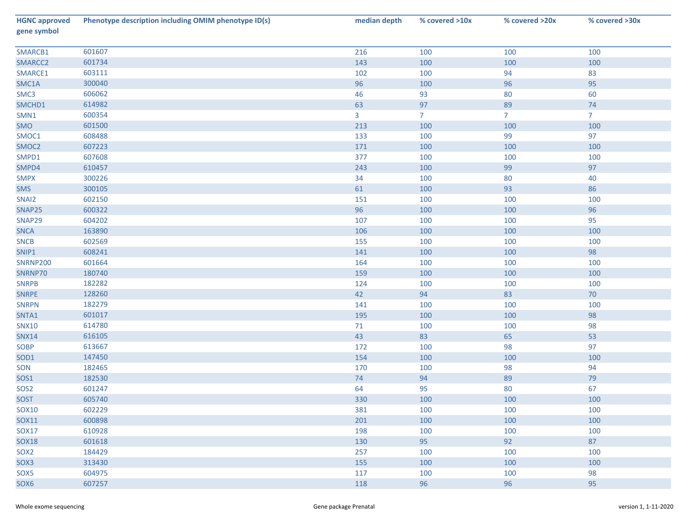| <b>HGNC approved</b><br>gene symbol | Phenotype description including OMIM phenotype ID(s) | median depth | % covered >10x | % covered >20x | % covered >30x |
|-------------------------------------|------------------------------------------------------|--------------|----------------|----------------|----------------|
| SMARCB1                             | 601607                                               | 216          | 100            | 100            | 100            |
| SMARCC2                             | 601734                                               | 143          | 100            | 100            | 100            |
| SMARCE1                             | 603111                                               | 102          | 100            | 94             | 83             |
| SMC1A                               | 300040                                               | 96           | 100            | 96             | 95             |
| SMC3                                | 606062                                               | 46           | 93             | 80             | 60             |
| SMCHD1                              | 614982                                               | 63           | 97             | 89             | 74             |
| SMN1                                | 600354                                               | $\mathbf{3}$ | $\overline{7}$ | 7 <sup>7</sup> | 7 <sup>2</sup> |
| SMO                                 | 601500                                               | 213          | 100            | 100            | 100            |
| SMOC1                               | 608488                                               | 133          | 100            | 99             | 97             |
| SMOC2                               | 607223                                               | 171          | 100            | 100            | 100            |
| SMPD1                               | 607608                                               | 377          | 100            | 100            | 100            |
| SMPD4                               | 610457                                               | 243          | 100            | 99             | 97             |
| <b>SMPX</b>                         | 300226                                               | 34           | 100            | 80             | 40             |
| SMS                                 | 300105                                               | 61           | 100            | 93             | 86             |
| SNAI2                               | 602150                                               | 151          | 100            | 100            | 100            |
| SNAP25                              | 600322                                               | 96           | 100            | 100            | 96             |
| SNAP29                              | 604202                                               | 107          | 100            | 100            | 95             |
| <b>SNCA</b>                         | 163890                                               | 106          | 100            | 100            | 100            |
| <b>SNCB</b>                         | 602569                                               | 155          | 100            | 100            | 100            |
| SNIP1                               | 608241                                               | 141          | 100            | 100            | 98             |
| <b>SNRNP200</b>                     | 601664                                               | 164          | 100            | 100            | 100            |
| SNRNP70                             | 180740                                               | 159          | 100            | 100            | 100            |
| <b>SNRPB</b>                        | 182282                                               | 124          | 100            | 100            | 100            |
| <b>SNRPE</b>                        | 128260                                               | 42           | 94             | 83             | $70\,$         |
| <b>SNRPN</b>                        | 182279                                               | 141          | 100            | 100            | 100            |
| SNTA1                               | 601017                                               | 195          | 100            | 100            | 98             |
| <b>SNX10</b>                        | 614780                                               | 71           | 100            | 100            | 98             |
| <b>SNX14</b>                        | 616105                                               | 43           | 83             | 65             | 53             |
| SOBP                                | 613667                                               | 172          | 100            | 98             | 97             |
| SOD1                                | 147450                                               | 154          | 100            | 100            | 100            |
| SON                                 | 182465                                               | 170          | 100            | 98             | 94             |
| SOS1                                | 182530                                               | 74           | 94             | 89             | 79             |
| SOS <sub>2</sub>                    | 601247                                               | 64           | 95             | 80             | 67             |
| <b>SOST</b>                         | 605740                                               | 330          | 100            | 100            | 100            |
| <b>SOX10</b>                        | 602229                                               | 381          | 100            | 100            | 100            |
| SOX11                               | 600898                                               | 201          | 100            | 100            | 100            |
| <b>SOX17</b>                        | 610928                                               | 198          | 100            | 100            | 100            |
| <b>SOX18</b>                        | 601618                                               | 130          | 95             | 92             | 87             |
| SOX <sub>2</sub>                    | 184429                                               | 257          | 100            | 100            | 100            |
| SOX3                                | 313430                                               | 155          | 100            | 100            | 100            |
| SOX5                                | 604975                                               | 117          | 100            | 100            | 98             |
| SOX6                                | 607257                                               | 118          | 96             | 96             | 95             |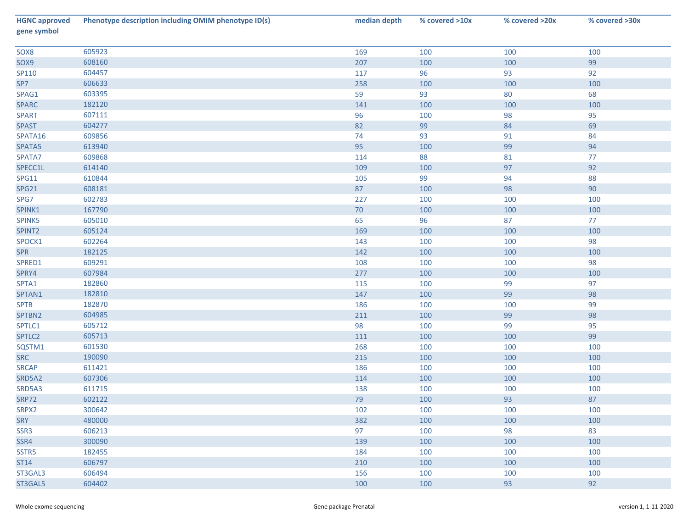| <b>HGNC approved</b><br>gene symbol | Phenotype description including OMIM phenotype ID(s) | median depth | % covered >10x | % covered >20x | % covered >30x |
|-------------------------------------|------------------------------------------------------|--------------|----------------|----------------|----------------|
| SOX8                                | 605923                                               | 169          | 100            | 100            | 100            |
| SOX9                                | 608160                                               | 207          | 100            | 100            | 99             |
| SP110                               | 604457                                               | 117          | 96             | 93             | 92             |
| SP7                                 | 606633                                               | 258          | 100            | 100            | 100            |
| SPAG1                               | 603395                                               | 59           | 93             | 80             | 68             |
| <b>SPARC</b>                        | 182120                                               | 141          | 100            | 100            | 100            |
| <b>SPART</b>                        | 607111                                               | 96           | 100            | 98             | 95             |
| <b>SPAST</b>                        | 604277                                               | 82           | 99             | 84             | 69             |
| SPATA16                             | 609856                                               | 74           | 93             | 91             | 84             |
| SPATA5                              | 613940                                               | 95           | 100            | 99             | 94             |
| SPATA7                              | 609868                                               | 114          | 88             | 81             | 77             |
| SPECC1L                             | 614140                                               | 109          | 100            | 97             | 92             |
| <b>SPG11</b>                        | 610844                                               | 105          | 99             | 94             | 88             |
| <b>SPG21</b>                        | 608181                                               | 87           | 100            | 98             | $90\,$         |
| SPG7                                | 602783                                               | 227          | 100            | 100            | 100            |
| SPINK1                              | 167790                                               | 70           | 100            | 100            | 100            |
| SPINK5                              | 605010                                               | 65           | 96             | 87             | 77             |
| SPINT2                              | 605124                                               | 169          | 100            | 100            | 100            |
| SPOCK1                              | 602264                                               | 143          | 100            | 100            | 98             |
| <b>SPR</b>                          | 182125                                               | 142          | 100            | 100            | 100            |
| SPRED1                              | 609291                                               | 108          | 100            | 100            | 98             |
| SPRY4                               | 607984                                               | 277          | 100            | 100            | 100            |
| SPTA1                               | 182860                                               | 115          | 100            | 99             | 97             |
| SPTAN1                              | 182810                                               | 147          | 100            | 99             | 98             |
| <b>SPTB</b>                         | 182870                                               | 186          | 100            | 100            | 99             |
| SPTBN2                              | 604985                                               | 211          | 100            | 99             | 98             |
| SPTLC1                              | 605712                                               | 98           | 100            | 99             | 95             |
| SPTLC2                              | 605713                                               | 111          | 100            | 100            | 99             |
| SQSTM1                              | 601530                                               | 268          | 100            | 100            | 100            |
| <b>SRC</b>                          | 190090                                               | 215          | 100            | 100            | 100            |
| <b>SRCAP</b>                        | 611421                                               | 186          | 100            | 100            | 100            |
| SRD5A2                              | 607306                                               | 114          | 100            | 100            | 100            |
| SRD5A3                              | 611715                                               | 138          | 100            | 100            | 100            |
| <b>SRP72</b>                        | 602122                                               | 79           | 100            | 93             | 87             |
| SRPX2                               | 300642                                               | 102          | 100            | 100            | 100            |
| SRY                                 | 480000                                               | 382          | 100            | 100            | 100            |
| SSR3                                | 606213                                               | 97           | 100            | 98             | 83             |
| SSR4                                | 300090                                               | 139          | 100            | 100            | 100            |
| SSTR5                               | 182455                                               | 184          | 100            | 100            | 100            |
| ST14                                | 606797                                               | 210          | 100            | 100            | 100            |
| ST3GAL3                             | 606494                                               | 156          | 100            | 100            | 100            |
| ST3GAL5                             | 604402                                               | 100          | 100            | 93             | 92             |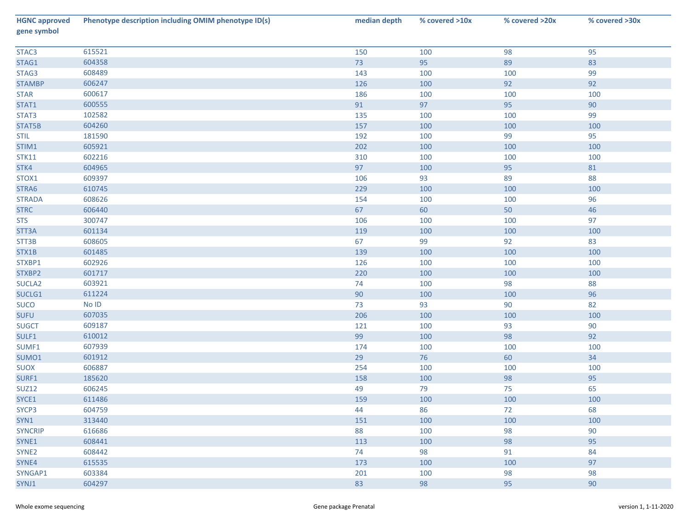| <b>HGNC approved</b><br>gene symbol | Phenotype description including OMIM phenotype ID(s) | median depth | % covered >10x | % covered >20x | % covered >30x |
|-------------------------------------|------------------------------------------------------|--------------|----------------|----------------|----------------|
| STAC <sub>3</sub>                   | 615521                                               | 150          | 100            | 98             | 95             |
| STAG1                               | 604358                                               | 73           | 95             | 89             | 83             |
| STAG3                               | 608489                                               | 143          | 100            | 100            | 99             |
| <b>STAMBP</b>                       | 606247                                               | 126          | 100            | 92             | 92             |
| <b>STAR</b>                         | 600617                                               | 186          | 100            | 100            | 100            |
| STAT1                               | 600555                                               | 91           | 97             | 95             | 90             |
| STAT3                               | 102582                                               | 135          | 100            | 100            | 99             |
| STAT5B                              | 604260                                               | 157          | 100            | 100            | 100            |
| <b>STIL</b>                         | 181590                                               | 192          | 100            | 99             | 95             |
| STIM1                               | 605921                                               | 202          | 100            | 100            | 100            |
| <b>STK11</b>                        | 602216                                               | 310          | 100            | 100            | 100            |
| STK4                                | 604965                                               | 97           | 100            | 95             | 81             |
| STOX1                               | 609397                                               | 106          | 93             | 89             | 88             |
| STRA6                               | 610745                                               | 229          | 100            | 100            | 100            |
| <b>STRADA</b>                       | 608626                                               | 154          | 100            | 100            | 96             |
| <b>STRC</b>                         | 606440                                               | 67           | 60             | 50             | 46             |
| <b>STS</b>                          | 300747                                               | 106          | 100            | 100            | 97             |
| STT3A                               | 601134                                               | 119          | 100            | 100            | 100            |
| STT3B                               | 608605                                               | 67           | 99             | 92             | 83             |
| STX1B                               | 601485                                               | 139          | 100            | 100            | 100            |
| STXBP1                              | 602926                                               | 126          | 100            | 100            | 100            |
| STXBP2                              | 601717                                               | 220          | 100            | 100            | 100            |
| SUCLA <sub>2</sub>                  | 603921                                               | 74           | 100            | 98             | 88             |
| SUCLG1                              | 611224                                               | 90           | 100            | 100            | 96             |
| <b>SUCO</b>                         | $No$ $ID$                                            | 73           | 93             | 90             | 82             |
| <b>SUFU</b>                         | 607035                                               | 206          | 100            | 100            | 100            |
| <b>SUGCT</b>                        | 609187                                               | 121          | 100            | 93             | $90\,$         |
| SULF1                               | 610012                                               | 99           | 100            | 98             | 92             |
| SUMF1                               | 607939                                               | 174          | 100            | 100            | 100            |
| SUMO1                               | 601912                                               | 29           | 76             | 60             | 34             |
| <b>SUOX</b>                         | 606887                                               | 254          | 100            | 100            | 100            |
| SURF1                               | 185620                                               | 158          | 100            | 98             | 95             |
| <b>SUZ12</b>                        | 606245                                               | 49           | 79             | 75             | 65             |
| SYCE1                               | 611486                                               | 159          | 100            | 100            | 100            |
| SYCP3                               | 604759                                               | 44           | 86             | 72             | 68             |
| SYN1                                | 313440                                               | 151          | 100            | 100            | 100            |
| <b>SYNCRIP</b>                      | 616686                                               | 88           | 100            | 98             | 90             |
| SYNE1                               | 608441                                               | 113          | 100            | 98             | 95             |
| SYNE <sub>2</sub>                   | 608442                                               | 74           | 98             | 91             | 84             |
| SYNE4                               | 615535                                               | 173          | 100            | 100            | 97             |
| SYNGAP1                             | 603384                                               | 201          | 100            | 98             | 98             |
| SYNJ1                               | 604297                                               | 83           | 98             | 95             | 90             |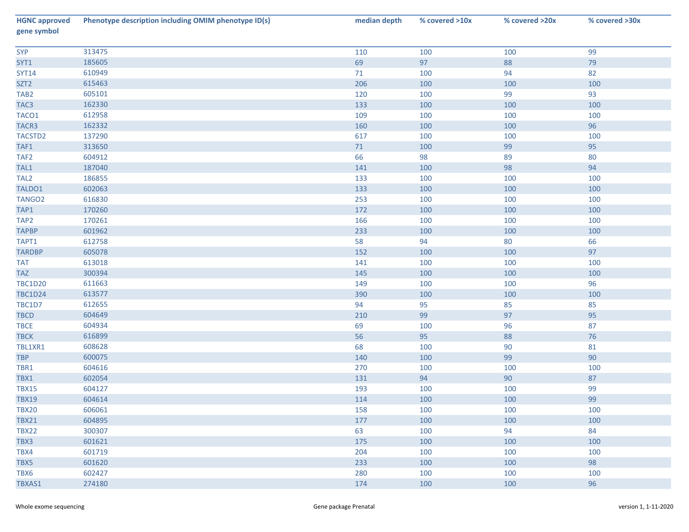| <b>HGNC approved</b><br>gene symbol | Phenotype description including OMIM phenotype ID(s) | median depth | % covered >10x | % covered >20x | % covered >30x |
|-------------------------------------|------------------------------------------------------|--------------|----------------|----------------|----------------|
| <b>SYP</b>                          | 313475                                               | 110          | 100            | 100            | 99             |
| SYT1                                | 185605                                               | 69           | 97             | 88             | 79             |
| <b>SYT14</b>                        | 610949                                               | 71           | 100            | 94             | 82             |
| SZT <sub>2</sub>                    | 615463                                               | 206          | 100            | 100            | 100            |
| TAB <sub>2</sub>                    | 605101                                               | 120          | 100            | 99             | 93             |
| TAC <sub>3</sub>                    | 162330                                               | 133          | 100            | 100            | 100            |
| TACO1                               | 612958                                               | 109          | 100            | 100            | 100            |
| TACR3                               | 162332                                               | 160          | 100            | 100            | 96             |
| TACSTD2                             | 137290                                               | 617          | 100            | 100            | 100            |
| TAF1                                | 313650                                               | 71           | 100            | 99             | 95             |
| TAF <sub>2</sub>                    | 604912                                               | 66           | 98             | 89             | 80             |
| TAL1                                | 187040                                               | 141          | 100            | 98             | 94             |
| TAL <sub>2</sub>                    | 186855                                               | 133          | 100            | 100            | 100            |
| TALDO1                              | 602063                                               | 133          | 100            | 100            | 100            |
| TANGO <sub>2</sub>                  | 616830                                               | 253          | 100            | 100            | 100            |
| TAP1                                | 170260                                               | 172          | 100            | 100            | 100            |
| TAP <sub>2</sub>                    | 170261                                               | 166          | 100            | 100            | 100            |
| <b>TAPBP</b>                        | 601962                                               | 233          | 100            | 100            | 100            |
| TAPT1                               | 612758                                               | 58           | 94             | 80             | 66             |
| <b>TARDBP</b>                       | 605078                                               | 152          | 100            | 100            | 97             |
| <b>TAT</b>                          | 613018                                               | 141          | 100            | 100            | 100            |
| <b>TAZ</b>                          | 300394                                               | 145          | 100            | 100            | 100            |
| <b>TBC1D20</b>                      | 611663                                               | 149          | 100            | 100            | 96             |
| <b>TBC1D24</b>                      | 613577                                               | 390          | 100            | 100            | 100            |
| TBC1D7                              | 612655                                               | 94           | 95             | 85             | 85             |
| <b>TBCD</b>                         | 604649                                               | 210          | 99             | 97             | 95             |
| <b>TBCE</b>                         | 604934                                               | 69           | 100            | 96             | 87             |
| <b>TBCK</b>                         | 616899                                               | 56           | 95             | 88             | 76             |
| TBL1XR1                             | 608628                                               | 68           | 100            | 90             | 81             |
| <b>TBP</b>                          | 600075                                               | 140          | 100            | 99             | 90             |
| TBR1                                | 604616                                               | 270          | 100            | 100            | 100            |
| TBX1                                | 602054                                               | 131          | 94             | 90             | 87             |
| <b>TBX15</b>                        | 604127                                               | 193          | 100            | 100            | 99             |
| <b>TBX19</b>                        | 604614                                               | 114          | 100            | 100            | 99             |
| <b>TBX20</b>                        | 606061                                               | 158          | 100            | 100            | 100            |
| <b>TBX21</b>                        | 604895                                               | 177          | 100            | 100            | 100            |
| <b>TBX22</b>                        | 300307                                               | 63           | 100            | 94             | 84             |
| TBX3                                | 601621                                               | 175          | 100            | 100            | 100            |
| TBX4                                | 601719                                               | 204          | 100            | 100            | 100            |
| TBX5                                | 601620                                               | 233          | 100            | 100            | 98             |
| TBX6                                | 602427                                               | 280          | 100            | 100            | 100            |
| TBXAS1                              | 274180                                               | 174          | 100            | 100            | 96             |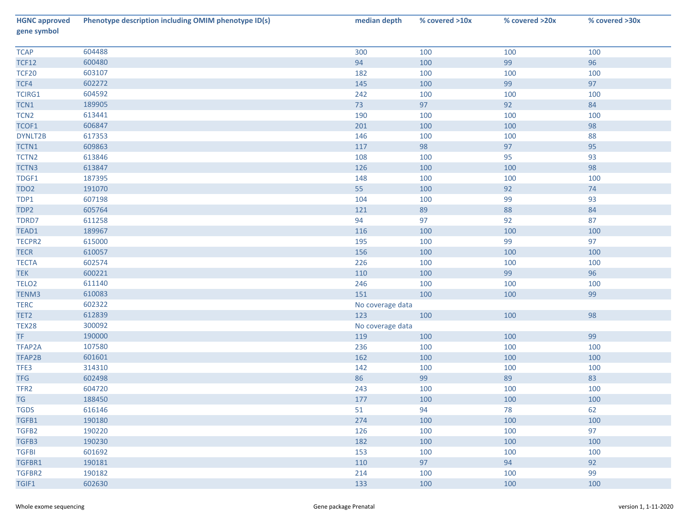| <b>HGNC approved</b><br>gene symbol | Phenotype description including OMIM phenotype ID(s) | median depth     | % covered >10x | % covered >20x | % covered >30x |
|-------------------------------------|------------------------------------------------------|------------------|----------------|----------------|----------------|
| <b>TCAP</b>                         | 604488                                               | 300              | 100            | 100            | 100            |
| <b>TCF12</b>                        | 600480                                               | 94               | 100            | 99             | 96             |
| <b>TCF20</b>                        | 603107                                               | 182              | 100            | 100            | 100            |
| TCF4                                | 602272                                               | 145              | 100            | 99             | 97             |
| <b>TCIRG1</b>                       | 604592                                               | 242              | 100            | 100            | 100            |
| TCN1                                | 189905                                               | 73               | 97             | 92             | 84             |
| TCN <sub>2</sub>                    | 613441                                               | 190              | 100            | 100            | 100            |
| TCOF1                               | 606847                                               | 201              | 100            | 100            | 98             |
| DYNLT2B                             | 617353                                               | 146              | 100            | 100            | 88             |
| TCTN1                               | 609863                                               | 117              | 98             | 97             | 95             |
| TCTN <sub>2</sub>                   | 613846                                               | 108              | 100            | 95             | 93             |
| TCTN3                               | 613847                                               | 126              | 100            | 100            | 98             |
| TDGF1                               | 187395                                               | 148              | 100            | 100            | 100            |
| TDO <sub>2</sub>                    | 191070                                               | 55               | 100            | 92             | $74$           |
| TDP1                                | 607198                                               | 104              | 100            | 99             | 93             |
| TDP2                                | 605764                                               | 121              | 89             | 88             | 84             |
| TDRD7                               | 611258                                               | 94               | 97             | 92             | 87             |
| TEAD1                               | 189967                                               | 116              | 100            | 100            | 100            |
| TECPR2                              | 615000                                               | 195              | 100            | 99             | 97             |
| <b>TECR</b>                         | 610057                                               | 156              | 100            | 100            | 100            |
| <b>TECTA</b>                        | 602574                                               | 226              | 100            | 100            | 100            |
| <b>TEK</b>                          | 600221                                               | 110              | 100            | 99             | 96             |
| TELO <sub>2</sub>                   | 611140                                               | 246              | 100            | 100            | 100            |
| TENM3                               | 610083                                               | 151              | 100            | 100            | 99             |
| <b>TERC</b>                         | 602322                                               | No coverage data |                |                |                |
| TET2                                | 612839                                               | 123              | 100            | 100            | 98             |
| TEX28                               | 300092                                               | No coverage data |                |                |                |
| TF.                                 | 190000                                               | 119              | 100            | 100            | 99             |
| TFAP2A                              | 107580                                               | 236              | 100            | 100            | 100            |
| TFAP2B                              | 601601                                               | 162              | 100            | 100            | 100            |
| TFE3                                | 314310                                               | 142              | 100            | 100            | 100            |
| <b>TFG</b>                          | 602498                                               | 86               | 99             | 89             | 83             |
| TFR <sub>2</sub>                    | 604720                                               | 243              | 100            | 100            | 100            |
| <b>TG</b>                           | 188450                                               | 177              | 100            | 100            | 100            |
| <b>TGDS</b>                         | 616146                                               | 51               | 94             | 78             | 62             |
| TGFB1                               | 190180                                               | 274              | 100            | 100            | 100            |
| TGFB2                               | 190220                                               | 126              | 100            | 100            | 97             |
| TGFB3                               | 190230                                               | 182              | 100            | 100            | 100            |
| <b>TGFBI</b>                        | 601692                                               | 153              | 100            | 100            | 100            |
| TGFBR1                              | 190181                                               | 110              | 97             | 94             | 92             |
| TGFBR2                              | 190182                                               | 214              | 100            | 100            | 99             |
| TGIF1                               | 602630                                               | 133              | 100            | 100            | 100            |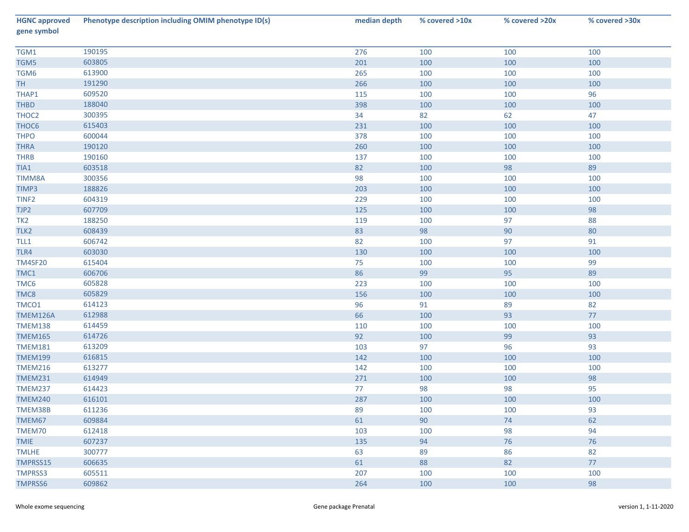| <b>HGNC approved</b><br>gene symbol | Phenotype description including OMIM phenotype ID(s) | median depth | % covered >10x | % covered >20x | % covered >30x |
|-------------------------------------|------------------------------------------------------|--------------|----------------|----------------|----------------|
| TGM1                                | 190195                                               | 276          | 100            | 100            | 100            |
| TGM5                                | 603805                                               | 201          | 100            | 100            | 100            |
| TGM6                                | 613900                                               | 265          | 100            | 100            | 100            |
| <b>TH</b>                           | 191290                                               | 266          | 100            | 100            | 100            |
| THAP1                               | 609520                                               | 115          | 100            | 100            | 96             |
| THBD                                | 188040                                               | 398          | 100            | 100            | 100            |
| THOC2                               | 300395                                               | 34           | 82             | 62             | 47             |
| THOC6                               | 615403                                               | 231          | 100            | 100            | 100            |
| <b>THPO</b>                         | 600044                                               | 378          | 100            | 100            | 100            |
| <b>THRA</b>                         | 190120                                               | 260          | 100            | 100            | 100            |
| <b>THRB</b>                         | 190160                                               | 137          | 100            | 100            | 100            |
| TIA1                                | 603518                                               | 82           | 100            | 98             | 89             |
| TIMM8A                              | 300356                                               | 98           | 100            | 100            | 100            |
| TIMP3                               | 188826                                               | 203          | 100            | 100            | 100            |
| TINF <sub>2</sub>                   | 604319                                               | 229          | 100            | 100            | 100            |
| TJP2                                | 607709                                               | 125          | 100            | 100            | 98             |
| TK <sub>2</sub>                     | 188250                                               | 119          | 100            | 97             | 88             |
| TLK2                                | 608439                                               | 83           | 98             | 90             | $80\,$         |
| TLL1                                | 606742                                               | 82           | 100            | 97             | 91             |
| TLR4                                | 603030                                               | 130          | 100            | 100            | 100            |
| <b>TM4SF20</b>                      | 615404                                               | 75           | 100            | 100            | 99             |
| TMC1                                | 606706                                               | 86           | 99             | 95             | 89             |
| TMC6                                | 605828                                               | 223          | 100            | 100            | 100            |
| TMC8                                | 605829                                               | 156          | 100            | 100            | 100            |
| TMCO1                               | 614123                                               | 96           | 91             | 89             | 82             |
| TMEM126A                            | 612988                                               | 66           | 100            | 93             | $77\,$         |
| <b>TMEM138</b>                      | 614459                                               | 110          | 100            | 100            | 100            |
| <b>TMEM165</b>                      | 614726                                               | 92           | 100            | 99             | 93             |
| <b>TMEM181</b>                      | 613209                                               | 103          | 97             | 96             | 93             |
| <b>TMEM199</b>                      | 616815                                               | 142          | 100            | 100            | 100            |
| <b>TMEM216</b>                      | 613277                                               | 142          | 100            | 100            | 100            |
| <b>TMEM231</b>                      | 614949                                               | 271          | 100            | 100            | 98             |
| <b>TMEM237</b>                      | 614423                                               | 77           | 98             | 98             | 95             |
| <b>TMEM240</b>                      | 616101                                               | 287          | 100            | 100            | 100            |
| TMEM38B                             | 611236                                               | 89           | 100            | 100            | 93             |
| TMEM67                              | 609884                                               | 61           | 90             | 74             | 62             |
| TMEM70                              | 612418                                               | 103          | 100            | 98             | 94             |
| <b>TMIE</b>                         | 607237                                               | 135          | 94             | 76             | 76             |
| <b>TMLHE</b>                        | 300777                                               | 63           | 89             | 86             | 82             |
| TMPRSS15                            | 606635                                               | 61           | 88             | 82             | 77             |
| <b>TMPRSS3</b>                      | 605511                                               | 207          | 100            | 100            | 100            |
| <b>TMPRSS6</b>                      | 609862                                               | 264          | 100            | 100            | 98             |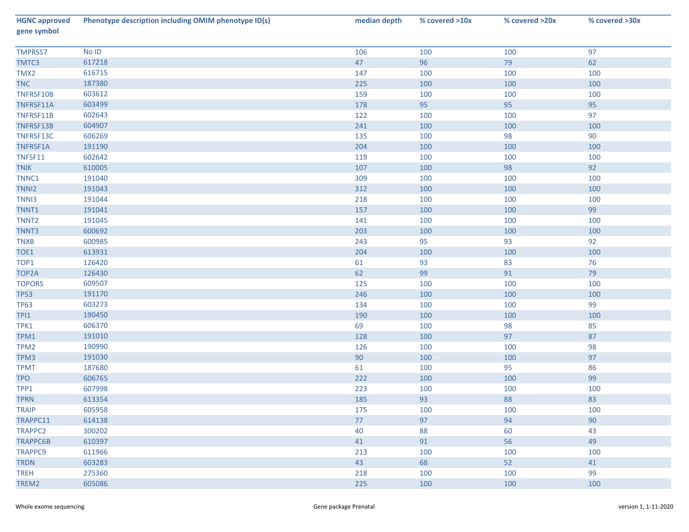| <b>HGNC approved</b><br>gene symbol | Phenotype description including OMIM phenotype ID(s) | median depth | % covered >10x | % covered >20x | % covered >30x |
|-------------------------------------|------------------------------------------------------|--------------|----------------|----------------|----------------|
| <b>TMPRSS7</b>                      | No ID                                                | 106          | 100            | 100            | 97             |
| TMTC3                               | 617218                                               | 47           | 96             | 79             | 62             |
| TMX2                                | 616715                                               | 147          | 100            | 100            | 100            |
| <b>TNC</b>                          | 187380                                               | 225          | 100            | 100            | 100            |
| TNFRSF10B                           | 603612                                               | 159          | 100            | 100            | 100            |
| TNFRSF11A                           | 603499                                               | 178          | 95             | 95             | 95             |
| TNFRSF11B                           | 602643                                               | 122          | 100            | 100            | 97             |
| TNFRSF13B                           | 604907                                               | 241          | 100            | 100            | 100            |
| TNFRSF13C                           | 606269                                               | 135          | 100            | 98             | $90\,$         |
| TNFRSF1A                            | 191190                                               | 204          | 100            | 100            | 100            |
| TNFSF11                             | 602642                                               | 119          | 100            | 100            | 100            |
| <b>TNIK</b>                         | 610005                                               | 107          | 100            | 98             | 92             |
| TNNC1                               | 191040                                               | 309          | 100            | 100            | 100            |
| TNNI2                               | 191043                                               | 312          | 100            | 100            | 100            |
| TNN <sub>13</sub>                   | 191044                                               | 218          | 100            | 100            | 100            |
| TNNT1                               | 191041                                               | 157          | 100            | 100            | 99             |
| TNNT <sub>2</sub>                   | 191045                                               | 141          | 100            | 100            | 100            |
| TNNT3                               | 600692                                               | 203          | 100            | 100            | 100            |
| <b>TNXB</b>                         | 600985                                               | 243          | 95             | 93             | 92             |
| TOE1                                | 613931                                               | 204          | 100            | 100            | 100            |
| TOP1                                | 126420                                               | 61           | 93             | 83             | 76             |
| TOP2A                               | 126430                                               | 62           | 99             | 91             | 79             |
| <b>TOPORS</b>                       | 609507                                               | 125          | 100            | 100            | 100            |
| <b>TP53</b>                         | 191170                                               | 246          | 100            | 100            | 100            |
| <b>TP63</b>                         | 603273                                               | 134          | 100            | 100            | 99             |
| TPI1                                | 190450                                               | 190          | 100            | 100            | 100            |
| TPK1                                | 606370                                               | 69           | 100            | 98             | 85             |
| TPM1                                | 191010                                               | 128          | 100            | 97             | 87             |
| TPM2                                | 190990                                               | 126          | 100            | 100            | 98             |
| TPM3                                | 191030                                               | 90           | 100            | 100            | 97             |
| <b>TPMT</b>                         | 187680                                               | 61           | 100            | 95             | 86             |
| <b>TPO</b>                          | 606765                                               | 222          | 100            | 100            | 99             |
| TPP1                                | 607998                                               | 223          | 100            | 100            | 100            |
| <b>TPRN</b>                         | 613354                                               | 185          | 93             | 88             | 83             |
| <b>TRAIP</b>                        | 605958                                               | 175          | 100            | 100            | 100            |
| TRAPPC11                            | 614138                                               | 77           | 97             | 94             | 90             |
| TRAPPC2                             | 300202                                               | 40           | 88             | 60             | 43             |
| <b>TRAPPC6B</b>                     | 610397                                               | 41           | 91             | 56             | 49             |
| <b>TRAPPC9</b>                      | 611966                                               | 213          | 100            | 100            | 100            |
| <b>TRDN</b>                         | 603283                                               | 43           | 68             | 52             | 41             |
| <b>TREH</b>                         | 275360                                               | 218          | 100            | 100            | 99             |
| TREM2                               | 605086                                               | 225          | 100            | 100            | 100            |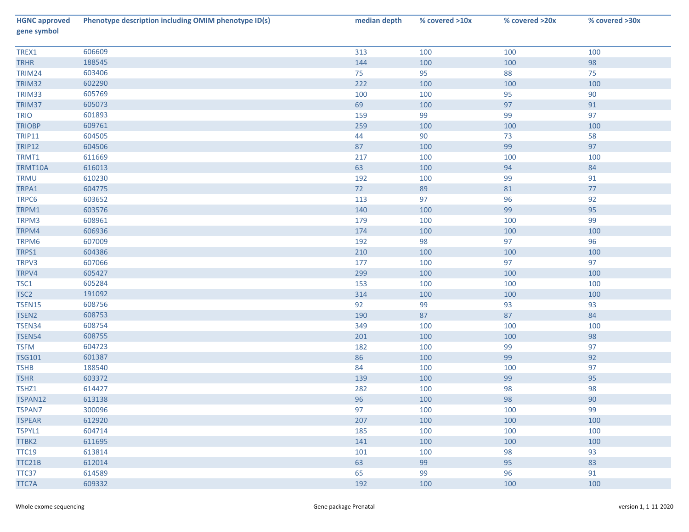| <b>HGNC approved</b><br>gene symbol | Phenotype description including OMIM phenotype ID(s) | median depth | % covered >10x | % covered >20x | % covered >30x |
|-------------------------------------|------------------------------------------------------|--------------|----------------|----------------|----------------|
| TREX1                               | 606609                                               | 313          | 100            | 100            | 100            |
| <b>TRHR</b>                         | 188545                                               | 144          | 100            | 100            | 98             |
| TRIM24                              | 603406                                               | 75           | 95             | 88             | 75             |
| TRIM32                              | 602290                                               | 222          | 100            | 100            | 100            |
| TRIM33                              | 605769                                               | 100          | 100            | 95             | $90\,$         |
| TRIM37                              | 605073                                               | 69           | 100            | 97             | 91             |
| <b>TRIO</b>                         | 601893                                               | 159          | 99             | 99             | 97             |
| <b>TRIOBP</b>                       | 609761                                               | 259          | 100            | 100            | 100            |
| <b>TRIP11</b>                       | 604505                                               | 44           | 90             | 73             | 58             |
| <b>TRIP12</b>                       | 604506                                               | 87           | 100            | 99             | 97             |
| TRMT1                               | 611669                                               | 217          | 100            | 100            | 100            |
| TRMT10A                             | 616013                                               | 63           | 100            | 94             | 84             |
| TRMU                                | 610230                                               | 192          | 100            | 99             | 91             |
| TRPA1                               | 604775                                               | 72           | 89             | 81             | $77\,$         |
| TRPC6                               | 603652                                               | 113          | 97             | 96             | 92             |
| TRPM1                               | 603576                                               | 140          | 100            | 99             | 95             |
| TRPM3                               | 608961                                               | 179          | 100            | 100            | 99             |
| TRPM4                               | 606936                                               | 174          | 100            | 100            | 100            |
| TRPM6                               | 607009                                               | 192          | 98             | 97             | 96             |
| TRPS1                               | 604386                                               | 210          | 100            | 100            | 100            |
| TRPV3                               | 607066                                               | 177          | 100            | 97             | 97             |
| TRPV4                               | 605427                                               | 299          | 100            | 100            | 100            |
| TSC1                                | 605284                                               | 153          | 100            | 100            | 100            |
| TSC <sub>2</sub>                    | 191092                                               | 314          | 100            | 100            | 100            |
| <b>TSEN15</b>                       | 608756                                               | 92           | 99             | 93             | 93             |
| TSEN2                               | 608753                                               | 190          | 87             | 87             | 84             |
| TSEN34                              | 608754                                               | 349          | 100            | 100            | 100            |
| <b>TSEN54</b>                       | 608755                                               | 201          | 100            | 100            | 98             |
| <b>TSFM</b>                         | 604723                                               | 182          | 100            | 99             | 97             |
| <b>TSG101</b>                       | 601387                                               | 86           | 100            | 99             | 92             |
| <b>TSHB</b>                         | 188540                                               | 84           | 100            | 100            | 97             |
| <b>TSHR</b>                         | 603372                                               | 139          | 100            | 99             | 95             |
| TSHZ1                               | 614427                                               | 282          | 100            | 98             | 98             |
| TSPAN12                             | 613138                                               | 96           | 100            | 98             | $90\,$         |
| <b>TSPAN7</b>                       | 300096                                               | 97           | 100            | 100            | 99             |
| <b>TSPEAR</b>                       | 612920                                               | 207          | 100            | 100            | 100            |
| TSPYL1                              | 604714                                               | 185          | 100            | 100            | 100            |
| TTBK2                               | 611695                                               | 141          | 100            | 100            | 100            |
| <b>TTC19</b>                        | 613814                                               | 101          | 100            | 98             | 93             |
| TTC21B                              | 612014                                               | 63           | 99             | 95             | 83             |
| TTC37                               | 614589                                               | 65           | 99             | 96             | 91             |
| TTC7A                               | 609332                                               | 192          | 100            | 100            | 100            |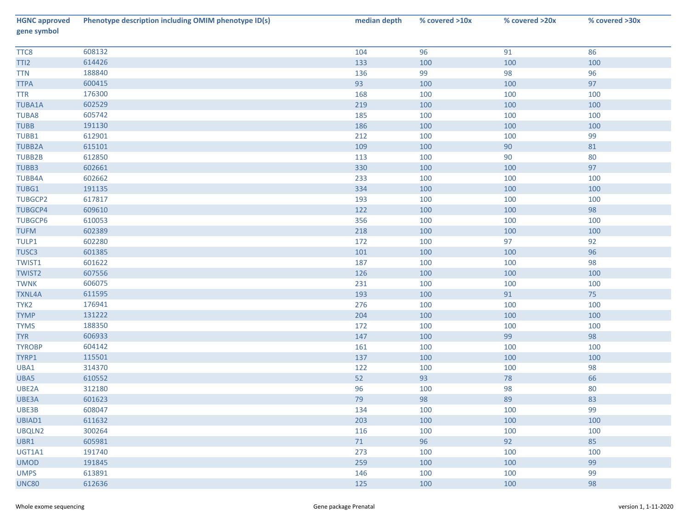| <b>HGNC approved</b><br>gene symbol | Phenotype description including OMIM phenotype ID(s) | median depth | % covered >10x | % covered >20x | % covered >30x |
|-------------------------------------|------------------------------------------------------|--------------|----------------|----------------|----------------|
| TTC8                                | 608132                                               | 104          | 96             | 91             | 86             |
| TTI <sub>2</sub>                    | 614426                                               | 133          | 100            | 100            | 100            |
| <b>TTN</b>                          | 188840                                               | 136          | 99             | 98             | 96             |
| <b>TTPA</b>                         | 600415                                               | 93           | 100            | 100            | 97             |
| <b>TTR</b>                          | 176300                                               | 168          | 100            | 100            | 100            |
| <b>TUBA1A</b>                       | 602529                                               | 219          | 100            | 100            | 100            |
| <b>TUBA8</b>                        | 605742                                               | 185          | 100            | 100            | 100            |
| <b>TUBB</b>                         | 191130                                               | 186          | 100            | 100            | 100            |
| TUBB1                               | 612901                                               | 212          | 100            | 100            | 99             |
| <b>TUBB2A</b>                       | 615101                                               | 109          | 100            | 90             | 81             |
| TUBB2B                              | 612850                                               | 113          | 100            | 90             | 80             |
| TUBB3                               | 602661                                               | 330          | 100            | 100            | 97             |
| <b>TUBB4A</b>                       | 602662                                               | 233          | 100            | 100            | 100            |
| TUBG1                               | 191135                                               | 334          | 100            | 100            | 100            |
| <b>TUBGCP2</b>                      | 617817                                               | 193          | 100            | 100            | 100            |
| <b>TUBGCP4</b>                      | 609610                                               | 122          | 100            | 100            | 98             |
| <b>TUBGCP6</b>                      | 610053                                               | 356          | 100            | 100            | 100            |
| <b>TUFM</b>                         | 602389                                               | 218          | 100            | 100            | 100            |
| TULP1                               | 602280                                               | 172          | 100            | 97             | 92             |
| TUSC3                               | 601385                                               | 101          | 100            | 100            | 96             |
| <b>TWIST1</b>                       | 601622                                               | 187          | 100            | 100            | 98             |
| <b>TWIST2</b>                       | 607556                                               | 126          | 100            | 100            | 100            |
| <b>TWNK</b>                         | 606075                                               | 231          | 100            | 100            | 100            |
| <b>TXNL4A</b>                       | 611595                                               | 193          | 100            | 91             | 75             |
| TYK2                                | 176941                                               | 276          | 100            | 100            | 100            |
| <b>TYMP</b>                         | 131222                                               | 204          | 100            | 100            | 100            |
| <b>TYMS</b>                         | 188350                                               | 172          | 100            | 100            | 100            |
| <b>TYR</b>                          | 606933                                               | 147          | 100            | 99             | 98             |
| <b>TYROBP</b>                       | 604142                                               | 161          | 100            | 100            | 100            |
| TYRP1                               | 115501                                               | 137          | 100            | 100            | 100            |
| UBA1                                | 314370                                               | 122          | 100            | 100            | 98             |
| UBA5                                | 610552                                               | 52           | 93             | 78             | 66             |
| UBE2A                               | 312180                                               | 96           | 100            | 98             | 80             |
| UBE3A                               | 601623                                               | 79           | 98             | 89             | 83             |
| UBE3B                               | 608047                                               | 134          | 100            | 100            | 99             |
| UBIAD1                              | 611632                                               | 203          | 100            | 100            | 100            |
| UBQLN2                              | 300264                                               | 116          | 100            | 100            | 100            |
| UBR1                                | 605981                                               | 71           | 96             | 92             | 85             |
| UGT1A1                              | 191740                                               | 273          | 100            | 100            | 100            |
| <b>UMOD</b>                         | 191845                                               | 259          | 100            | 100            | 99             |
| <b>UMPS</b>                         | 613891                                               | 146          | 100            | 100            | 99             |
| <b>UNC80</b>                        | 612636                                               | 125          | 100            | 100            | 98             |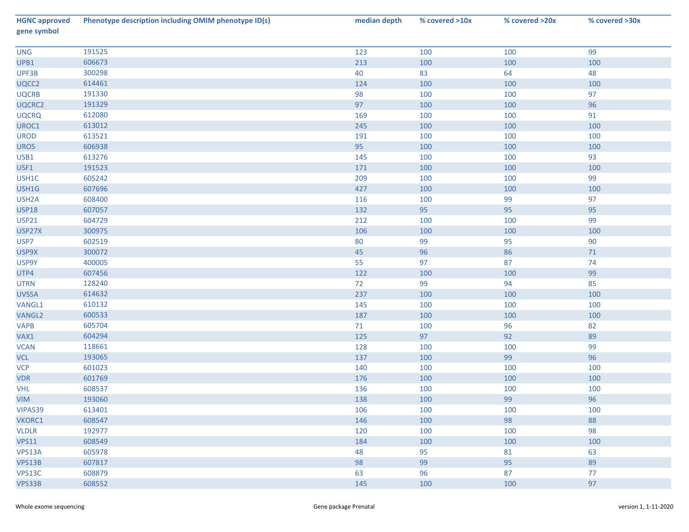| <b>HGNC approved</b><br>gene symbol | Phenotype description including OMIM phenotype ID(s) | median depth | % covered >10x | % covered >20x | % covered >30x |
|-------------------------------------|------------------------------------------------------|--------------|----------------|----------------|----------------|
| <b>UNG</b>                          | 191525                                               | 123          | 100            | 100            | 99             |
| UPB1                                | 606673                                               | 213          | 100            | 100            | 100            |
| UPF3B                               | 300298                                               | 40           | 83             | 64             | 48             |
| UQCC2                               | 614461                                               | 124          | 100            | 100            | 100            |
| <b>UQCRB</b>                        | 191330                                               | 98           | 100            | 100            | 97             |
| UQCRC2                              | 191329                                               | 97           | 100            | 100            | 96             |
| <b>UQCRQ</b>                        | 612080                                               | 169          | 100            | 100            | 91             |
| UROC1                               | 613012                                               | 245          | 100            | 100            | 100            |
| <b>UROD</b>                         | 613521                                               | 191          | 100            | 100            | 100            |
| <b>UROS</b>                         | 606938                                               | 95           | 100            | 100            | 100            |
| USB1                                | 613276                                               | 145          | 100            | 100            | 93             |
| USF1                                | 191523                                               | 171          | 100            | 100            | 100            |
| USH1C                               | 605242                                               | 209          | 100            | 100            | 99             |
| USH1G                               | 607696                                               | 427          | 100            | 100            | 100            |
| USH <sub>2</sub> A                  | 608400                                               | 116          | 100            | 99             | 97             |
| <b>USP18</b>                        | 607057                                               | 132          | 95             | 95             | 95             |
| <b>USP21</b>                        | 604729                                               | 212          | 100            | 100            | 99             |
| USP27X                              | 300975                                               | 106          | 100            | 100            | 100            |
| USP7                                | 602519                                               | 80           | 99             | 95             | 90             |
| USP9X                               | 300072                                               | 45           | 96             | 86             | $71\,$         |
| USP9Y                               | 400005                                               | 55           | 97             | 87             | 74             |
| UTP4                                | 607456                                               | 122          | 100            | 100            | 99             |
| <b>UTRN</b>                         | 128240                                               | 72           | 99             | 94             | 85             |
| <b>UVSSA</b>                        | 614632                                               | 237          | 100            | 100            | 100            |
| VANGL1                              | 610132                                               | 145          | 100            | 100            | 100            |
| VANGL2                              | 600533                                               | 187          | 100            | 100            | 100            |
| <b>VAPB</b>                         | 605704                                               | 71           | 100            | 96             | 82             |
| VAX1                                | 604294                                               | 125          | 97             | 92             | 89             |
| <b>VCAN</b>                         | 118661                                               | 128          | 100            | 100            | 99             |
| <b>VCL</b>                          | 193065                                               | 137          | 100            | 99             | 96             |
| <b>VCP</b>                          | 601023                                               | 140          | 100            | 100            | 100            |
| <b>VDR</b>                          | 601769                                               | 176          | 100            | 100            | 100            |
| <b>VHL</b>                          | 608537                                               | 136          | 100            | 100            | 100            |
| <b>VIM</b>                          | 193060                                               | 138          | 100            | 99             | 96             |
| VIPAS39                             | 613401                                               | 106          | 100            | 100            | 100            |
| VKORC1                              | 608547                                               | 146          | 100            | 98             | 88             |
| <b>VLDLR</b>                        | 192977                                               | 120          | 100            | 100            | 98             |
| <b>VPS11</b>                        | 608549                                               | 184          | 100            | 100            | 100            |
| VPS13A                              | 605978                                               | 48           | 95             | 81             | 63             |
| VPS13B                              | 607817                                               | 98           | 99             | 95             | 89             |
| VPS13C                              | 608879                                               | 63           | 96             | 87             | 77             |
| VPS33B                              | 608552                                               | 145          | 100            | 100            | 97             |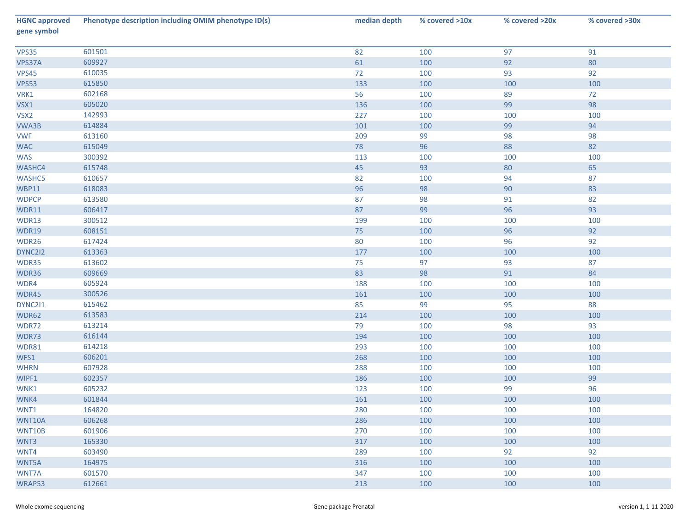| <b>HGNC approved</b><br>gene symbol | Phenotype description including OMIM phenotype ID(s) | median depth | % covered >10x | % covered >20x | % covered >30x |
|-------------------------------------|------------------------------------------------------|--------------|----------------|----------------|----------------|
| <b>VPS35</b>                        | 601501                                               | 82           | 100            | 97             | 91             |
| VPS37A                              | 609927                                               | 61           | 100            | 92             | 80             |
| <b>VPS45</b>                        | 610035                                               | 72           | 100            | 93             | 92             |
| <b>VPS53</b>                        | 615850                                               | 133          | 100            | 100            | 100            |
| VRK1                                | 602168                                               | 56           | 100            | 89             | 72             |
| VSX1                                | 605020                                               | 136          | 100            | 99             | 98             |
| VSX2                                | 142993                                               | 227          | 100            | 100            | 100            |
| VWA3B                               | 614884                                               | 101          | 100            | 99             | 94             |
| <b>VWF</b>                          | 613160                                               | 209          | 99             | 98             | 98             |
| <b>WAC</b>                          | 615049                                               | 78           | 96             | 88             | 82             |
| <b>WAS</b>                          | 300392                                               | 113          | 100            | 100            | 100            |
| WASHC4                              | 615748                                               | 45           | 93             | 80             | 65             |
| <b>WASHC5</b>                       | 610657                                               | 82           | 100            | 94             | 87             |
| <b>WBP11</b>                        | 618083                                               | 96           | 98             | 90             | 83             |
| <b>WDPCP</b>                        | 613580                                               | 87           | 98             | 91             | 82             |
| WDR11                               | 606417                                               | 87           | 99             | 96             | 93             |
| WDR13                               | 300512                                               | 199          | 100            | 100            | 100            |
| WDR19                               | 608151                                               | 75           | 100            | 96             | 92             |
| WDR26                               | 617424                                               | 80           | 100            | 96             | 92             |
| DYNC2I2                             | 613363                                               | 177          | 100            | 100            | 100            |
| WDR35                               | 613602                                               | 75           | 97             | 93             | 87             |
| WDR36                               | 609669                                               | 83           | 98             | 91             | 84             |
| WDR4                                | 605924                                               | 188          | 100            | 100            | 100            |
| WDR45                               | 300526                                               | 161          | 100            | 100            | 100            |
| DYNC211                             | 615462                                               | 85           | 99             | 95             | 88             |
| WDR62                               | 613583                                               | 214          | 100            | 100            | 100            |
| WDR72                               | 613214                                               | 79           | 100            | 98             | 93             |
| WDR73                               | 616144                                               | 194          | 100            | 100            | 100            |
| WDR81                               | 614218                                               | 293          | 100            | 100            | 100            |
| WFS1                                | 606201                                               | 268          | 100            | 100            | 100            |
| <b>WHRN</b>                         | 607928                                               | 288          | 100            | 100            | 100            |
| WIPF1                               | 602357                                               | 186          | 100            | 100            | 99             |
| WNK1                                | 605232                                               | 123          | 100            | 99             | 96             |
| WNK4                                | 601844                                               | 161          | 100            | 100            | 100            |
| WNT1                                | 164820                                               | 280          | 100            | 100            | 100            |
| WNT10A                              | 606268                                               | 286          | 100            | 100            | 100            |
| <b>WNT10B</b>                       | 601906                                               | 270          | 100            | 100            | 100            |
| WNT3                                | 165330                                               | 317          | 100            | 100            | 100            |
| WNT4                                | 603490                                               | 289          | 100            | 92             | 92             |
| WNT5A                               | 164975                                               | 316          | 100            | 100            | 100            |
| WNT7A                               | 601570                                               | 347          | 100            | 100            | 100            |
| WRAP53                              | 612661                                               | 213          | 100            | 100            | 100            |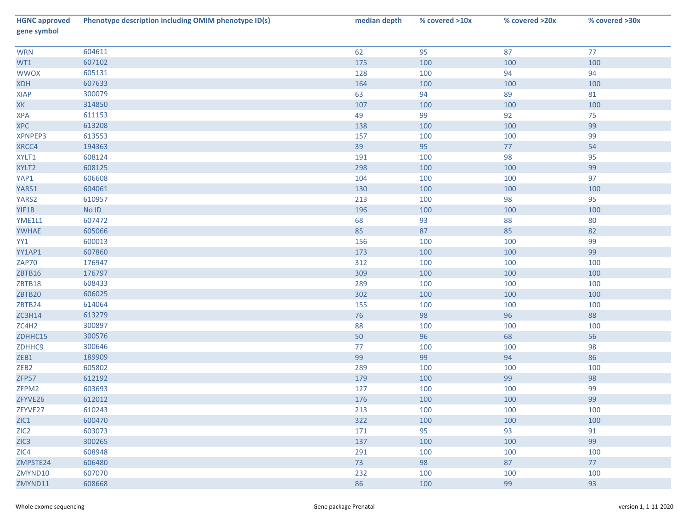| <b>HGNC approved</b><br>gene symbol | Phenotype description including OMIM phenotype ID(s) | median depth | % covered >10x | % covered >20x | % covered >30x |
|-------------------------------------|------------------------------------------------------|--------------|----------------|----------------|----------------|
| <b>WRN</b>                          | 604611                                               | 62           | 95             | 87             | 77             |
| WT1                                 | 607102                                               | 175          | 100            | 100            | 100            |
| <b>WWOX</b>                         | 605131                                               | 128          | 100            | 94             | 94             |
| <b>XDH</b>                          | 607633                                               | 164          | 100            | 100            | 100            |
| XIAP                                | 300079                                               | 63           | 94             | 89             | 81             |
| XK                                  | 314850                                               | 107          | 100            | 100            | 100            |
| <b>XPA</b>                          | 611153                                               | 49           | 99             | 92             | 75             |
| <b>XPC</b>                          | 613208                                               | 138          | 100            | 100            | 99             |
| XPNPEP3                             | 613553                                               | 157          | 100            | 100            | 99             |
| XRCC4                               | 194363                                               | 39           | 95             | 77             | 54             |
| XYLT1                               | 608124                                               | 191          | 100            | 98             | 95             |
| XYLT2                               | 608125                                               | 298          | 100            | 100            | 99             |
| YAP1                                | 606608                                               | 104          | 100            | 100            | 97             |
| YARS1                               | 604061                                               | 130          | 100            | 100            | 100            |
| YARS2                               | 610957                                               | 213          | 100            | 98             | 95             |
| YIF1B                               | $No$ $ID$                                            | 196          | 100            | 100            | 100            |
| YME1L1                              | 607472                                               | 68           | 93             | 88             | 80             |
| <b>YWHAE</b>                        | 605066                                               | 85           | 87             | 85             | 82             |
| YY1                                 | 600013                                               | 156          | 100            | 100            | 99             |
| YY1AP1                              | 607860                                               | 173          | 100            | 100            | 99             |
| ZAP70                               | 176947                                               | 312          | 100            | 100            | 100            |
| ZBTB16                              | 176797                                               | 309          | 100            | 100            | 100            |
| ZBTB18                              | 608433                                               | 289          | 100            | 100            | 100            |
| ZBTB20                              | 606025                                               | 302          | 100            | 100            | 100            |
| ZBTB24                              | 614064                                               | 155          | 100            | 100            | 100            |
| <b>ZC3H14</b>                       | 613279                                               | 76           | 98             | 96             | 88             |
| ZC4H2                               | 300897                                               | 88           | 100            | 100            | 100            |
| ZDHHC15                             | 300576                                               | 50           | 96             | 68             | 56             |
| ZDHHC9                              | 300646                                               | 77           | 100            | 100            | 98             |
| ZEB1                                | 189909                                               | 99           | 99             | 94             | 86             |
| ZEB <sub>2</sub>                    | 605802                                               | 289          | 100            | 100            | 100            |
| ZFP57                               | 612192                                               | 179          | 100            | 99             | 98             |
| ZFPM2                               | 603693                                               | 127          | 100            | 100            | 99             |
| ZFYVE26                             | 612012                                               | 176          | 100            | 100            | 99             |
| ZFYVE27                             | 610243                                               | 213          | 100            | 100            | 100            |
| ZIC1                                | 600470                                               | 322          | 100            | 100            | 100            |
| ZIC2                                | 603073                                               | 171          | 95             | 93             | 91             |
| ZIC3                                | 300265                                               | 137          | 100            | 100            | 99             |
| ZIC4                                | 608948                                               | 291          | 100            | 100            | 100            |
| ZMPSTE24                            | 606480                                               | 73           | 98             | 87             | 77             |
| ZMYND10                             | 607070                                               | 232          | 100            | 100            | 100            |
| ZMYND11                             | 608668                                               | 86           | 100            | 99             | 93             |